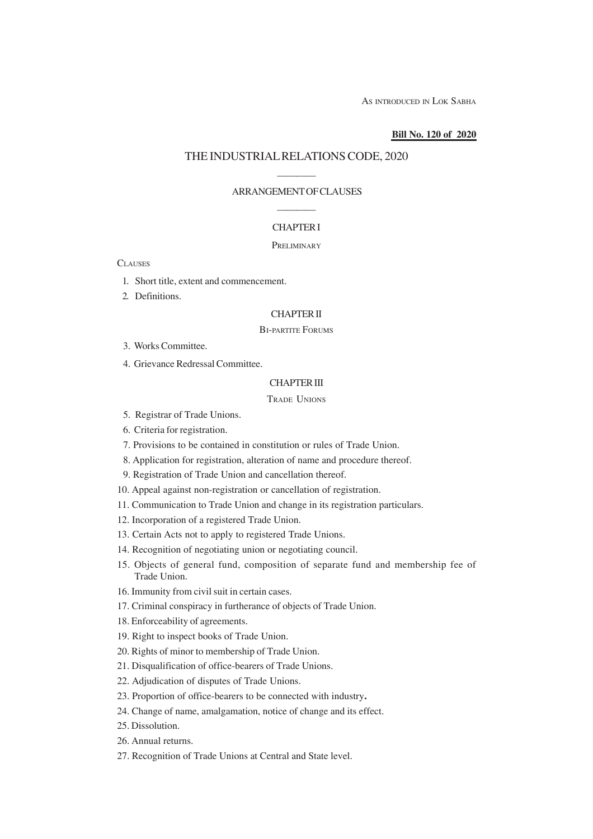AS INTRODUCED IN LOK SABHA

#### **Bill No. 120 of 2020**

### THE INDUSTRIAL RELATIONS CODE, 2020

## ———— ARRANGEMENT OF CLAUSES ————

#### CHAPTER I

#### **PRELIMINARY**

**CLAUSES** 

- 1. Short title, extent and commencement.
- 2. Definitions.

## CHAPTER II

### BI-PARTITE FORUMS

- 3. Works Committee.
- 4. Grievance Redressal Committee.

## CHAPTER III

## TRADE UNIONS

- 5. Registrar of Trade Unions.
- 6. Criteria for registration.
- 7. Provisions to be contained in constitution or rules of Trade Union.
- 8. Application for registration, alteration of name and procedure thereof.
- 9. Registration of Trade Union and cancellation thereof.
- 10. Appeal against non-registration or cancellation of registration.
- 11. Communication to Trade Union and change in its registration particulars.
- 12. Incorporation of a registered Trade Union.
- 13. Certain Acts not to apply to registered Trade Unions.
- 14. Recognition of negotiating union or negotiating council.
- 15. Objects of general fund, composition of separate fund and membership fee of Trade Union.
- 16. Immunity from civil suit in certain cases.
- 17. Criminal conspiracy in furtherance of objects of Trade Union.
- 18. Enforceability of agreements.
- 19. Right to inspect books of Trade Union.
- 20. Rights of minor to membership of Trade Union.
- 21. Disqualification of office-bearers of Trade Unions.
- 22. Adjudication of disputes of Trade Unions.
- 23. Proportion of office-bearers to be connected with industry**.**
- 24. Change of name, amalgamation, notice of change and its effect.
- 25. Dissolution.
- 26. Annual returns.
- 27. Recognition of Trade Unions at Central and State level.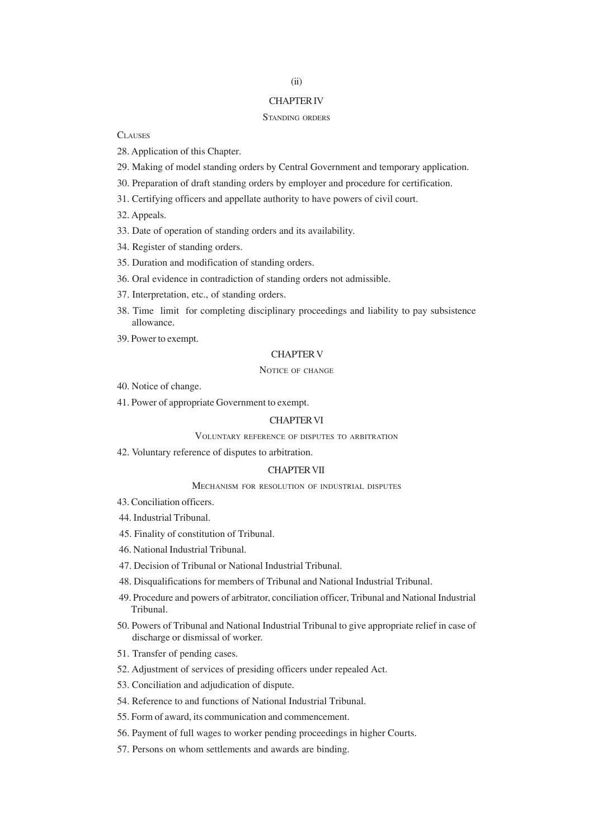## (ii)

## CHAPTER IV

#### STANDING ORDERS

**CLAUSES** 

- 28. Application of this Chapter.
- 29. Making of model standing orders by Central Government and temporary application.
- 30. Preparation of draft standing orders by employer and procedure for certification.
- 31. Certifying officers and appellate authority to have powers of civil court.
- 32. Appeals.
- 33. Date of operation of standing orders and its availability.
- 34. Register of standing orders.
- 35. Duration and modification of standing orders.
- 36. Oral evidence in contradiction of standing orders not admissible.
- 37. Interpretation, etc., of standing orders.
- 38. Time limit for completing disciplinary proceedings and liability to pay subsistence allowance.
- 39. Power to exempt.

## CHAPTER V

#### NOTICE OF CHANGE

- 40. Notice of change.
- 41. Power of appropriate Government to exempt.

## CHAPTER VI

#### VOLUNTARY REFERENCE OF DISPUTES TO ARBITRATION

42. Voluntary reference of disputes to arbitration.

#### CHAPTER VII

#### MECHANISM FOR RESOLUTION OF INDUSTRIAL DISPUTES

- 43. Conciliation officers.
- 44. Industrial Tribunal.
- 45. Finality of constitution of Tribunal.
- 46. National Industrial Tribunal.
- 47. Decision of Tribunal or National Industrial Tribunal.
- 48. Disqualifications for members of Tribunal and National Industrial Tribunal.
- 49. Procedure and powers of arbitrator, conciliation officer, Tribunal and National Industrial Tribunal.
- 50. Powers of Tribunal and National Industrial Tribunal to give appropriate relief in case of discharge or dismissal of worker.
- 51. Transfer of pending cases.
- 52. Adjustment of services of presiding officers under repealed Act.
- 53. Conciliation and adjudication of dispute.
- 54. Reference to and functions of National Industrial Tribunal.
- 55. Form of award, its communication and commencement.
- 56. Payment of full wages to worker pending proceedings in higher Courts.
- 57. Persons on whom settlements and awards are binding.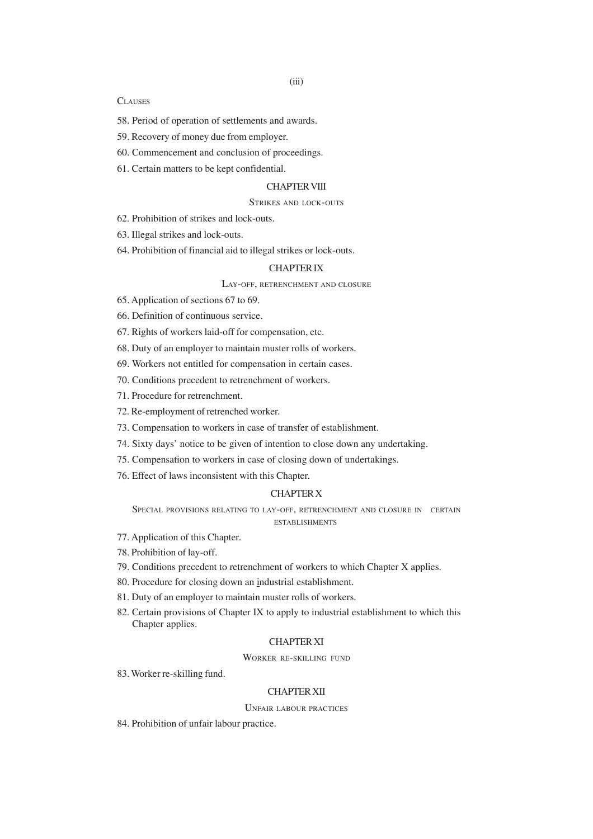#### **CLAUSES**

- 58. Period of operation of settlements and awards.
- 59. Recovery of money due from employer.
- 60. Commencement and conclusion of proceedings.
- 61. Certain matters to be kept confidential.

#### CHAPTER VIII

#### STRIKES AND LOCK-OUTS

62. Prohibition of strikes and lock-outs.

63. Illegal strikes and lock-outs.

64. Prohibition of financial aid to illegal strikes or lock-outs.

### CHAPTER IX

LAY-OFF, RETRENCHMENT AND CLOSURE

65. Application of sections 67 to 69.

66. Definition of continuous service.

67. Rights of workers laid-off for compensation, etc.

68. Duty of an employer to maintain muster rolls of workers.

- 69. Workers not entitled for compensation in certain cases.
- 70. Conditions precedent to retrenchment of workers.
- 71. Procedure for retrenchment.
- 72. Re-employment of retrenched worker.
- 73. Compensation to workers in case of transfer of establishment.
- 74. Sixty days' notice to be given of intention to close down any undertaking.
- 75. Compensation to workers in case of closing down of undertakings.
- 76. Effect of laws inconsistent with this Chapter.

#### CHAPTER X

SPECIAL PROVISIONS RELATING TO LAY-OFF, RETRENCHMENT AND CLOSURE IN CERTAIN ESTABLISHMENTS

- 77. Application of this Chapter.
- 78. Prohibition of lay-off.
- 79. Conditions precedent to retrenchment of workers to which Chapter X applies.
- 80. Procedure for closing down an industrial establishment.
- 81. Duty of an employer to maintain muster rolls of workers.
- 82. Certain provisions of Chapter IX to apply to industrial establishment to which this Chapter applies.

### CHAPTER XI

WORKER RE-SKILLING FUND

83. Worker re-skilling fund.

## CHAPTER XII

#### UNFAIR LABOUR PRACTICES

84. Prohibition of unfair labour practice.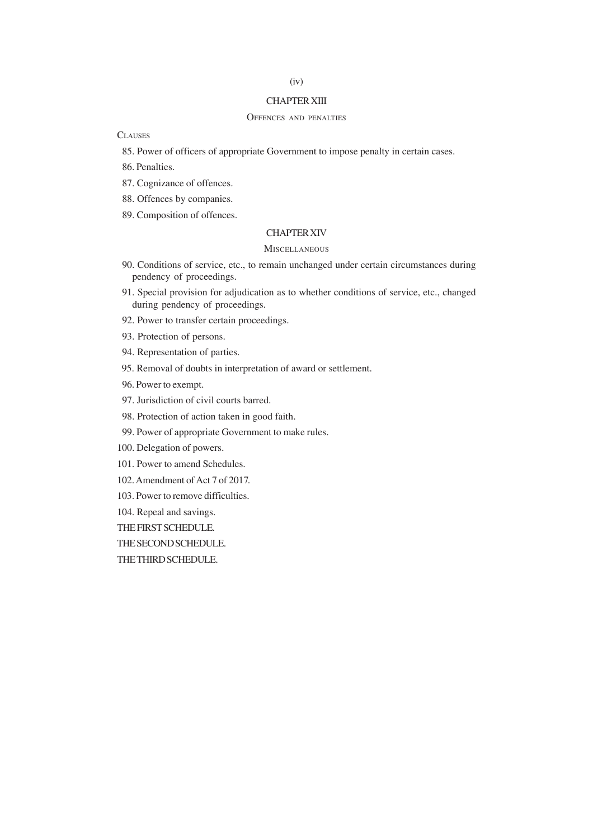# (iv)

## CHAPTER XIII

## OFFENCES AND PENALTIES

**CLAUSES** 

85. Power of officers of appropriate Government to impose penalty in certain cases.

86. Penalties.

87. Cognizance of offences.

88. Offences by companies.

89. Composition of offences.

#### CHAPTER XIV

#### **MISCELLANEOUS**

- 90. Conditions of service, etc., to remain unchanged under certain circumstances during pendency of proceedings.
- 91. Special provision for adjudication as to whether conditions of service, etc., changed during pendency of proceedings.
- 92. Power to transfer certain proceedings.
- 93. Protection of persons.
- 94. Representation of parties.
- 95. Removal of doubts in interpretation of award or settlement.
- 96. Power to exempt.
- 97. Jurisdiction of civil courts barred.
- 98. Protection of action taken in good faith.
- 99. Power of appropriate Government to make rules.
- 100. Delegation of powers.
- 101. Power to amend Schedules.
- 102. Amendment of Act 7 of 2017.
- 103. Power to remove difficulties.

104. Repeal and savings.

THE FIRST SCHEDULE.

THE SECOND SCHEDULE.

THE THIRD SCHEDULE.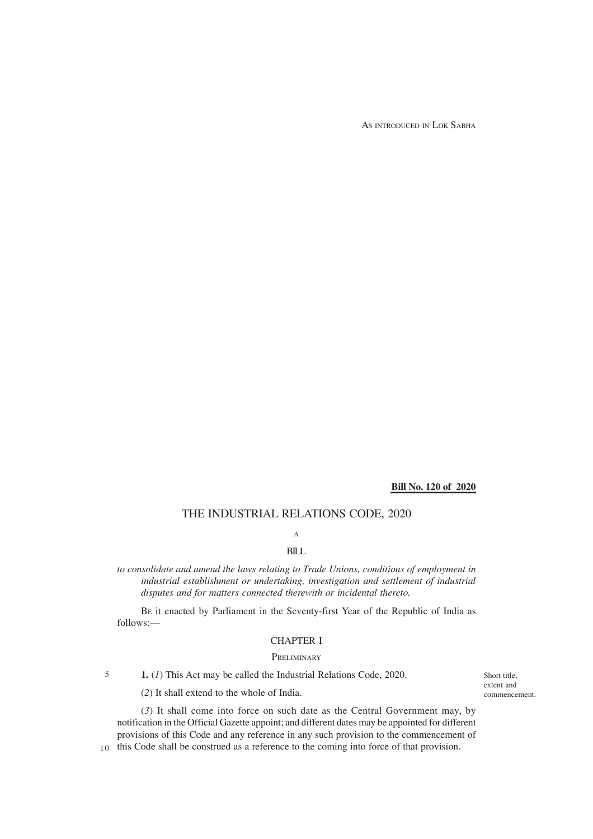AS INTRODUCED IN LOK SABHA

### **Bill No. 120 of 2020**

## THE INDUSTRIAL RELATIONS CODE, 2020

A

## BILL

*to consolidate and amend the laws relating to Trade Unions, conditions of employment in industrial establishment or undertaking, investigation and settlement of industrial disputes and for matters connected therewith or incidental thereto.*

BE it enacted by Parliament in the Seventy-first Year of the Republic of India as follows:—

#### CHAPTER I

#### **PRELIMINARY**

**1.** (*1*) This Act may be called the Industrial Relations Code, 2020. 5

(*2*) It shall extend to the whole of India.

(*3*) It shall come into force on such date as the Central Government may, by notification in the Official Gazette appoint; and different dates may be appointed for different provisions of this Code and any reference in any such provision to the commencement of

10 this Code shall be construed as a reference to the coming into force of that provision.

Short title, extent and commencement.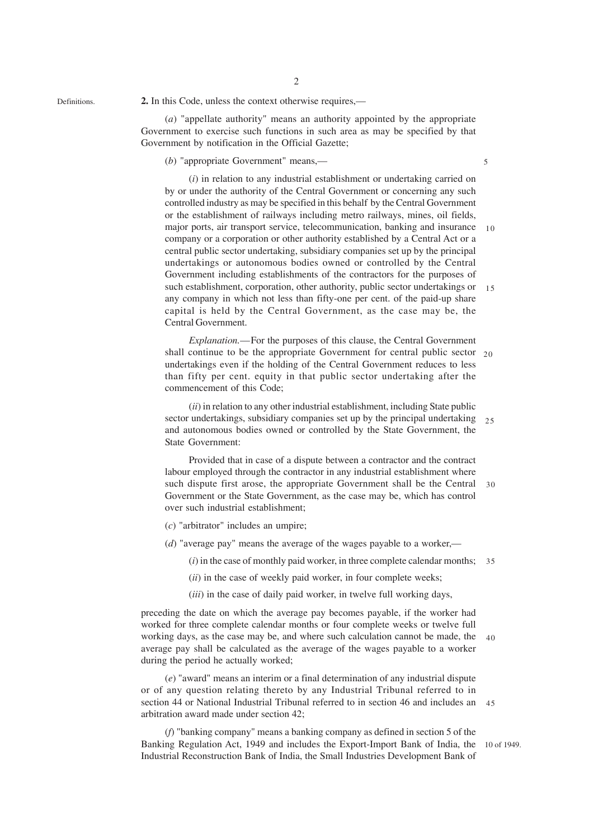Definitions.

(*a*) "appellate authority" means an authority appointed by the appropriate Government to exercise such functions in such area as may be specified by that Government by notification in the Official Gazette;

(*b*) "appropriate Government" means,—

(*i*) in relation to any industrial establishment or undertaking carried on by or under the authority of the Central Government or concerning any such controlled industry as may be specified in this behalf by the Central Government or the establishment of railways including metro railways, mines, oil fields, major ports, air transport service, telecommunication, banking and insurance 10 company or a corporation or other authority established by a Central Act or a central public sector undertaking, subsidiary companies set up by the principal undertakings or autonomous bodies owned or controlled by the Central Government including establishments of the contractors for the purposes of such establishment, corporation, other authority, public sector undertakings or any company in which not less than fifty-one per cent. of the paid-up share capital is held by the Central Government, as the case may be, the Central Government. 15

*Explanation.*—For the purposes of this clause, the Central Government shall continue to be the appropriate Government for central public sector 20 undertakings even if the holding of the Central Government reduces to less than fifty per cent. equity in that public sector undertaking after the commencement of this Code;

(*ii*) in relation to any other industrial establishment, including State public sector undertakings, subsidiary companies set up by the principal undertaking 25 and autonomous bodies owned or controlled by the State Government, the State Government:

Provided that in case of a dispute between a contractor and the contract labour employed through the contractor in any industrial establishment where such dispute first arose, the appropriate Government shall be the Central 30 Government or the State Government, as the case may be, which has control over such industrial establishment;

- (*c*) "arbitrator" includes an umpire;
- (*d*) "average pay" means the average of the wages payable to a worker,—
	- (*i*) in the case of monthly paid worker, in three complete calendar months; 35
	- (*ii*) in the case of weekly paid worker, in four complete weeks;
	- (*iii*) in the case of daily paid worker, in twelve full working days,

preceding the date on which the average pay becomes payable, if the worker had worked for three complete calendar months or four complete weeks or twelve full working days, as the case may be, and where such calculation cannot be made, the 40 average pay shall be calculated as the average of the wages payable to a worker during the period he actually worked;

(*e*) "award" means an interim or a final determination of any industrial dispute or of any question relating thereto by any Industrial Tribunal referred to in section 44 or National Industrial Tribunal referred to in section 46 and includes an arbitration award made under section 42;  $45$ 

(*f*) "banking company" means a banking company as defined in section 5 of the Banking Regulation Act, 1949 and includes the Export-Import Bank of India, the 10 of 1949. Industrial Reconstruction Bank of India, the Small Industries Development Bank of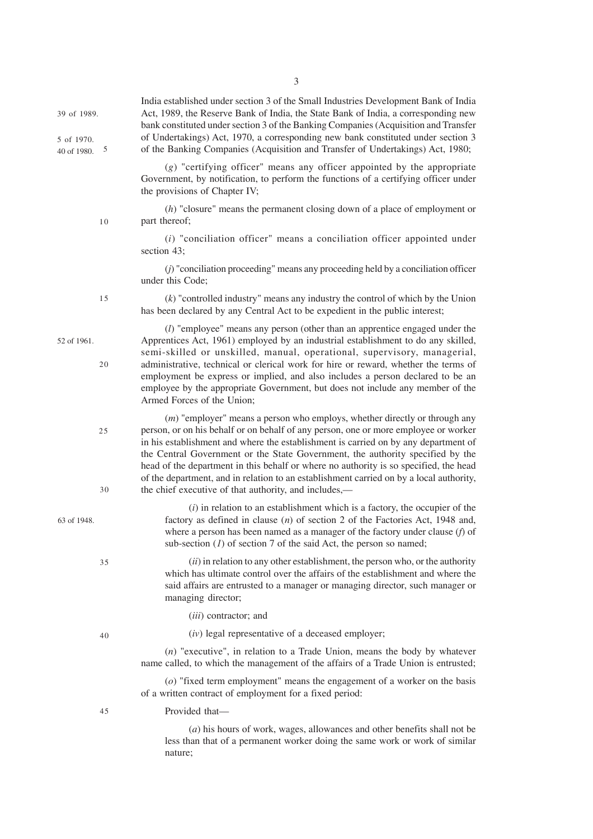| 39 of 1989.<br>5 of 1970.<br>40 of 1980. | 5        | India established under section 3 of the Small Industries Development Bank of India<br>Act, 1989, the Reserve Bank of India, the State Bank of India, a corresponding new<br>bank constituted under section 3 of the Banking Companies (Acquisition and Transfer<br>of Undertakings) Act, 1970, a corresponding new bank constituted under section 3<br>of the Banking Companies (Acquisition and Transfer of Undertakings) Act, 1980;                                                                                                                                                    |
|------------------------------------------|----------|-------------------------------------------------------------------------------------------------------------------------------------------------------------------------------------------------------------------------------------------------------------------------------------------------------------------------------------------------------------------------------------------------------------------------------------------------------------------------------------------------------------------------------------------------------------------------------------------|
|                                          |          | $(g)$ "certifying officer" means any officer appointed by the appropriate<br>Government, by notification, to perform the functions of a certifying officer under<br>the provisions of Chapter IV;                                                                                                                                                                                                                                                                                                                                                                                         |
|                                          | $10$     | $(h)$ "closure" means the permanent closing down of a place of employment or<br>part thereof;                                                                                                                                                                                                                                                                                                                                                                                                                                                                                             |
|                                          |          | $(i)$ "conciliation officer" means a conciliation officer appointed under<br>section 43;                                                                                                                                                                                                                                                                                                                                                                                                                                                                                                  |
|                                          |          | $(j)$ "conciliation proceeding" means any proceeding held by a conciliation officer<br>under this Code;                                                                                                                                                                                                                                                                                                                                                                                                                                                                                   |
|                                          | 15       | $(k)$ "controlled industry" means any industry the control of which by the Union<br>has been declared by any Central Act to be expedient in the public interest;                                                                                                                                                                                                                                                                                                                                                                                                                          |
| 52 of 1961.                              | 20       | $(l)$ "employee" means any person (other than an apprentice engaged under the<br>Apprentices Act, 1961) employed by an industrial establishment to do any skilled,<br>semi-skilled or unskilled, manual, operational, supervisory, managerial,<br>administrative, technical or clerical work for hire or reward, whether the terms of<br>employment be express or implied, and also includes a person declared to be an<br>employee by the appropriate Government, but does not include any member of the<br>Armed Forces of the Union;                                                   |
|                                          | 25<br>30 | $(m)$ "employer" means a person who employs, whether directly or through any<br>person, or on his behalf or on behalf of any person, one or more employee or worker<br>in his establishment and where the establishment is carried on by any department of<br>the Central Government or the State Government, the authority specified by the<br>head of the department in this behalf or where no authority is so specified, the head<br>of the department, and in relation to an establishment carried on by a local authority,<br>the chief executive of that authority, and includes,— |
| 63 of 1948.                              |          | $(i)$ in relation to an establishment which is a factory, the occupier of the<br>factory as defined in clause $(n)$ of section 2 of the Factories Act, 1948 and,<br>where a person has been named as a manager of the factory under clause $(f)$ of<br>sub-section $(I)$ of section 7 of the said Act, the person so named;                                                                                                                                                                                                                                                               |
|                                          | 35       | $(ii)$ in relation to any other establishment, the person who, or the authority<br>which has ultimate control over the affairs of the establishment and where the<br>said affairs are entrusted to a manager or managing director, such manager or<br>managing director;                                                                                                                                                                                                                                                                                                                  |
|                                          |          | (iii) contractor; and                                                                                                                                                                                                                                                                                                                                                                                                                                                                                                                                                                     |
|                                          | 40       | $(iv)$ legal representative of a deceased employer;                                                                                                                                                                                                                                                                                                                                                                                                                                                                                                                                       |
|                                          |          | $(n)$ "executive", in relation to a Trade Union, means the body by whatever<br>name called, to which the management of the affairs of a Trade Union is entrusted;                                                                                                                                                                                                                                                                                                                                                                                                                         |
|                                          |          | $(o)$ "fixed term employment" means the engagement of a worker on the basis<br>of a written contract of employment for a fixed period:                                                                                                                                                                                                                                                                                                                                                                                                                                                    |
|                                          | 45       | Provided that-                                                                                                                                                                                                                                                                                                                                                                                                                                                                                                                                                                            |
|                                          |          | $(a)$ his hours of work, wages, allowances and other benefits shall not be<br>less than that of a permanent worker doing the same work or work of similar<br>nature;                                                                                                                                                                                                                                                                                                                                                                                                                      |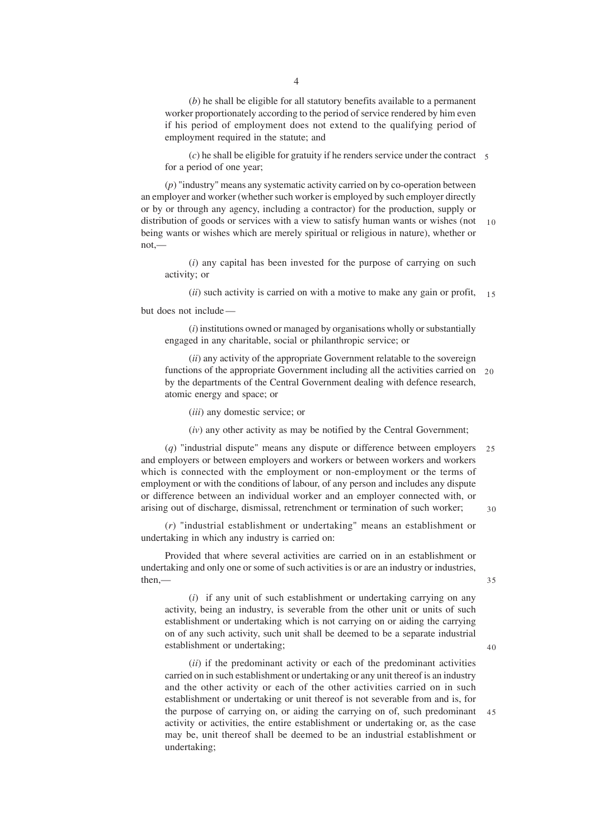(*b*) he shall be eligible for all statutory benefits available to a permanent worker proportionately according to the period of service rendered by him even if his period of employment does not extend to the qualifying period of employment required in the statute; and

 $(c)$  he shall be eligible for gratuity if he renders service under the contract  $5$ for a period of one year;

(*p*) "industry" means any systematic activity carried on by co-operation between an employer and worker (whether such worker is employed by such employer directly or by or through any agency, including a contractor) for the production, supply or distribution of goods or services with a view to satisfy human wants or wishes (not being wants or wishes which are merely spiritual or religious in nature), whether or not,— 10

(*i*) any capital has been invested for the purpose of carrying on such activity; or

(*ii*) such activity is carried on with a motive to make any gain or profit, 15

but does not include —

(*i*) institutions owned or managed by organisations wholly or substantially engaged in any charitable, social or philanthropic service; or

(*ii*) any activity of the appropriate Government relatable to the sovereign functions of the appropriate Government including all the activities carried on 20 by the departments of the Central Government dealing with defence research, atomic energy and space; or

(*iii*) any domestic service; or

(*iv*) any other activity as may be notified by the Central Government;

(*q*) "industrial dispute" means any dispute or difference between employers and employers or between employers and workers or between workers and workers which is connected with the employment or non-employment or the terms of employment or with the conditions of labour, of any person and includes any dispute or difference between an individual worker and an employer connected with, or arising out of discharge, dismissal, retrenchment or termination of such worker;  $25$ 30

35

 $40$ 

(*r*) "industrial establishment or undertaking" means an establishment or undertaking in which any industry is carried on:

Provided that where several activities are carried on in an establishment or undertaking and only one or some of such activities is or are an industry or industries, then,—

(*i*) if any unit of such establishment or undertaking carrying on any activity, being an industry, is severable from the other unit or units of such establishment or undertaking which is not carrying on or aiding the carrying on of any such activity, such unit shall be deemed to be a separate industrial establishment or undertaking;

(*ii*) if the predominant activity or each of the predominant activities carried on in such establishment or undertaking or any unit thereof is an industry and the other activity or each of the other activities carried on in such establishment or undertaking or unit thereof is not severable from and is, for the purpose of carrying on, or aiding the carrying on of, such predominant activity or activities, the entire establishment or undertaking or, as the case may be, unit thereof shall be deemed to be an industrial establishment or undertaking; 45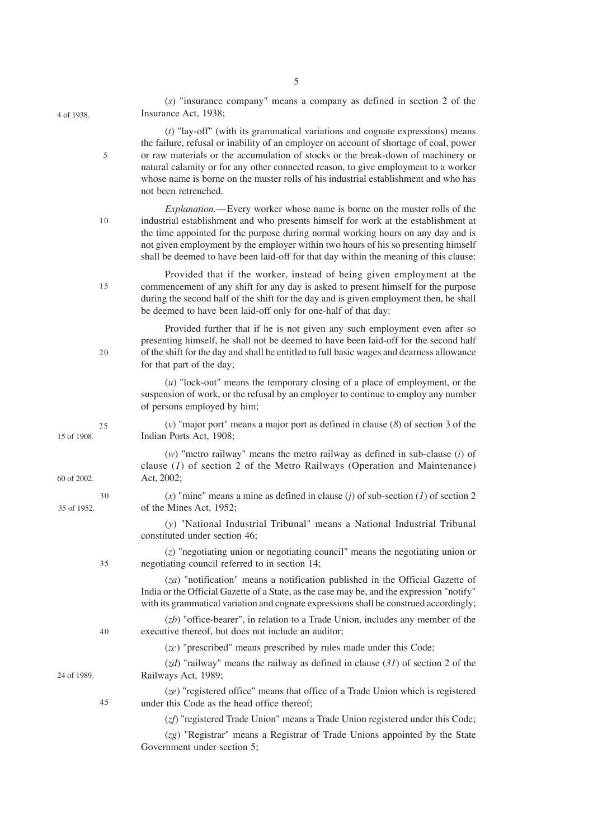| 4 of 1938.  |    | Insurance Act, 1938;                                                                                                                                                                                                                                                                                                                                                                                                                                               |
|-------------|----|--------------------------------------------------------------------------------------------------------------------------------------------------------------------------------------------------------------------------------------------------------------------------------------------------------------------------------------------------------------------------------------------------------------------------------------------------------------------|
|             | 5  | $(t)$ "lay-off" (with its grammatical variations and cognate expressions) means<br>the failure, refusal or inability of an employer on account of shortage of coal, power<br>or raw materials or the accumulation of stocks or the break-down of machinery or<br>natural calamity or for any other connected reason, to give employment to a worker<br>whose name is borne on the muster rolls of his industrial establishment and who has<br>not been retrenched. |
|             | 10 | Explanation.—Every worker whose name is borne on the muster rolls of the<br>industrial establishment and who presents himself for work at the establishment at<br>the time appointed for the purpose during normal working hours on any day and is<br>not given employment by the employer within two hours of his so presenting himself<br>shall be deemed to have been laid-off for that day within the meaning of this clause:                                  |
|             | 15 | Provided that if the worker, instead of being given employment at the<br>commencement of any shift for any day is asked to present himself for the purpose<br>during the second half of the shift for the day and is given employment then, he shall<br>be deemed to have been laid-off only for one-half of that day:                                                                                                                                             |
|             | 20 | Provided further that if he is not given any such employment even after so<br>presenting himself, he shall not be deemed to have been laid-off for the second half<br>of the shift for the day and shall be entitled to full basic wages and dearness allowance<br>for that part of the day;                                                                                                                                                                       |
|             |    | $(u)$ "lock-out" means the temporary closing of a place of employment, or the<br>suspension of work, or the refusal by an employer to continue to employ any number<br>of persons employed by him;                                                                                                                                                                                                                                                                 |
| 15 of 1908. | 25 | (v) "major port" means a major port as defined in clause $(8)$ of section 3 of the<br>Indian Ports Act, 1908;                                                                                                                                                                                                                                                                                                                                                      |
| 60 of 2002. |    | $(w)$ "metro railway" means the metro railway as defined in sub-clause $(i)$ of<br>clause $(I)$ of section 2 of the Metro Railways (Operation and Maintenance)<br>Act, 2002;                                                                                                                                                                                                                                                                                       |
| 35 of 1952. | 30 | (x) "mine" means a mine as defined in clause (j) of sub-section (1) of section 2<br>of the Mines Act, 1952;                                                                                                                                                                                                                                                                                                                                                        |
|             |    | (y) "National Industrial Tribunal" means a National Industrial Tribunal<br>constituted under section 46;                                                                                                                                                                                                                                                                                                                                                           |
|             | 35 | $(z)$ "negotiating union or negotiating council" means the negotiating union or<br>negotiating council referred to in section 14;                                                                                                                                                                                                                                                                                                                                  |
|             |    | $(za)$ "notification" means a notification published in the Official Gazette of<br>India or the Official Gazette of a State, as the case may be, and the expression "notify"<br>with its grammatical variation and cognate expressions shall be construed accordingly;                                                                                                                                                                                             |
|             | 40 | $(zb)$ "office-bearer", in relation to a Trade Union, includes any member of the<br>executive thereof, but does not include an auditor;                                                                                                                                                                                                                                                                                                                            |
|             |    | $(zc)$ "prescribed" means prescribed by rules made under this Code;                                                                                                                                                                                                                                                                                                                                                                                                |
| 24 of 1989. |    | $(zd)$ "railway" means the railway as defined in clause (31) of section 2 of the<br>Railways Act, 1989;                                                                                                                                                                                                                                                                                                                                                            |
|             | 45 | (ze) "registered office" means that office of a Trade Union which is registered<br>under this Code as the head office thereof;                                                                                                                                                                                                                                                                                                                                     |
|             |    | (zf) "registered Trade Union" means a Trade Union registered under this Code;                                                                                                                                                                                                                                                                                                                                                                                      |
|             |    | (zg) "Registrar" means a Registrar of Trade Unions appointed by the State<br>Government under section 5;                                                                                                                                                                                                                                                                                                                                                           |

5

(*s*) "insurance company" means a company as defined in section 2 of the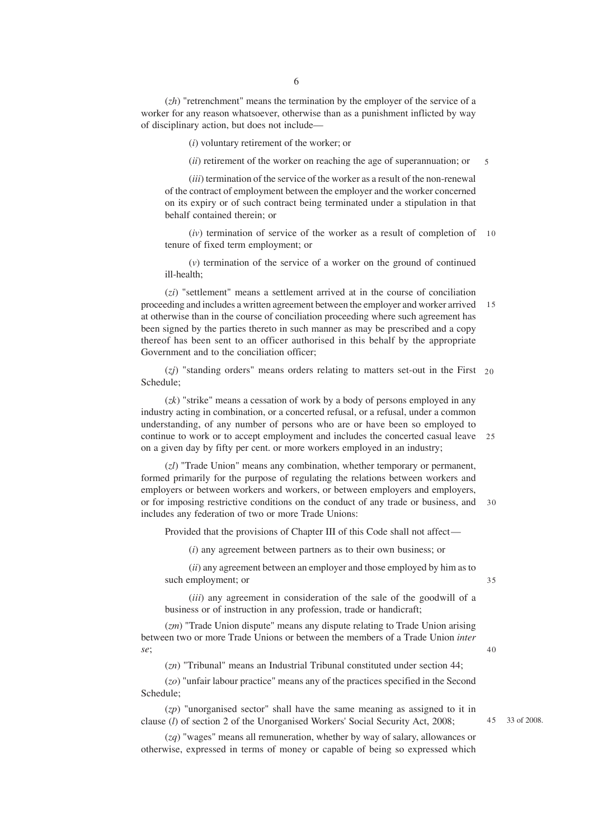(*zh*) "retrenchment" means the termination by the employer of the service of a worker for any reason whatsoever, otherwise than as a punishment inflicted by way of disciplinary action, but does not include—

(*i*) voluntary retirement of the worker; or

(*ii*) retirement of the worker on reaching the age of superannuation; or 5

(*iii*) termination of the service of the worker as a result of the non-renewal of the contract of employment between the employer and the worker concerned on its expiry or of such contract being terminated under a stipulation in that behalf contained therein; or

(*iv*) termination of service of the worker as a result of completion of 10 tenure of fixed term employment; or

(*v*) termination of the service of a worker on the ground of continued ill-health;

(*zi*) "settlement" means a settlement arrived at in the course of conciliation proceeding and includes a written agreement between the employer and worker arrived at otherwise than in the course of conciliation proceeding where such agreement has been signed by the parties thereto in such manner as may be prescribed and a copy thereof has been sent to an officer authorised in this behalf by the appropriate Government and to the conciliation officer; 15

(*zj*) "standing orders" means orders relating to matters set-out in the First 20 Schedule;

(*zk*) "strike" means a cessation of work by a body of persons employed in any industry acting in combination, or a concerted refusal, or a refusal, under a common understanding, of any number of persons who are or have been so employed to continue to work or to accept employment and includes the concerted casual leave 25 on a given day by fifty per cent. or more workers employed in an industry;

(*zl*) "Trade Union" means any combination, whether temporary or permanent, formed primarily for the purpose of regulating the relations between workers and employers or between workers and workers, or between employers and employers, or for imposing restrictive conditions on the conduct of any trade or business, and 30 includes any federation of two or more Trade Unions:

Provided that the provisions of Chapter III of this Code shall not affect—

(*i*) any agreement between partners as to their own business; or

(*ii*) any agreement between an employer and those employed by him as to such employment; or

(*iii*) any agreement in consideration of the sale of the goodwill of a business or of instruction in any profession, trade or handicraft;

(*zm*) "Trade Union dispute" means any dispute relating to Trade Union arising between two or more Trade Unions or between the members of a Trade Union *inter se*;

(*zn*) "Tribunal" means an Industrial Tribunal constituted under section 44;

(*zo*) "unfair labour practice" means any of the practices specified in the Second Schedule;

(*zp*) "unorganised sector" shall have the same meaning as assigned to it in clause (*l*) of section 2 of the Unorganised Workers' Social Security Act, 2008;

(*zq*) "wages" means all remuneration, whether by way of salary, allowances or otherwise, expressed in terms of money or capable of being so expressed which

40

35

33 of 2008. 45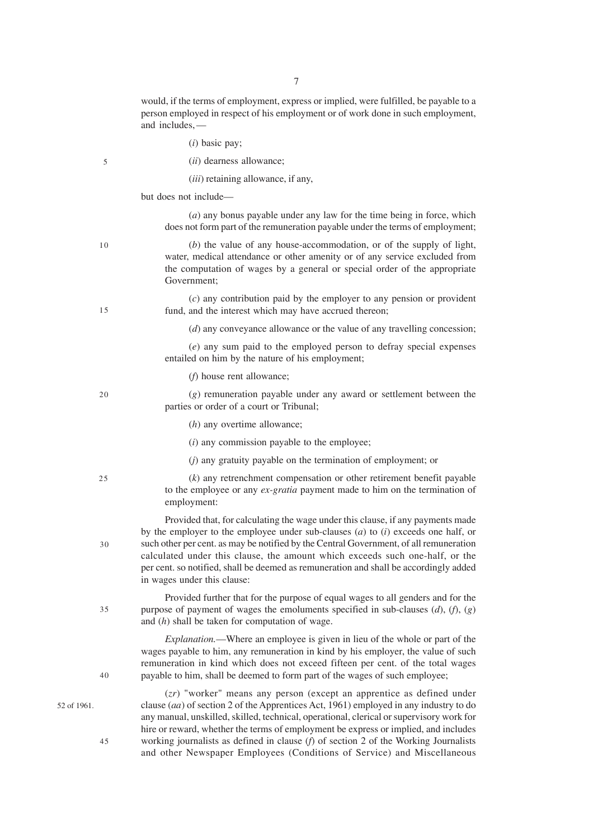would, if the terms of employment, express or implied, were fulfilled, be payable to a person employed in respect of his employment or of work done in such employment, and includes, —

(*i*) basic pay;

| I<br>I<br>×<br>۰. |  |
|-------------------|--|

(*ii*) dearness allowance;

(*iii*) retaining allowance, if any,

but does not include—

(*a*) any bonus payable under any law for the time being in force, which does not form part of the remuneration payable under the terms of employment;

(*b*) the value of any house-accommodation, or of the supply of light, water, medical attendance or other amenity or of any service excluded from the computation of wages by a general or special order of the appropriate Government;

(*c*) any contribution paid by the employer to any pension or provident fund, and the interest which may have accrued thereon;

(*d*) any conveyance allowance or the value of any travelling concession;

(*e*) any sum paid to the employed person to defray special expenses entailed on him by the nature of his employment;

(*f*) house rent allowance;

20

(*g*) remuneration payable under any award or settlement between the parties or order of a court or Tribunal;

- (*h*) any overtime allowance;
- (*i*) any commission payable to the employee;
- (*j*) any gratuity payable on the termination of employment; or

 $25$ 

 $30$ 

35

40

(*k*) any retrenchment compensation or other retirement benefit payable to the employee or any *ex-gratia* payment made to him on the termination of employment:

Provided that, for calculating the wage under this clause, if any payments made by the employer to the employee under sub-clauses (*a*) to (*i*) exceeds one half, or such other per cent. as may be notified by the Central Government, of all remuneration calculated under this clause, the amount which exceeds such one-half, or the per cent. so notified, shall be deemed as remuneration and shall be accordingly added in wages under this clause:

Provided further that for the purpose of equal wages to all genders and for the purpose of payment of wages the emoluments specified in sub-clauses (*d*), (*f*), (*g*) and (*h*) shall be taken for computation of wage.

*Explanation.*—Where an employee is given in lieu of the whole or part of the wages payable to him, any remuneration in kind by his employer, the value of such remuneration in kind which does not exceed fifteen per cent. of the total wages payable to him, shall be deemed to form part of the wages of such employee;

52 of 1961.

45

(*zr*) "worker" means any person (except an apprentice as defined under clause (*aa*) of section 2 of the Apprentices Act, 1961) employed in any industry to do any manual, unskilled, skilled, technical, operational, clerical or supervisory work for hire or reward, whether the terms of employment be express or implied, and includes working journalists as defined in clause (*f*) of section 2 of the Working Journalists and other Newspaper Employees (Conditions of Service) and Miscellaneous

10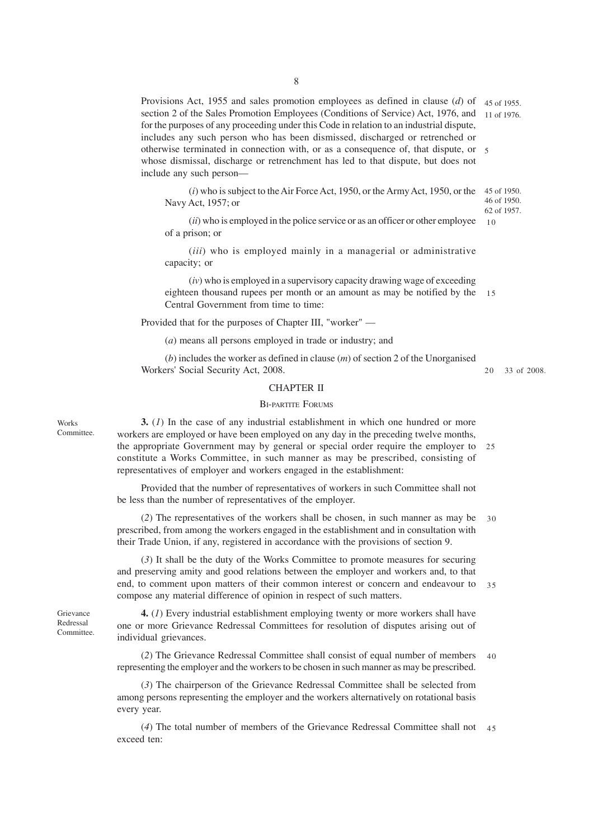Provisions Act, 1955 and sales promotion employees as defined in clause (*d*) of 45 of 1955. section 2 of the Sales Promotion Employees (Conditions of Service) Act, 1976, and 11 of 1976. for the purposes of any proceeding under this Code in relation to an industrial dispute, includes any such person who has been dismissed, discharged or retrenched or otherwise terminated in connection with, or as a consequence of, that dispute, or 5 whose dismissal, discharge or retrenchment has led to that dispute, but does not include any such person—

(*i*) who is subject to the Air Force Act, 1950, or the Army Act, 1950, or the 45 of 1950. Navy Act, 1957; or 46 of 1950. 62 of 1957.

(*ii*) who is employed in the police service or as an officer or other employee of a prison; or

(*iii*) who is employed mainly in a managerial or administrative capacity; or

(*iv*) who is employed in a supervisory capacity drawing wage of exceeding eighteen thousand rupees per month or an amount as may be notified by the Central Government from time to time: 15

Provided that for the purposes of Chapter III, "worker" —

(*a*) means all persons employed in trade or industry; and

(*b*) includes the worker as defined in clause (*m*) of section 2 of the Unorganised Workers' Social Security Act, 2008.

#### CHAPTER II

#### BI-PARTITE FORUMS

**3.** (*1*) In the case of any industrial establishment in which one hundred or more workers are employed or have been employed on any day in the preceding twelve months, the appropriate Government may by general or special order require the employer to constitute a Works Committee, in such manner as may be prescribed, consisting of representatives of employer and workers engaged in the establishment: 25

Provided that the number of representatives of workers in such Committee shall not be less than the number of representatives of the employer.

(*2*) The representatives of the workers shall be chosen, in such manner as may be prescribed, from among the workers engaged in the establishment and in consultation with their Trade Union, if any, registered in accordance with the provisions of section 9. 30

(*3*) It shall be the duty of the Works Committee to promote measures for securing and preserving amity and good relations between the employer and workers and, to that end, to comment upon matters of their common interest or concern and endeavour to 35 compose any material difference of opinion in respect of such matters.

Grievance Redressal Committee.

Works Committee.

> **4.** (*1*) Every industrial establishment employing twenty or more workers shall have one or more Grievance Redressal Committees for resolution of disputes arising out of individual grievances.

(*2*) The Grievance Redressal Committee shall consist of equal number of members representing the employer and the workers to be chosen in such manner as may be prescribed. 40

(*3*) The chairperson of the Grievance Redressal Committee shall be selected from among persons representing the employer and the workers alternatively on rotational basis every year.

(*4*) The total number of members of the Grievance Redressal Committee shall not 45exceed ten:

33 of 2008. 20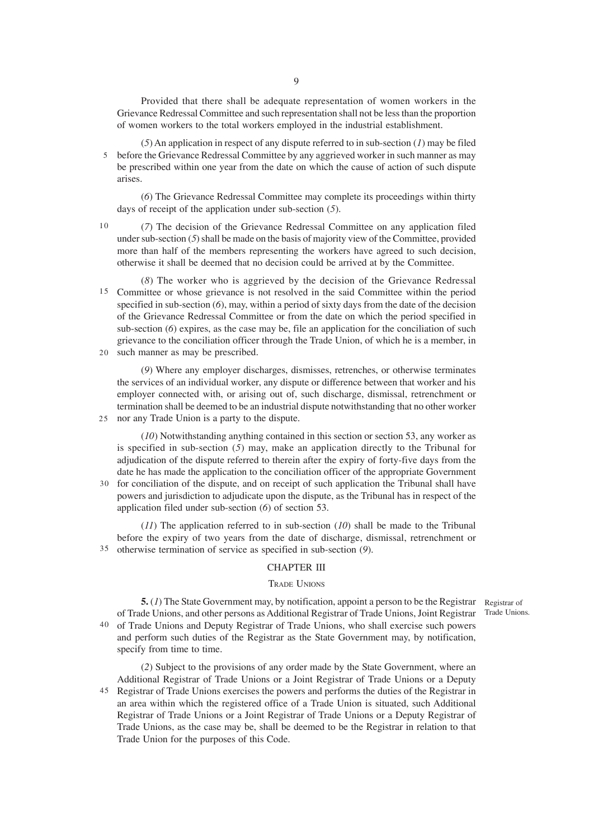Provided that there shall be adequate representation of women workers in the Grievance Redressal Committee and such representation shall not be less than the proportion of women workers to the total workers employed in the industrial establishment.

(*5*) An application in respect of any dispute referred to in sub-section (*1*) may be filed before the Grievance Redressal Committee by any aggrieved worker in such manner as may 5 be prescribed within one year from the date on which the cause of action of such dispute arises.

(*6*) The Grievance Redressal Committee may complete its proceedings within thirty days of receipt of the application under sub-section (*5*).

- (*7*) The decision of the Grievance Redressal Committee on any application filed under sub-section (*5*) shall be made on the basis of majority view of the Committee, provided more than half of the members representing the workers have agreed to such decision, otherwise it shall be deemed that no decision could be arrived at by the Committee. 10
- (*8*) The worker who is aggrieved by the decision of the Grievance Redressal Committee or whose grievance is not resolved in the said Committee within the period 15 specified in sub-section (*6*), may, within a period of sixty days from the date of the decision of the Grievance Redressal Committee or from the date on which the period specified in sub-section (*6*) expires, as the case may be, file an application for the conciliation of such grievance to the conciliation officer through the Trade Union, of which he is a member, in 20 such manner as may be prescribed.
- (*9*) Where any employer discharges, dismisses, retrenches, or otherwise terminates the services of an individual worker, any dispute or difference between that worker and his employer connected with, or arising out of, such discharge, dismissal, retrenchment or termination shall be deemed to be an industrial dispute notwithstanding that no other worker nor any Trade Union is a party to the dispute. 25

(*10*) Notwithstanding anything contained in this section or section 53, any worker as is specified in sub-section (*5*) may, make an application directly to the Tribunal for adjudication of the dispute referred to therein after the expiry of forty-five days from the date he has made the application to the conciliation officer of the appropriate Government for conciliation of the dispute, and on receipt of such application the Tribunal shall have powers and jurisdiction to adjudicate upon the dispute, as the Tribunal has in respect of the application filed under sub-section (*6*) of section 53. 30

(*11*) The application referred to in sub-section (*10*) shall be made to the Tribunal before the expiry of two years from the date of discharge, dismissal, retrenchment or otherwise termination of service as specified in sub-section (*9*). 35

#### CHAPTER III

#### TRADE UNIONS

**5.** (1) The State Government may, by notification, appoint a person to be the Registrar Registrar of of Trade Unions, and other persons as Additional Registrar of Trade Unions, Joint Registrar 40 of Trade Unions and Deputy Registrar of Trade Unions, who shall exercise such powers and perform such duties of the Registrar as the State Government may, by notification, specify from time to time.

(*2*) Subject to the provisions of any order made by the State Government, where an Additional Registrar of Trade Unions or a Joint Registrar of Trade Unions or a Deputy 45 Registrar of Trade Unions exercises the powers and performs the duties of the Registrar in an area within which the registered office of a Trade Union is situated, such Additional Registrar of Trade Unions or a Joint Registrar of Trade Unions or a Deputy Registrar of Trade Unions, as the case may be, shall be deemed to be the Registrar in relation to that Trade Union for the purposes of this Code.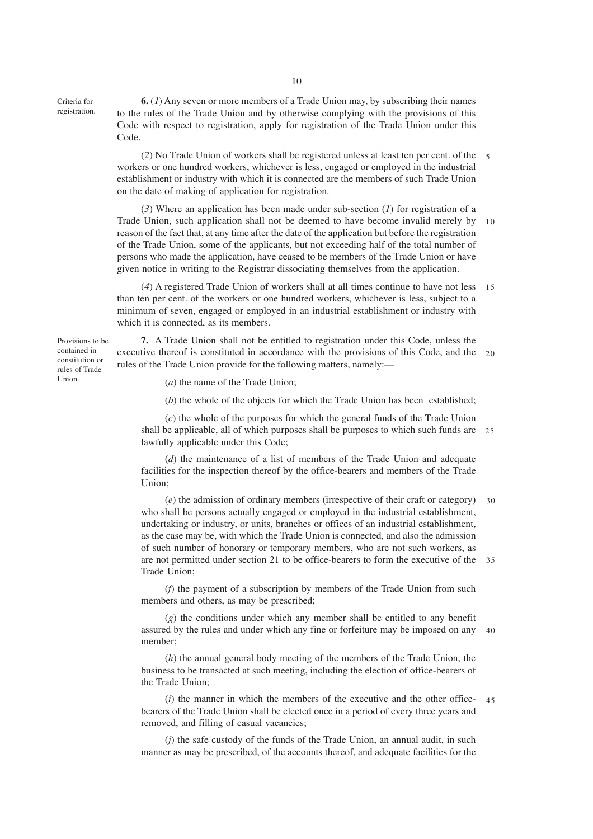Criteria for registration.

**6.** (*1*) Any seven or more members of a Trade Union may, by subscribing their names to the rules of the Trade Union and by otherwise complying with the provisions of this Code with respect to registration, apply for registration of the Trade Union under this Code.

(*2*) No Trade Union of workers shall be registered unless at least ten per cent. of the 5 workers or one hundred workers, whichever is less, engaged or employed in the industrial establishment or industry with which it is connected are the members of such Trade Union on the date of making of application for registration.

(*3*) Where an application has been made under sub-section (*1*) for registration of a Trade Union, such application shall not be deemed to have become invalid merely by reason of the fact that, at any time after the date of the application but before the registration of the Trade Union, some of the applicants, but not exceeding half of the total number of persons who made the application, have ceased to be members of the Trade Union or have given notice in writing to the Registrar dissociating themselves from the application. 10

(*4*) A registered Trade Union of workers shall at all times continue to have not less 15 than ten per cent. of the workers or one hundred workers, whichever is less, subject to a minimum of seven, engaged or employed in an industrial establishment or industry with which it is connected, as its members.

**7.** A Trade Union shall not be entitled to registration under this Code, unless the executive thereof is constituted in accordance with the provisions of this Code, and the 20 rules of the Trade Union provide for the following matters, namely:—

(*a*) the name of the Trade Union;

(*b*) the whole of the objects for which the Trade Union has been established;

(*c*) the whole of the purposes for which the general funds of the Trade Union shall be applicable, all of which purposes shall be purposes to which such funds are 25 lawfully applicable under this Code;

(*d*) the maintenance of a list of members of the Trade Union and adequate facilities for the inspection thereof by the office-bearers and members of the Trade Union;

(*e*) the admission of ordinary members (irrespective of their craft or category) who shall be persons actually engaged or employed in the industrial establishment, undertaking or industry, or units, branches or offices of an industrial establishment, as the case may be, with which the Trade Union is connected, and also the admission of such number of honorary or temporary members, who are not such workers, as are not permitted under section 21 to be office-bearers to form the executive of the 35 Trade Union; 30

(*f*) the payment of a subscription by members of the Trade Union from such members and others, as may be prescribed;

(*g*) the conditions under which any member shall be entitled to any benefit assured by the rules and under which any fine or forfeiture may be imposed on any 40 member;

(*h*) the annual general body meeting of the members of the Trade Union, the business to be transacted at such meeting, including the election of office-bearers of the Trade Union;

(*i*) the manner in which the members of the executive and the other officebearers of the Trade Union shall be elected once in a period of every three years and removed, and filling of casual vacancies; 45

(*j*) the safe custody of the funds of the Trade Union, an annual audit, in such manner as may be prescribed, of the accounts thereof, and adequate facilities for the

Provisions to be contained in constitution or rules of Trade Union.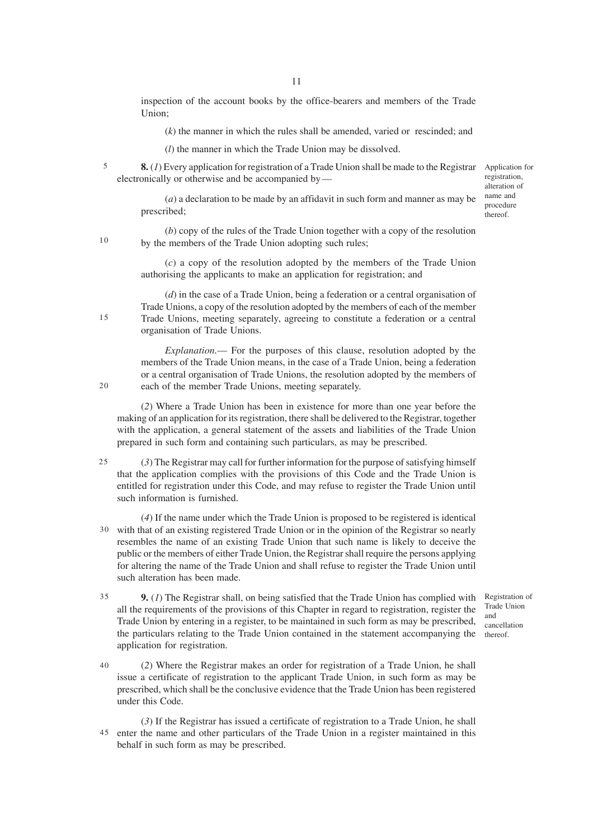inspection of the account books by the office-bearers and members of the Trade Union;

(*k*) the manner in which the rules shall be amended, varied or rescinded; and

(*l*) the manner in which the Trade Union may be dissolved.

**8.** (*1*) Every application for registration of a Trade Union shall be made to the Registrar electronically or otherwise and be accompanied by— 5

Application for registration, alteration of name and procedure thereof.

(*a*) a declaration to be made by an affidavit in such form and manner as may be prescribed;

(*b*) copy of the rules of the Trade Union together with a copy of the resolution by the members of the Trade Union adopting such rules;

(*c*) a copy of the resolution adopted by the members of the Trade Union authorising the applicants to make an application for registration; and

(*d*) in the case of a Trade Union, being a federation or a central organisation of Trade Unions, a copy of the resolution adopted by the members of each of the member Trade Unions, meeting separately, agreeing to constitute a federation or a central organisation of Trade Unions.

*Explanation.*— For the purposes of this clause, resolution adopted by the members of the Trade Union means, in the case of a Trade Union, being a federation or a central organisation of Trade Unions, the resolution adopted by the members of each of the member Trade Unions, meeting separately.

(*2*) Where a Trade Union has been in existence for more than one year before the making of an application for its registration, there shall be delivered to the Registrar, together with the application, a general statement of the assets and liabilities of the Trade Union prepared in such form and containing such particulars, as may be prescribed.

(*3*) The Registrar may call for further information for the purpose of satisfying himself that the application complies with the provisions of this Code and the Trade Union is entitled for registration under this Code, and may refuse to register the Trade Union until such information is furnished. 25

(*4*) If the name under which the Trade Union is proposed to be registered is identical with that of an existing registered Trade Union or in the opinion of the Registrar so nearly 30 resembles the name of an existing Trade Union that such name is likely to deceive the public or the members of either Trade Union, the Registrar shall require the persons applying for altering the name of the Trade Union and shall refuse to register the Trade Union until such alteration has been made.

**9.** (*1*) The Registrar shall, on being satisfied that the Trade Union has complied with all the requirements of the provisions of this Chapter in regard to registration, register the Trade Union by entering in a register, to be maintained in such form as may be prescribed, the particulars relating to the Trade Union contained in the statement accompanying the application for registration. 35

(*2*) Where the Registrar makes an order for registration of a Trade Union, he shall issue a certificate of registration to the applicant Trade Union, in such form as may be prescribed, which shall be the conclusive evidence that the Trade Union has been registered under this Code. 40

(*3*) If the Registrar has issued a certificate of registration to a Trade Union, he shall 45 enter the name and other particulars of the Trade Union in a register maintained in this behalf in such form as may be prescribed.

Registration of Trade Union and cancellation

thereof.

15

10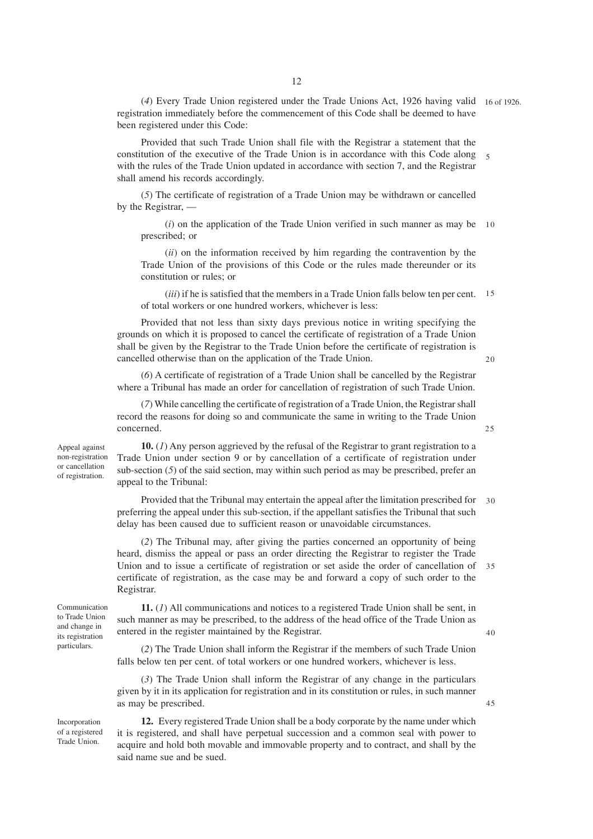(*4*) Every Trade Union registered under the Trade Unions Act, 1926 having valid 16 of 1926. registration immediately before the commencement of this Code shall be deemed to have been registered under this Code:

Provided that such Trade Union shall file with the Registrar a statement that the constitution of the executive of the Trade Union is in accordance with this Code along 5 with the rules of the Trade Union updated in accordance with section 7, and the Registrar shall amend his records accordingly.

(*5*) The certificate of registration of a Trade Union may be withdrawn or cancelled by the Registrar, —

(*i*) on the application of the Trade Union verified in such manner as may be 10 prescribed; or

(*ii*) on the information received by him regarding the contravention by the Trade Union of the provisions of this Code or the rules made thereunder or its constitution or rules; or

(*iii*) if he is satisfied that the members in a Trade Union falls below ten per cent. of total workers or one hundred workers, whichever is less: 15

Provided that not less than sixty days previous notice in writing specifying the grounds on which it is proposed to cancel the certificate of registration of a Trade Union shall be given by the Registrar to the Trade Union before the certificate of registration is cancelled otherwise than on the application of the Trade Union.

(*6*) A certificate of registration of a Trade Union shall be cancelled by the Registrar where a Tribunal has made an order for cancellation of registration of such Trade Union.

(*7*) While cancelling the certificate of registration of a Trade Union, the Registrar shall record the reasons for doing so and communicate the same in writing to the Trade Union concerned.

Appeal against non-registration or cancellation of registration.

**10.** (*1*) Any person aggrieved by the refusal of the Registrar to grant registration to a Trade Union under section 9 or by cancellation of a certificate of registration under sub-section (*5*) of the said section, may within such period as may be prescribed, prefer an appeal to the Tribunal:

Provided that the Tribunal may entertain the appeal after the limitation prescribed for preferring the appeal under this sub-section, if the appellant satisfies the Tribunal that such delay has been caused due to sufficient reason or unavoidable circumstances. 30

(*2*) The Tribunal may, after giving the parties concerned an opportunity of being heard, dismiss the appeal or pass an order directing the Registrar to register the Trade Union and to issue a certificate of registration or set aside the order of cancellation of 35 certificate of registration, as the case may be and forward a copy of such order to the Registrar.

Communication to Trade Union and change in its registration particulars.

Incorporation of a registered Trade Union.

**11.** (*1*) All communications and notices to a registered Trade Union shall be sent, in such manner as may be prescribed, to the address of the head office of the Trade Union as entered in the register maintained by the Registrar.

(*2*) The Trade Union shall inform the Registrar if the members of such Trade Union falls below ten per cent. of total workers or one hundred workers, whichever is less.

(*3*) The Trade Union shall inform the Registrar of any change in the particulars given by it in its application for registration and in its constitution or rules, in such manner as may be prescribed.

**12.** Every registered Trade Union shall be a body corporate by the name under which it is registered, and shall have perpetual succession and a common seal with power to acquire and hold both movable and immovable property and to contract, and shall by the said name sue and be sued.

 $25$ 

40

45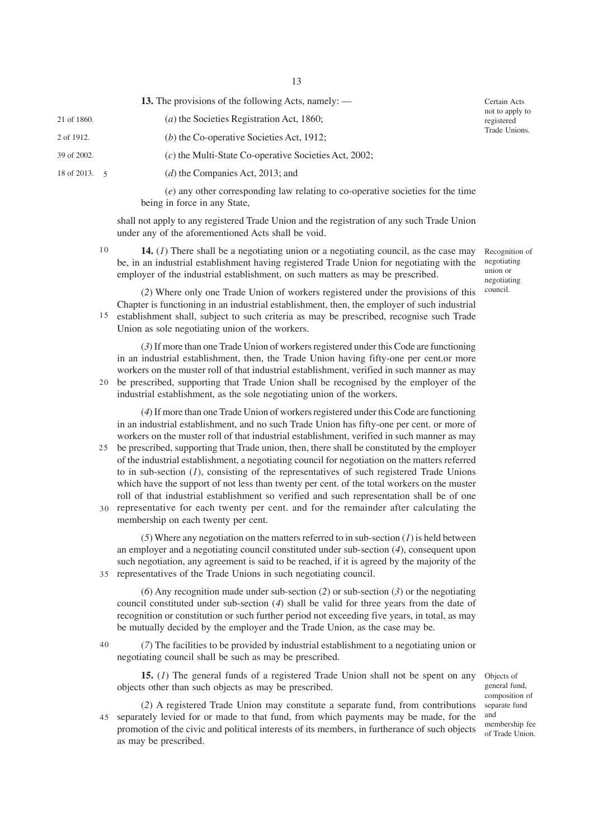13

**13.** The provisions of the following Acts, namely: —

- (*a*) the Societies Registration Act, 1860; 21 of 1860.
- (*b*) the Co-operative Societies Act, 1912; 2 of 1912.
- 39 of 2002.
- 18 of 2013. 5

(*c*) the Multi-State Co-operative Societies Act, 2002;

(*d*) the Companies Act, 2013; and

(*e*) any other corresponding law relating to co-operative societies for the time being in force in any State,

shall not apply to any registered Trade Union and the registration of any such Trade Union under any of the aforementioned Acts shall be void.

10

**14.** (*1*) There shall be a negotiating union or a negotiating council, as the case may be, in an industrial establishment having registered Trade Union for negotiating with the employer of the industrial establishment, on such matters as may be prescribed.

Recognition of negotiating union or negotiating council.

Certain Acts not to apply to registered Trade Unions.

(*2*) Where only one Trade Union of workers registered under the provisions of this Chapter is functioning in an industrial establishment, then, the employer of such industrial establishment shall, subject to such criteria as may be prescribed, recognise such Trade Union as sole negotiating union of the workers. 15

(*3*) If more than one Trade Union of workers registered under this Code are functioning in an industrial establishment, then, the Trade Union having fifty-one per cent.or more workers on the muster roll of that industrial establishment, verified in such manner as may 20 be prescribed, supporting that Trade Union shall be recognised by the employer of the industrial establishment, as the sole negotiating union of the workers.

(*4*) If more than one Trade Union of workers registered under this Code are functioning in an industrial establishment, and no such Trade Union has fifty-one per cent. or more of workers on the muster roll of that industrial establishment, verified in such manner as may be prescribed, supporting that Trade union, then, there shall be constituted by the employer

of the industrial establishment, a negotiating council for negotiation on the matters referred to in sub-section (*1*), consisting of the representatives of such registered Trade Unions which have the support of not less than twenty per cent. of the total workers on the muster roll of that industrial establishment so verified and such representation shall be of one 30 representative for each twenty per cent. and for the remainder after calculating the membership on each twenty per cent.

(*5*) Where any negotiation on the matters referred to in sub-section (*1*) is held between an employer and a negotiating council constituted under sub-section (*4*), consequent upon such negotiation, any agreement is said to be reached, if it is agreed by the majority of the 35 representatives of the Trade Unions in such negotiating council.

(*6*) Any recognition made under sub-section (*2*) or sub-section (*3*) or the negotiating council constituted under sub-section (*4*) shall be valid for three years from the date of recognition or constitution or such further period not exceeding five years, in total, as may be mutually decided by the employer and the Trade Union, as the case may be.

(*7*) The facilities to be provided by industrial establishment to a negotiating union or negotiating council shall be such as may be prescribed.

**15.** (*I*) The general funds of a registered Trade Union shall not be spent on any objects of objects other than such objects as may be prescribed.

general fund, composition of separate fund and membership fee of Trade Union.

(*2*) A registered Trade Union may constitute a separate fund, from contributions 45 separately levied for or made to that fund, from which payments may be made, for the promotion of the civic and political interests of its members, in furtherance of such objects as may be prescribed.

40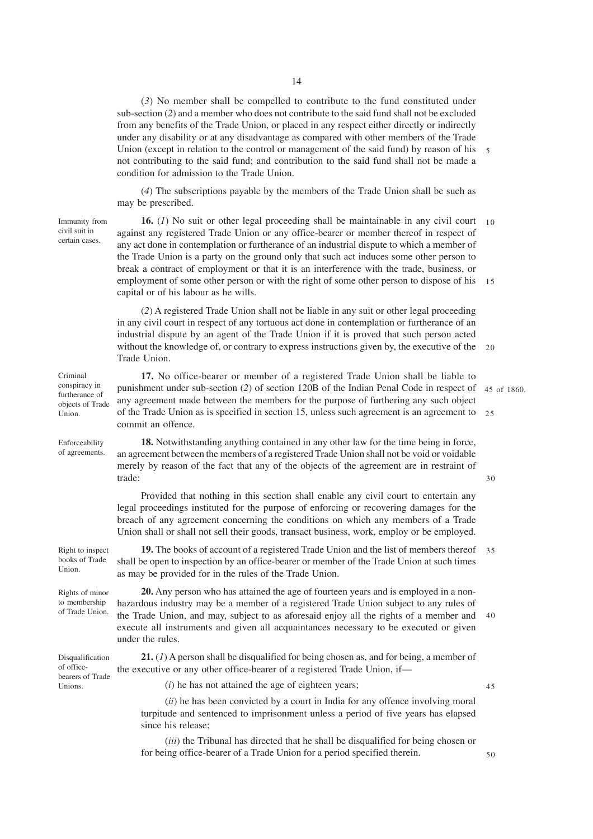(*3*) No member shall be compelled to contribute to the fund constituted under sub-section (*2*) and a member who does not contribute to the said fund shall not be excluded from any benefits of the Trade Union, or placed in any respect either directly or indirectly under any disability or at any disadvantage as compared with other members of the Trade Union (except in relation to the control or management of the said fund) by reason of his 5 not contributing to the said fund; and contribution to the said fund shall not be made a condition for admission to the Trade Union.

(*4*) The subscriptions payable by the members of the Trade Union shall be such as may be prescribed.

Immunity from civil suit in certain cases.

Criminal conspiracy in

Union.

Enforceability of agreements.

**16.** (*1*) No suit or other legal proceeding shall be maintainable in any civil court against any registered Trade Union or any office-bearer or member thereof in respect of any act done in contemplation or furtherance of an industrial dispute to which a member of the Trade Union is a party on the ground only that such act induces some other person to break a contract of employment or that it is an interference with the trade, business, or employment of some other person or with the right of some other person to dispose of his 15 capital or of his labour as he wills.  $10$ 

(*2*) A registered Trade Union shall not be liable in any suit or other legal proceeding in any civil court in respect of any tortuous act done in contemplation or furtherance of an industrial dispute by an agent of the Trade Union if it is proved that such person acted without the knowledge of, or contrary to express instructions given by, the executive of the 20 Trade Union.

**17.** No office-bearer or member of a registered Trade Union shall be liable to punishment under sub-section (2) of section 120B of the Indian Penal Code in respect of 45 of 1860. any agreement made between the members for the purpose of furthering any such object of the Trade Union as is specified in section 15, unless such agreement is an agreement to 25 commit an offence. furtherance of objects of Trade

30

**18.** Notwithstanding anything contained in any other law for the time being in force, an agreement between the members of a registered Trade Union shall not be void or voidable merely by reason of the fact that any of the objects of the agreement are in restraint of trade:

Provided that nothing in this section shall enable any civil court to entertain any legal proceedings instituted for the purpose of enforcing or recovering damages for the breach of any agreement concerning the conditions on which any members of a Trade Union shall or shall not sell their goods, transact business, work, employ or be employed.

**19.** The books of account of a registered Trade Union and the list of members thereof 35 shall be open to inspection by an office-bearer or member of the Trade Union at such times as may be provided for in the rules of the Trade Union. Right to inspect

Rights of minor to membership of Trade Union.

of office-

Unions.

books of Trade Union.

> **20.** Any person who has attained the age of fourteen years and is employed in a nonhazardous industry may be a member of a registered Trade Union subject to any rules of the Trade Union, and may, subject to as aforesaid enjoy all the rights of a member and execute all instruments and given all acquaintances necessary to be executed or given under the rules. 40

**21.** (*1*) A person shall be disqualified for being chosen as, and for being, a member of the executive or any other office-bearer of a registered Trade Union, if— Disqualification bearers of Trade

(*i*) he has not attained the age of eighteen years;

45

(*ii*) he has been convicted by a court in India for any offence involving moral turpitude and sentenced to imprisonment unless a period of five years has elapsed since his release;

(*iii*) the Tribunal has directed that he shall be disqualified for being chosen or for being office-bearer of a Trade Union for a period specified therein.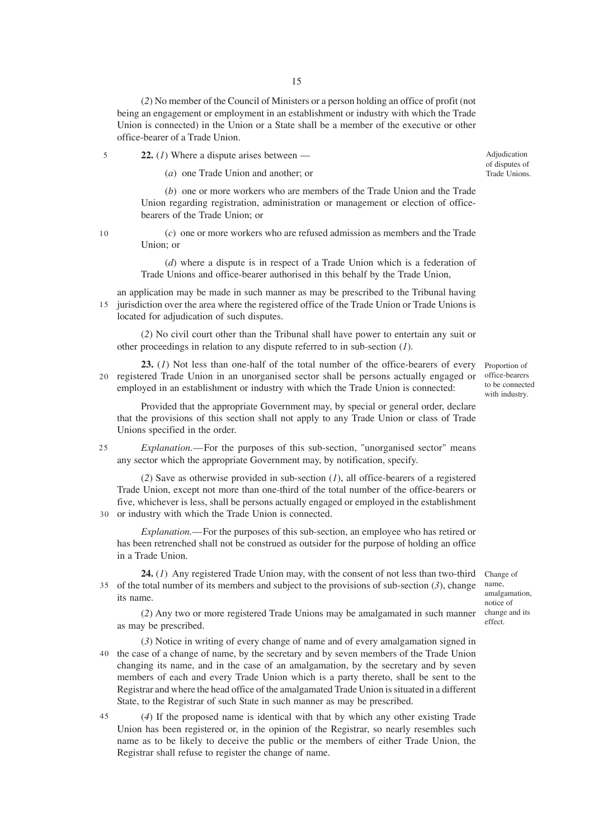(*2*) No member of the Council of Ministers or a person holding an office of profit (not being an engagement or employment in an establishment or industry with which the Trade Union is connected) in the Union or a State shall be a member of the executive or other office-bearer of a Trade Union.

**22.** (*1*) Where a dispute arises between —

(*a*) one Trade Union and another; or

(*b*) one or more workers who are members of the Trade Union and the Trade Union regarding registration, administration or management or election of officebearers of the Trade Union; or

10

5

(*c*) one or more workers who are refused admission as members and the Trade Union; or

(*d*) where a dispute is in respect of a Trade Union which is a federation of Trade Unions and office-bearer authorised in this behalf by the Trade Union,

an application may be made in such manner as may be prescribed to the Tribunal having jurisdiction over the area where the registered office of the Trade Union or Trade Unions is located for adjudication of such disputes. 15

(*2*) No civil court other than the Tribunal shall have power to entertain any suit or other proceedings in relation to any dispute referred to in sub-section (*1*).

**23.** (*1*) Not less than one-half of the total number of the office-bearers of every 20 registered Trade Union in an unorganised sector shall be persons actually engaged or employed in an establishment or industry with which the Trade Union is connected:

Provided that the appropriate Government may, by special or general order, declare that the provisions of this section shall not apply to any Trade Union or class of Trade Unions specified in the order.

*Explanation.*—For the purposes of this sub-section, "unorganised sector" means any sector which the appropriate Government may, by notification, specify. 25

(*2*) Save as otherwise provided in sub-section (*1*), all office-bearers of a registered Trade Union, except not more than one-third of the total number of the office-bearers or five, whichever is less, shall be persons actually engaged or employed in the establishment 30 or industry with which the Trade Union is connected.

*Explanation.*—For the purposes of this sub-section, an employee who has retired or has been retrenched shall not be construed as outsider for the purpose of holding an office in a Trade Union.

**24.** (1) Any registered Trade Union may, with the consent of not less than two-third Change of 35 of the total number of its members and subject to the provisions of sub-section (3), change its name.

name, amalgamation, notice of change and its effect.

(*2*) Any two or more registered Trade Unions may be amalgamated in such manner as may be prescribed.

(*3*) Notice in writing of every change of name and of every amalgamation signed in 40 the case of a change of name, by the secretary and by seven members of the Trade Union changing its name, and in the case of an amalgamation, by the secretary and by seven members of each and every Trade Union which is a party thereto, shall be sent to the Registrar and where the head office of the amalgamated Trade Union is situated in a different State, to the Registrar of such State in such manner as may be prescribed.

(*4*) If the proposed name is identical with that by which any other existing Trade Union has been registered or, in the opinion of the Registrar, so nearly resembles such name as to be likely to deceive the public or the members of either Trade Union, the Registrar shall refuse to register the change of name.

Adjudication of disputes of Trade Unions.

Proportion of office-bearers to be connected

with industry.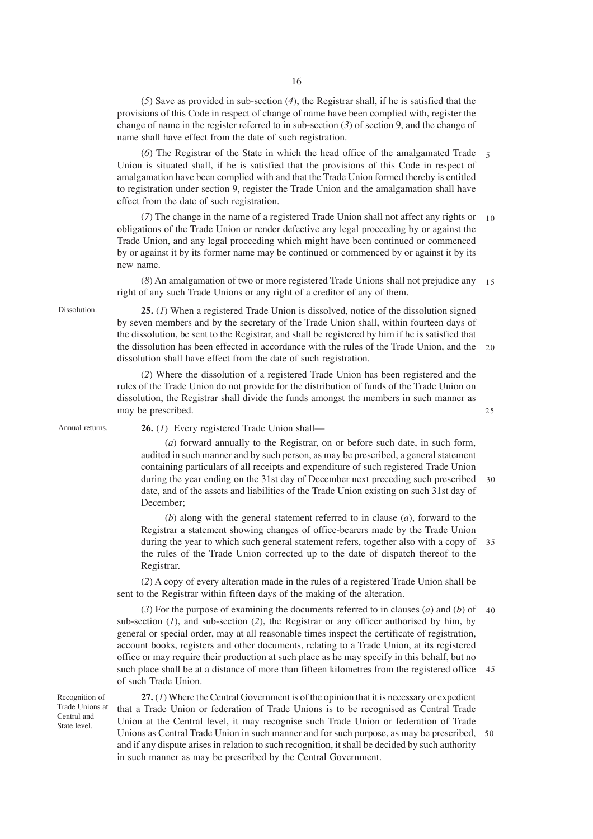(*5*) Save as provided in sub-section (*4*), the Registrar shall, if he is satisfied that the provisions of this Code in respect of change of name have been complied with, register the change of name in the register referred to in sub-section (*3*) of section 9, and the change of name shall have effect from the date of such registration.

(*6*) The Registrar of the State in which the head office of the amalgamated Trade 5 Union is situated shall, if he is satisfied that the provisions of this Code in respect of amalgamation have been complied with and that the Trade Union formed thereby is entitled to registration under section 9, register the Trade Union and the amalgamation shall have effect from the date of such registration.

(*7*) The change in the name of a registered Trade Union shall not affect any rights or 10 obligations of the Trade Union or render defective any legal proceeding by or against the Trade Union, and any legal proceeding which might have been continued or commenced by or against it by its former name may be continued or commenced by or against it by its new name.

(*8*) An amalgamation of two or more registered Trade Unions shall not prejudice any right of any such Trade Unions or any right of a creditor of any of them. 15

Dissolution.

**25.** (*1*) When a registered Trade Union is dissolved, notice of the dissolution signed by seven members and by the secretary of the Trade Union shall, within fourteen days of the dissolution, be sent to the Registrar, and shall be registered by him if he is satisfied that the dissolution has been effected in accordance with the rules of the Trade Union, and the 20 dissolution shall have effect from the date of such registration.

(*2*) Where the dissolution of a registered Trade Union has been registered and the rules of the Trade Union do not provide for the distribution of funds of the Trade Union on dissolution, the Registrar shall divide the funds amongst the members in such manner as may be prescribed.

Annual returns.

**26.** (*1*) Every registered Trade Union shall—

(*a*) forward annually to the Registrar, on or before such date, in such form, audited in such manner and by such person, as may be prescribed, a general statement containing particulars of all receipts and expenditure of such registered Trade Union during the year ending on the 31st day of December next preceding such prescribed date, and of the assets and liabilities of the Trade Union existing on such 31st day of December;  $30$ 

25

(*b*) along with the general statement referred to in clause (*a*), forward to the Registrar a statement showing changes of office-bearers made by the Trade Union during the year to which such general statement refers, together also with a copy of 35 the rules of the Trade Union corrected up to the date of dispatch thereof to the Registrar.

(*2*) A copy of every alteration made in the rules of a registered Trade Union shall be sent to the Registrar within fifteen days of the making of the alteration.

(3) For the purpose of examining the documents referred to in clauses  $(a)$  and  $(b)$  of 40 sub-section  $(1)$ , and sub-section  $(2)$ , the Registrar or any officer authorised by him, by general or special order, may at all reasonable times inspect the certificate of registration, account books, registers and other documents, relating to a Trade Union, at its registered office or may require their production at such place as he may specify in this behalf, but no such place shall be at a distance of more than fifteen kilometres from the registered office of such Trade Union. 45

Recognition of Trade Unions at Central and State level.

**27.** (*1*) Where the Central Government is of the opinion that it is necessary or expedient that a Trade Union or federation of Trade Unions is to be recognised as Central Trade Union at the Central level, it may recognise such Trade Union or federation of Trade Unions as Central Trade Union in such manner and for such purpose, as may be prescribed, 50and if any dispute arises in relation to such recognition, it shall be decided by such authority in such manner as may be prescribed by the Central Government.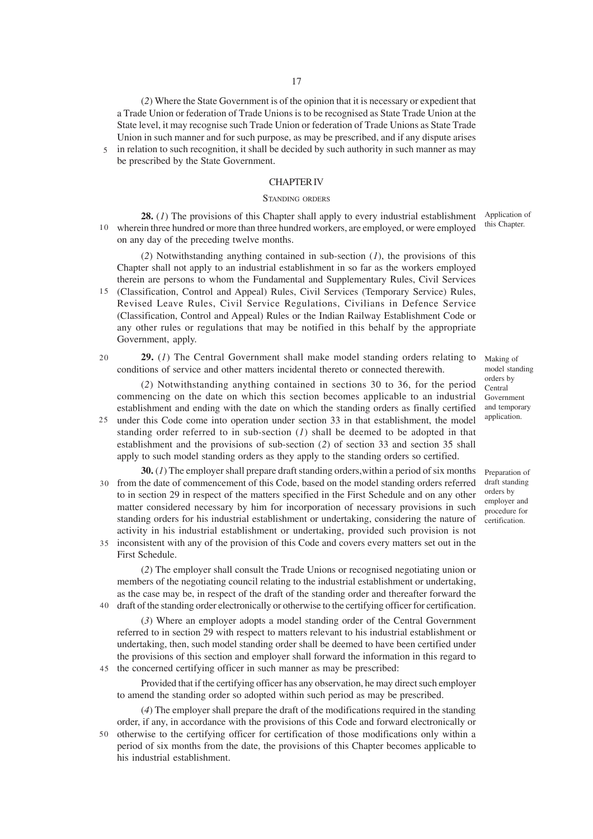(*2*) Where the State Government is of the opinion that it is necessary or expedient that a Trade Union or federation of Trade Unions is to be recognised as State Trade Union at the State level, it may recognise such Trade Union or federation of Trade Unions as State Trade Union in such manner and for such purpose, as may be prescribed, and if any dispute arises

in relation to such recognition, it shall be decided by such authority in such manner as may be prescribed by the State Government. 5

#### CHAPTER IV

#### STANDING ORDERS

**28.** (*1*) The provisions of this Chapter shall apply to every industrial establishment wherein three hundred or more than three hundred workers, are employed, or were employed 10 on any day of the preceding twelve months. Application of

(*2*) Notwithstanding anything contained in sub-section (*1*), the provisions of this Chapter shall not apply to an industrial establishment in so far as the workers employed therein are persons to whom the Fundamental and Supplementary Rules, Civil Services

(Classification, Control and Appeal) Rules, Civil Services (Temporary Service) Rules, Revised Leave Rules, Civil Service Regulations, Civilians in Defence Service (Classification, Control and Appeal) Rules or the Indian Railway Establishment Code or any other rules or regulations that may be notified in this behalf by the appropriate Government, apply. 15

**29.** (*1*) The Central Government shall make model standing orders relating to conditions of service and other matters incidental thereto or connected therewith.  $20$ 

(*2*) Notwithstanding anything contained in sections 30 to 36, for the period commencing on the date on which this section becomes applicable to an industrial establishment and ending with the date on which the standing orders as finally certified

- under this Code come into operation under section 33 in that establishment, the model 25 standing order referred to in sub-section (*1*) shall be deemed to be adopted in that establishment and the provisions of sub-section (*2*) of section 33 and section 35 shall apply to such model standing orders as they apply to the standing orders so certified.
- **30.** (*1*) The employer shall prepare draft standing orders,within a period of six months from the date of commencement of this Code, based on the model standing orders referred to in section 29 in respect of the matters specified in the First Schedule and on any other matter considered necessary by him for incorporation of necessary provisions in such standing orders for his industrial establishment or undertaking, considering the nature of activity in his industrial establishment or undertaking, provided such provision is not inconsistent with any of the provision of this Code and covers every matters set out in the 35 30
- First Schedule.

(*2*) The employer shall consult the Trade Unions or recognised negotiating union or members of the negotiating council relating to the industrial establishment or undertaking, as the case may be, in respect of the draft of the standing order and thereafter forward the draft of the standing order electronically or otherwise to the certifying officer for certification. 40

(*3*) Where an employer adopts a model standing order of the Central Government referred to in section 29 with respect to matters relevant to his industrial establishment or undertaking, then, such model standing order shall be deemed to have been certified under the provisions of this section and employer shall forward the information in this regard to 45 the concerned certifying officer in such manner as may be prescribed:

Provided that if the certifying officer has any observation, he may direct such employer to amend the standing order so adopted within such period as may be prescribed.

(*4*) The employer shall prepare the draft of the modifications required in the standing order, if any, in accordance with the provisions of this Code and forward electronically or 50 otherwise to the certifying officer for certification of those modifications only within a period of six months from the date, the provisions of this Chapter becomes applicable to his industrial establishment.

this Chapter.

Making of model standing orders by Central Government and temporary application.

Preparation of draft standing orders by employer and procedure for certification.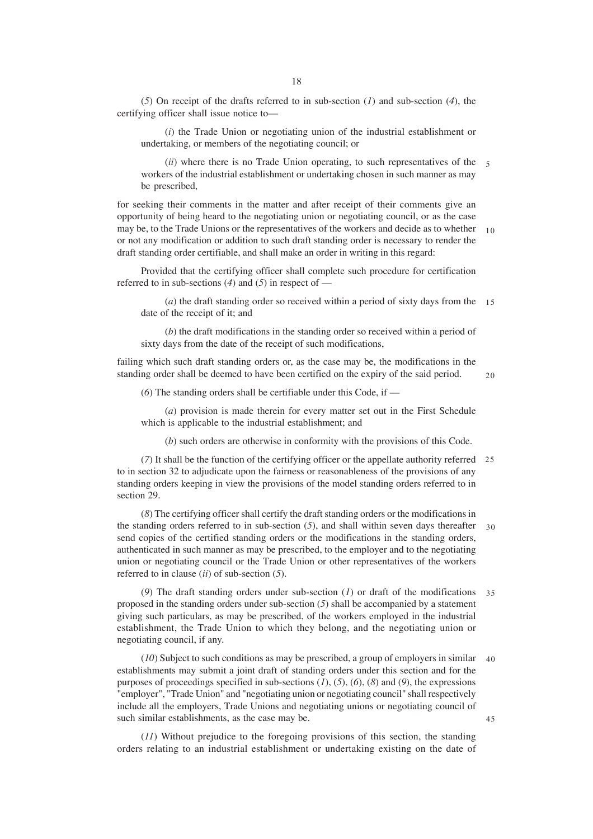(*5*) On receipt of the drafts referred to in sub-section (*1*) and sub-section (*4*), the certifying officer shall issue notice to—

(*i*) the Trade Union or negotiating union of the industrial establishment or undertaking, or members of the negotiating council; or

(*ii*) where there is no Trade Union operating, to such representatives of the 5 workers of the industrial establishment or undertaking chosen in such manner as may be prescribed,

for seeking their comments in the matter and after receipt of their comments give an opportunity of being heard to the negotiating union or negotiating council, or as the case may be, to the Trade Unions or the representatives of the workers and decide as to whether 10 or not any modification or addition to such draft standing order is necessary to render the draft standing order certifiable, and shall make an order in writing in this regard:

Provided that the certifying officer shall complete such procedure for certification referred to in sub-sections (*4*) and (*5*) in respect of —

(*a*) the draft standing order so received within a period of sixty days from the 15 date of the receipt of it; and

(*b*) the draft modifications in the standing order so received within a period of sixty days from the date of the receipt of such modifications,

failing which such draft standing orders or, as the case may be, the modifications in the standing order shall be deemed to have been certified on the expiry of the said period.

 $20$ 

(*6*) The standing orders shall be certifiable under this Code, if —

(*a*) provision is made therein for every matter set out in the First Schedule which is applicable to the industrial establishment; and

(*b*) such orders are otherwise in conformity with the provisions of this Code.

(*7*) It shall be the function of the certifying officer or the appellate authority referred 25 to in section 32 to adjudicate upon the fairness or reasonableness of the provisions of any standing orders keeping in view the provisions of the model standing orders referred to in section 29.

(*8*) The certifying officer shall certify the draft standing orders or the modifications in the standing orders referred to in sub-section (*5*), and shall within seven days thereafter 30 send copies of the certified standing orders or the modifications in the standing orders, authenticated in such manner as may be prescribed, to the employer and to the negotiating union or negotiating council or the Trade Union or other representatives of the workers referred to in clause (*ii*) of sub-section (*5*).

(*9*) The draft standing orders under sub-section (*1*) or draft of the modifications 35 proposed in the standing orders under sub-section (*5*) shall be accompanied by a statement giving such particulars, as may be prescribed, of the workers employed in the industrial establishment, the Trade Union to which they belong, and the negotiating union or negotiating council, if any.

(*10*) Subject to such conditions as may be prescribed, a group of employers in similar 40 establishments may submit a joint draft of standing orders under this section and for the purposes of proceedings specified in sub-sections  $(I)$ ,  $(5)$ ,  $(6)$ ,  $(8)$  and  $(9)$ , the expressions "employer", "Trade Union" and "negotiating union or negotiating council" shall respectively include all the employers, Trade Unions and negotiating unions or negotiating council of such similar establishments, as the case may be. 45

(*11*) Without prejudice to the foregoing provisions of this section, the standing orders relating to an industrial establishment or undertaking existing on the date of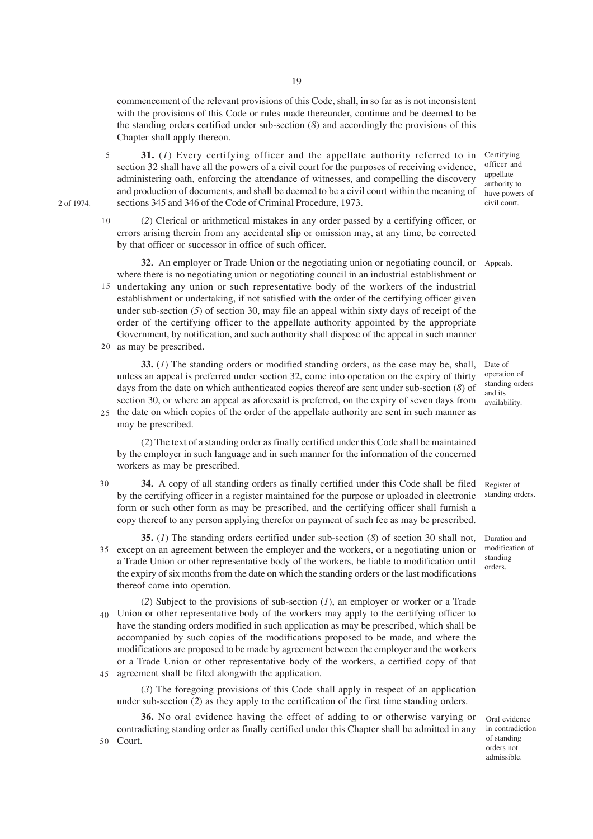commencement of the relevant provisions of this Code, shall, in so far as is not inconsistent with the provisions of this Code or rules made thereunder, continue and be deemed to be the standing orders certified under sub-section (*8*) and accordingly the provisions of this Chapter shall apply thereon.

- **31.** (1) Every certifying officer and the appellate authority referred to in Certifying section 32 shall have all the powers of a civil court for the purposes of receiving evidence, administering oath, enforcing the attendance of witnesses, and compelling the discovery and production of documents, and shall be deemed to be a civil court within the meaning of sections 345 and 346 of the Code of Criminal Procedure, 1973. 5
- (*2*) Clerical or arithmetical mistakes in any order passed by a certifying officer, or errors arising therein from any accidental slip or omission may, at any time, be corrected by that officer or successor in office of such officer. 10

**32.** An employer or Trade Union or the negotiating union or negotiating council, or Appeals. where there is no negotiating union or negotiating council in an industrial establishment or 15 undertaking any union or such representative body of the workers of the industrial establishment or undertaking, if not satisfied with the order of the certifying officer given under sub-section (*5*) of section 30, may file an appeal within sixty days of receipt of the order of the certifying officer to the appellate authority appointed by the appropriate Government, by notification, and such authority shall dispose of the appeal in such manner

20 as may be prescribed.

2 of 1974.

**33.** (*1*) The standing orders or modified standing orders, as the case may be, shall, unless an appeal is preferred under section 32, come into operation on the expiry of thirty days from the date on which authenticated copies thereof are sent under sub-section (*8*) of section 30, or where an appeal as aforesaid is preferred, on the expiry of seven days from 25 the date on which copies of the order of the appellate authority are sent in such manner as

may be prescribed.

(*2*) The text of a standing order as finally certified under this Code shall be maintained by the employer in such language and in such manner for the information of the concerned workers as may be prescribed.

- **34.** A copy of all standing orders as finally certified under this Code shall be filed by the certifying officer in a register maintained for the purpose or uploaded in electronic form or such other form as may be prescribed, and the certifying officer shall furnish a copy thereof to any person applying therefor on payment of such fee as may be prescribed. 30
	- **35.** (*1*) The standing orders certified under sub-section (*8*) of section 30 shall not, except on an agreement between the employer and the workers, or a negotiating union or 35 a Trade Union or other representative body of the workers, be liable to modification until the expiry of six months from the date on which the standing orders or the last modifications thereof came into operation.
	- (*2*) Subject to the provisions of sub-section (*1*), an employer or worker or a Trade Union or other representative body of the workers may apply to the certifying officer to have the standing orders modified in such application as may be prescribed, which shall be accompanied by such copies of the modifications proposed to be made, and where the modifications are proposed to be made by agreement between the employer and the workers or a Trade Union or other representative body of the workers, a certified copy of that agreement shall be filed alongwith the application. 40 45

(*3*) The foregoing provisions of this Code shall apply in respect of an application under sub-section (*2*) as they apply to the certification of the first time standing orders.

**36.** No oral evidence having the effect of adding to or otherwise varying or contradicting standing order as finally certified under this Chapter shall be admitted in any Court. 50

officer and appellate authority to have powers of civil court.

Date of operation of standing orders and its availability.

Register of standing orders.

Duration and modification of standing orders.

Oral evidence in contradiction of standing orders not admissible.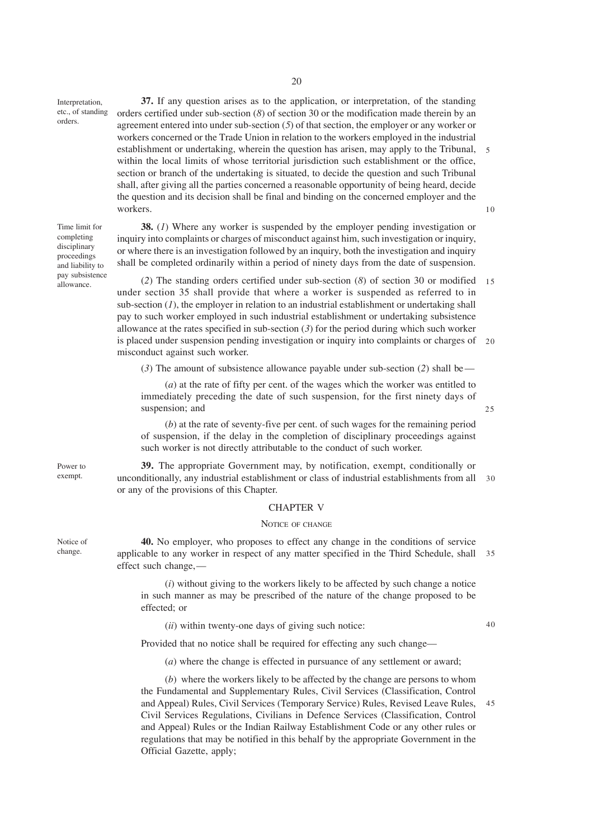Interpretation, etc., of standing orders.

**37.** If any question arises as to the application, or interpretation, of the standing orders certified under sub-section (*8*) of section 30 or the modification made therein by an agreement entered into under sub-section (*5*) of that section, the employer or any worker or workers concerned or the Trade Union in relation to the workers employed in the industrial establishment or undertaking, wherein the question has arisen, may apply to the Tribunal, 5 within the local limits of whose territorial jurisdiction such establishment or the office, section or branch of the undertaking is situated, to decide the question and such Tribunal shall, after giving all the parties concerned a reasonable opportunity of being heard, decide the question and its decision shall be final and binding on the concerned employer and the workers. 10

Time limit for completing disciplinary proceedings and liability to pay subsistence allowance.

**38.** (*1*) Where any worker is suspended by the employer pending investigation or inquiry into complaints or charges of misconduct against him, such investigation or inquiry, or where there is an investigation followed by an inquiry, both the investigation and inquiry shall be completed ordinarily within a period of ninety days from the date of suspension.

(*2*) The standing orders certified under sub-section (*8*) of section 30 or modified 15 under section 35 shall provide that where a worker is suspended as referred to in sub-section  $(I)$ , the employer in relation to an industrial establishment or undertaking shall pay to such worker employed in such industrial establishment or undertaking subsistence allowance at the rates specified in sub-section  $(3)$  for the period during which such worker is placed under suspension pending investigation or inquiry into complaints or charges of 20 misconduct against such worker.

(*3*) The amount of subsistence allowance payable under sub-section (*2*) shall be —

(*a*) at the rate of fifty per cent. of the wages which the worker was entitled to immediately preceding the date of such suspension, for the first ninety days of suspension; and

(*b*) at the rate of seventy-five per cent. of such wages for the remaining period of suspension, if the delay in the completion of disciplinary proceedings against such worker is not directly attributable to the conduct of such worker.

**39.** The appropriate Government may, by notification, exempt, conditionally or unconditionally, any industrial establishment or class of industrial establishments from all or any of the provisions of this Chapter. 30

#### CHAPTER V

#### NOTICE OF CHANGE

**40.** No employer, who proposes to effect any change in the conditions of service applicable to any worker in respect of any matter specified in the Third Schedule, shall 35 effect such change,—

(*i*) without giving to the workers likely to be affected by such change a notice in such manner as may be prescribed of the nature of the change proposed to be effected; or

(*ii*) within twenty-one days of giving such notice:

Provided that no notice shall be required for effecting any such change—

(*a*) where the change is effected in pursuance of any settlement or award;

(*b*) where the workers likely to be affected by the change are persons to whom the Fundamental and Supplementary Rules, Civil Services (Classification, Control and Appeal) Rules, Civil Services (Temporary Service) Rules, Revised Leave Rules, Civil Services Regulations, Civilians in Defence Services (Classification, Control and Appeal) Rules or the Indian Railway Establishment Code or any other rules or regulations that may be notified in this behalf by the appropriate Government in the Official Gazette, apply; 45

Power to exempt.

Notice of change.

40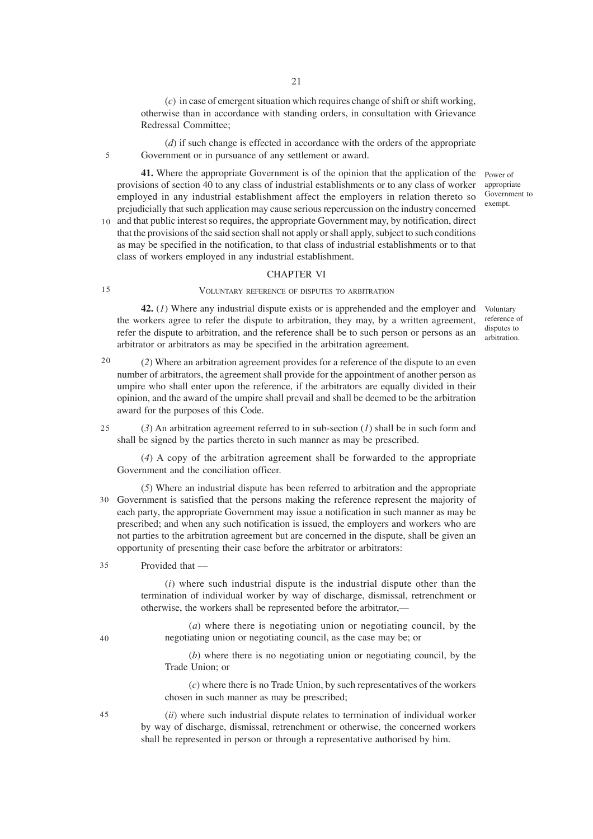(*c*) in case of emergent situation which requires change of shift or shift working, otherwise than in accordance with standing orders, in consultation with Grievance Redressal Committee;

(*d*) if such change is effected in accordance with the orders of the appropriate Government or in pursuance of any settlement or award.

**41.** Where the appropriate Government is of the opinion that the application of the provisions of section 40 to any class of industrial establishments or to any class of worker employed in any industrial establishment affect the employers in relation thereto so prejudicially that such application may cause serious repercussion on the industry concerned 10 and that public interest so requires, the appropriate Government may, by notification, direct

that the provisions of the said section shall not apply or shall apply, subject to such conditions as may be specified in the notification, to that class of industrial establishments or to that class of workers employed in any industrial establishment.

#### CHAPTER VI

#### VOLUNTARY REFERENCE OF DISPUTES TO ARBITRATION

**42.** (*1*) Where any industrial dispute exists or is apprehended and the employer and the workers agree to refer the dispute to arbitration, they may, by a written agreement, refer the dispute to arbitration, and the reference shall be to such person or persons as an arbitrator or arbitrators as may be specified in the arbitration agreement.

20

15

5

(*2*) Where an arbitration agreement provides for a reference of the dispute to an even number of arbitrators, the agreement shall provide for the appointment of another person as umpire who shall enter upon the reference, if the arbitrators are equally divided in their opinion, and the award of the umpire shall prevail and shall be deemed to be the arbitration award for the purposes of this Code.

(*3*) An arbitration agreement referred to in sub-section (*1*) shall be in such form and shall be signed by the parties thereto in such manner as may be prescribed. 25

(*4*) A copy of the arbitration agreement shall be forwarded to the appropriate Government and the conciliation officer.

(*5*) Where an industrial dispute has been referred to arbitration and the appropriate Government is satisfied that the persons making the reference represent the majority of 30 each party, the appropriate Government may issue a notification in such manner as may be prescribed; and when any such notification is issued, the employers and workers who are not parties to the arbitration agreement but are concerned in the dispute, shall be given an opportunity of presenting their case before the arbitrator or arbitrators:

#### Provided that — 35

(*i*) where such industrial dispute is the industrial dispute other than the termination of individual worker by way of discharge, dismissal, retrenchment or otherwise, the workers shall be represented before the arbitrator,—

(*a*) where there is negotiating union or negotiating council, by the negotiating union or negotiating council, as the case may be; or

(*b*) where there is no negotiating union or negotiating council, by the Trade Union; or

(*c*) where there is no Trade Union, by such representatives of the workers chosen in such manner as may be prescribed;

(*ii*) where such industrial dispute relates to termination of individual worker by way of discharge, dismissal, retrenchment or otherwise, the concerned workers shall be represented in person or through a representative authorised by him.

45

40

Power of appropriate Government to exempt.

reference of disputes to arbitration.

Voluntary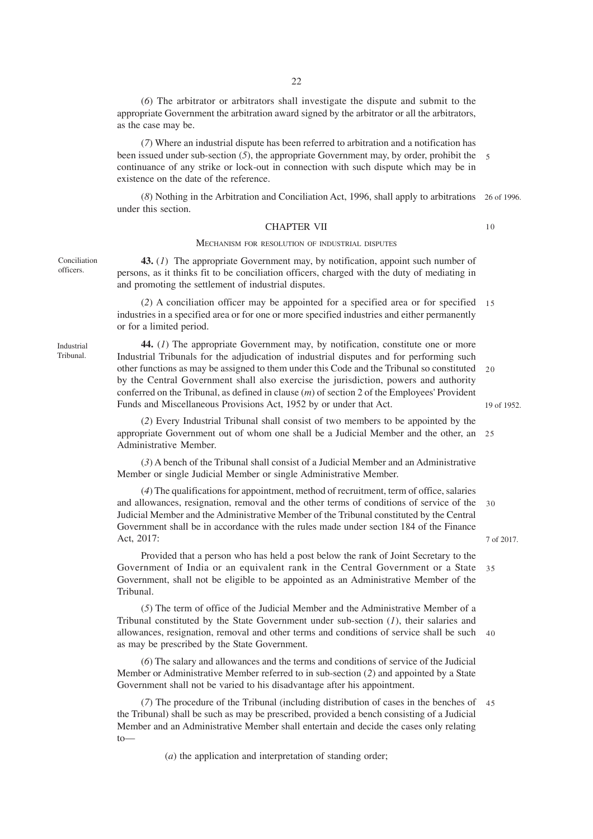(*6*) The arbitrator or arbitrators shall investigate the dispute and submit to the appropriate Government the arbitration award signed by the arbitrator or all the arbitrators, as the case may be.

(*7*) Where an industrial dispute has been referred to arbitration and a notification has been issued under sub-section (*5*), the appropriate Government may, by order, prohibit the continuance of any strike or lock-out in connection with such dispute which may be in existence on the date of the reference.

(*8*) Nothing in the Arbitration and Conciliation Act, 1996, shall apply to arbitrations 26 of 1996. under this section.

#### CHAPTER VII

#### MECHANISM FOR RESOLUTION OF INDUSTRIAL DISPUTES

**43.** (*1*) The appropriate Government may, by notification, appoint such number of persons, as it thinks fit to be conciliation officers, charged with the duty of mediating in and promoting the settlement of industrial disputes.

(*2*) A conciliation officer may be appointed for a specified area or for specified 15 industries in a specified area or for one or more specified industries and either permanently or for a limited period.

**44.** (*1*) The appropriate Government may, by notification, constitute one or more Industrial Tribunals for the adjudication of industrial disputes and for performing such other functions as may be assigned to them under this Code and the Tribunal so constituted by the Central Government shall also exercise the jurisdiction, powers and authority conferred on the Tribunal, as defined in clause (*m*) of section 2 of the Employees' Provident Funds and Miscellaneous Provisions Act, 1952 by or under that Act.  $20$ 

(*2*) Every Industrial Tribunal shall consist of two members to be appointed by the appropriate Government out of whom one shall be a Judicial Member and the other, an 25 Administrative Member.

(*3*) A bench of the Tribunal shall consist of a Judicial Member and an Administrative Member or single Judicial Member or single Administrative Member.

(*4*) The qualifications for appointment, method of recruitment, term of office, salaries and allowances, resignation, removal and the other terms of conditions of service of the Judicial Member and the Administrative Member of the Tribunal constituted by the Central Government shall be in accordance with the rules made under section 184 of the Finance Act, 2017: 7 of 2017. 30

Provided that a person who has held a post below the rank of Joint Secretary to the Government of India or an equivalent rank in the Central Government or a State Government, shall not be eligible to be appointed as an Administrative Member of the Tribunal. 35

(*5*) The term of office of the Judicial Member and the Administrative Member of a Tribunal constituted by the State Government under sub-section (*1*), their salaries and allowances, resignation, removal and other terms and conditions of service shall be such 40 as may be prescribed by the State Government.

(*6*) The salary and allowances and the terms and conditions of service of the Judicial Member or Administrative Member referred to in sub-section (*2*) and appointed by a State Government shall not be varied to his disadvantage after his appointment.

(*7*) The procedure of the Tribunal (including distribution of cases in the benches of 45the Tribunal) shall be such as may be prescribed, provided a bench consisting of a Judicial Member and an Administrative Member shall entertain and decide the cases only relating  $t_0$ —

(*a*) the application and interpretation of standing order;

Industrial Tribunal.

Conciliation officers.

19 of 1952.

10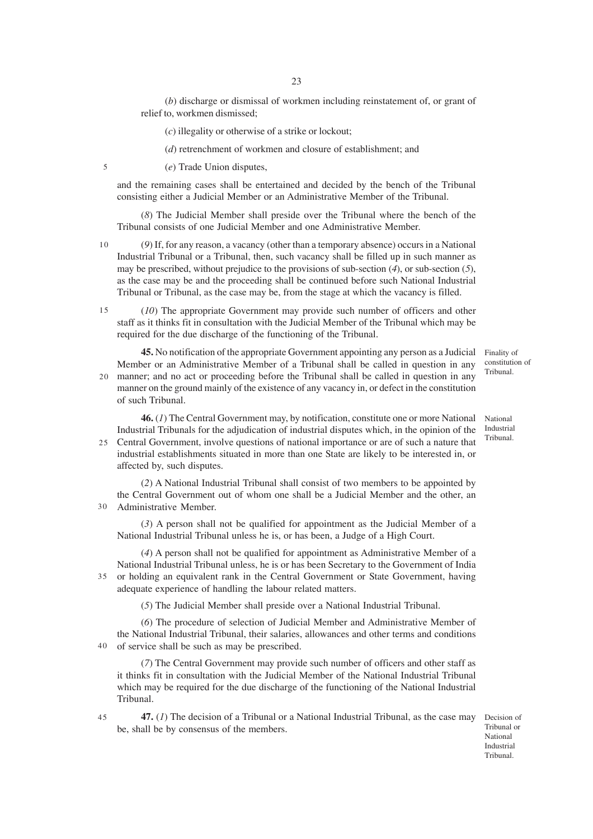(*b*) discharge or dismissal of workmen including reinstatement of, or grant of relief to, workmen dismissed;

(*c*) illegality or otherwise of a strike or lockout;

(*d*) retrenchment of workmen and closure of establishment; and

5

(*e*) Trade Union disputes,

and the remaining cases shall be entertained and decided by the bench of the Tribunal consisting either a Judicial Member or an Administrative Member of the Tribunal.

(*8*) The Judicial Member shall preside over the Tribunal where the bench of the Tribunal consists of one Judicial Member and one Administrative Member.

(*9*) If, for any reason, a vacancy (other than a temporary absence) occurs in a National Industrial Tribunal or a Tribunal, then, such vacancy shall be filled up in such manner as may be prescribed, without prejudice to the provisions of sub-section (*4*), or sub-section (*5*), as the case may be and the proceeding shall be continued before such National Industrial Tribunal or Tribunal, as the case may be, from the stage at which the vacancy is filled. 10

(*10*) The appropriate Government may provide such number of officers and other staff as it thinks fit in consultation with the Judicial Member of the Tribunal which may be required for the due discharge of the functioning of the Tribunal. 15

**45.** No notification of the appropriate Government appointing any person as a Judicial Member or an Administrative Member of a Tribunal shall be called in question in any manner; and no act or proceeding before the Tribunal shall be called in question in any 20 manner on the ground mainly of the existence of any vacancy in, or defect in the constitution of such Tribunal.

**46.** (1) The Central Government may, by notification, constitute one or more National National Industrial Tribunals for the adjudication of industrial disputes which, in the opinion of the Central Government, involve questions of national importance or are of such a nature that 25 industrial establishments situated in more than one State are likely to be interested in, or affected by, such disputes.

(*2*) A National Industrial Tribunal shall consist of two members to be appointed by the Central Government out of whom one shall be a Judicial Member and the other, an Administrative Member. 30

(*3*) A person shall not be qualified for appointment as the Judicial Member of a National Industrial Tribunal unless he is, or has been, a Judge of a High Court.

(*4*) A person shall not be qualified for appointment as Administrative Member of a National Industrial Tribunal unless, he is or has been Secretary to the Government of India or holding an equivalent rank in the Central Government or State Government, having adequate experience of handling the labour related matters. 35

(*5*) The Judicial Member shall preside over a National Industrial Tribunal.

(*6*) The procedure of selection of Judicial Member and Administrative Member of the National Industrial Tribunal, their salaries, allowances and other terms and conditions of service shall be such as may be prescribed. 40

(*7*) The Central Government may provide such number of officers and other staff as it thinks fit in consultation with the Judicial Member of the National Industrial Tribunal which may be required for the due discharge of the functioning of the National Industrial Tribunal.

**47.** (*1*) The decision of a Tribunal or a National Industrial Tribunal, as the case may be, shall be by consensus of the members.

Decision of Tribunal or National Industrial Tribunal.

Finality of constitution of Tribunal.

Industrial Tribunal.

 $\overline{45}$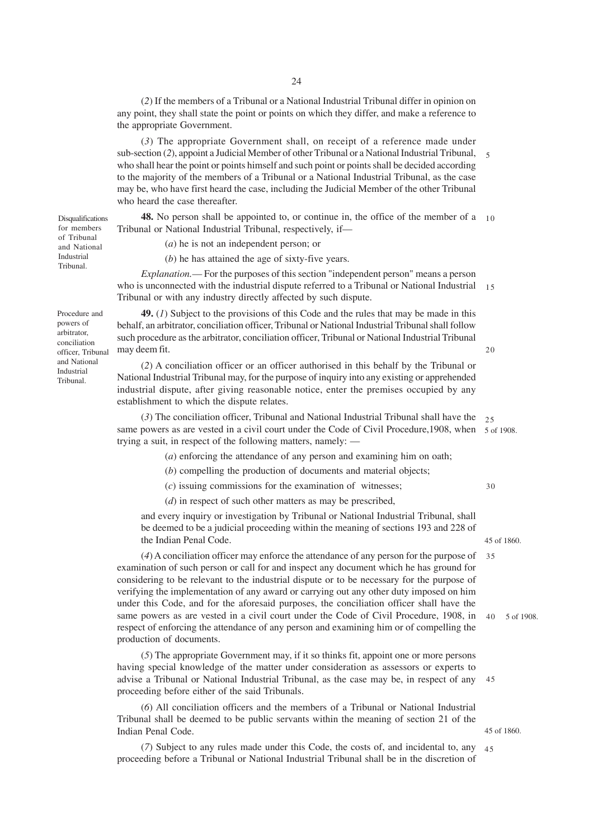(*2*) If the members of a Tribunal or a National Industrial Tribunal differ in opinion on any point, they shall state the point or points on which they differ, and make a reference to the appropriate Government.

(*3*) The appropriate Government shall, on receipt of a reference made under sub-section (2), appoint a Judicial Member of other Tribunal or a National Industrial Tribunal, 5 who shall hear the point or points himself and such point or points shall be decided according to the majority of the members of a Tribunal or a National Industrial Tribunal, as the case may be, who have first heard the case, including the Judicial Member of the other Tribunal who heard the case thereafter.

**48.** No person shall be appointed to, or continue in, the office of the member of a 10 Tribunal or National Industrial Tribunal, respectively, if—

(*a*) he is not an independent person; or

(*b*) he has attained the age of sixty-five years.

*Explanation.*— For the purposes of this section "independent person" means a person who is unconnected with the industrial dispute referred to a Tribunal or National Industrial 15 Tribunal or with any industry directly affected by such dispute.

**49.** (*1*) Subject to the provisions of this Code and the rules that may be made in this behalf, an arbitrator, conciliation officer, Tribunal or National Industrial Tribunal shall follow such procedure as the arbitrator, conciliation officer, Tribunal or National Industrial Tribunal may deem fit.

(*2*) A conciliation officer or an officer authorised in this behalf by the Tribunal or National Industrial Tribunal may, for the purpose of inquiry into any existing or apprehended industrial dispute, after giving reasonable notice, enter the premises occupied by any establishment to which the dispute relates.

(*3*) The conciliation officer, Tribunal and National Industrial Tribunal shall have the 25 same powers as are vested in a civil court under the Code of Civil Procedure, 1908, when 5 of 1908. trying a suit, in respect of the following matters, namely: —

(*a*) enforcing the attendance of any person and examining him on oath;

(*b*) compelling the production of documents and material objects;

(*c*) issuing commissions for the examination of witnesses;

(*d*) in respect of such other matters as may be prescribed,

and every inquiry or investigation by Tribunal or National Industrial Tribunal, shall be deemed to be a judicial proceeding within the meaning of sections 193 and 228 of the Indian Penal Code.

(*4*) A conciliation officer may enforce the attendance of any person for the purpose of 35 examination of such person or call for and inspect any document which he has ground for considering to be relevant to the industrial dispute or to be necessary for the purpose of verifying the implementation of any award or carrying out any other duty imposed on him under this Code, and for the aforesaid purposes, the conciliation officer shall have the same powers as are vested in a civil court under the Code of Civil Procedure, 1908, in respect of enforcing the attendance of any person and examining him or of compelling the production of documents.

(*5*) The appropriate Government may, if it so thinks fit, appoint one or more persons having special knowledge of the matter under consideration as assessors or experts to advise a Tribunal or National Industrial Tribunal, as the case may be, in respect of any proceeding before either of the said Tribunals. 45

(*6*) All conciliation officers and the members of a Tribunal or National Industrial Tribunal shall be deemed to be public servants within the meaning of section 21 of the Indian Penal Code.

(*7*) Subject to any rules made under this Code, the costs of, and incidental to, any 45proceeding before a Tribunal or National Industrial Tribunal shall be in the discretion of

of Tribunal and National Industrial Tribunal.

Disqualifications for members

Procedure and powers of arbitrator, conciliation officer, Tribunal and National Industrial Tribunal.

45 of 1860.

30

 $20$ 

5 of 1908. 40

45 of 1860.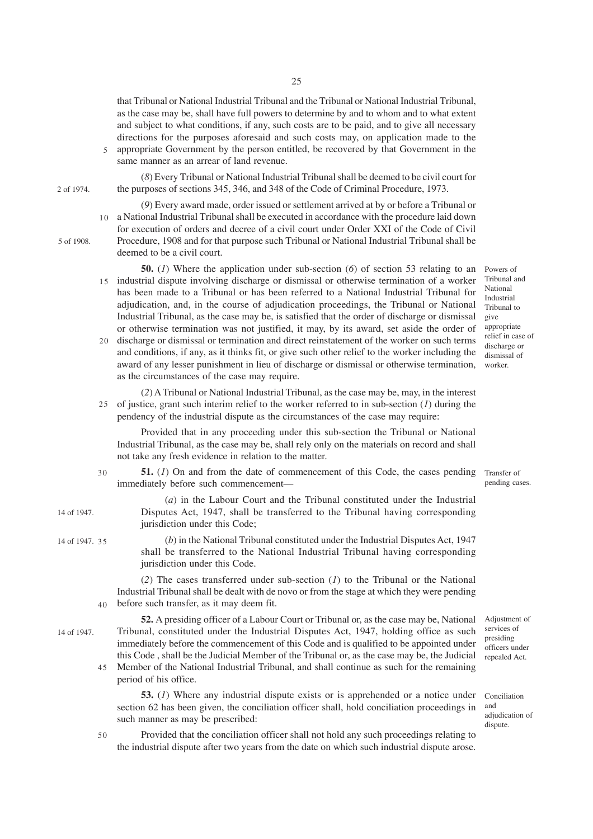that Tribunal or National Industrial Tribunal and the Tribunal or National Industrial Tribunal, as the case may be, shall have full powers to determine by and to whom and to what extent and subject to what conditions, if any, such costs are to be paid, and to give all necessary directions for the purposes aforesaid and such costs may, on application made to the appropriate Government by the person entitled, be recovered by that Government in the same manner as an arrear of land revenue.

(*8*) Every Tribunal or National Industrial Tribunal shall be deemed to be civil court for the purposes of sections 345, 346, and 348 of the Code of Criminal Procedure, 1973.

(*9*) Every award made, order issued or settlement arrived at by or before a Tribunal or a National Industrial Tribunal shall be executed in accordance with the procedure laid down 10

5 of 1908.

2 of 1974.

5

for execution of orders and decree of a civil court under Order XXI of the Code of Civil Procedure, 1908 and for that purpose such Tribunal or National Industrial Tribunal shall be deemed to be a civil court.

- **50.** (*1*) Where the application under sub-section (*6*) of section 53 relating to an 15 industrial dispute involving discharge or dismissal or otherwise termination of a worker has been made to a Tribunal or has been referred to a National Industrial Tribunal for adjudication, and, in the course of adjudication proceedings, the Tribunal or National Industrial Tribunal, as the case may be, is satisfied that the order of discharge or dismissal or otherwise termination was not justified, it may, by its award, set aside the order of 20 discharge or dismissal or termination and direct reinstatement of the worker on such terms and conditions, if any, as it thinks fit, or give such other relief to the worker including the award of any lesser punishment in lieu of discharge or dismissal or otherwise termination,
- as the circumstances of the case may require. (*2*) A Tribunal or National Industrial Tribunal, as the case may be, may, in the interest of justice, grant such interim relief to the worker referred to in sub-section  $(1)$  during the pendency of the industrial dispute as the circumstances of the case may require: 25

Provided that in any proceeding under this sub-section the Tribunal or National Industrial Tribunal, as the case may be, shall rely only on the materials on record and shall not take any fresh evidence in relation to the matter.

- **51.** (1) On and from the date of commencement of this Code, the cases pending Transfer of immediately before such commencement— 30
	- (*a*) in the Labour Court and the Tribunal constituted under the Industrial Disputes Act, 1947, shall be transferred to the Tribunal having corresponding jurisdiction under this Code;
	- (*b*) in the National Tribunal constituted under the Industrial Disputes Act, 1947 shall be transferred to the National Industrial Tribunal having corresponding jurisdiction under this Code.

(*2*) The cases transferred under sub-section (*1*) to the Tribunal or the National Industrial Tribunal shall be dealt with de novo or from the stage at which they were pending before such transfer, as it may deem fit. 40

14 of 1947.

14 of 1947.

14 of 1947. 35

- **52.** A presiding officer of a Labour Court or Tribunal or, as the case may be, National Tribunal, constituted under the Industrial Disputes Act, 1947, holding office as such immediately before the commencement of this Code and is qualified to be appointed under this Code , shall be the Judicial Member of the Tribunal or, as the case may be, the Judicial Member of the National Industrial Tribunal, and shall continue as such for the remaining 45
	- period of his office.

**53.** (*1*) Where any industrial dispute exists or is apprehended or a notice under section 62 has been given, the conciliation officer shall, hold conciliation proceedings in such manner as may be prescribed:

50

Provided that the conciliation officer shall not hold any such proceedings relating to the industrial dispute after two years from the date on which such industrial dispute arose.

Powers of Tribunal and National Industrial Tribunal to give appropriate relief in case of discharge or dismissal of worker.

pending cases.

Adjustment of services of presiding officers under repealed Act.

Conciliation and adjudication of dispute.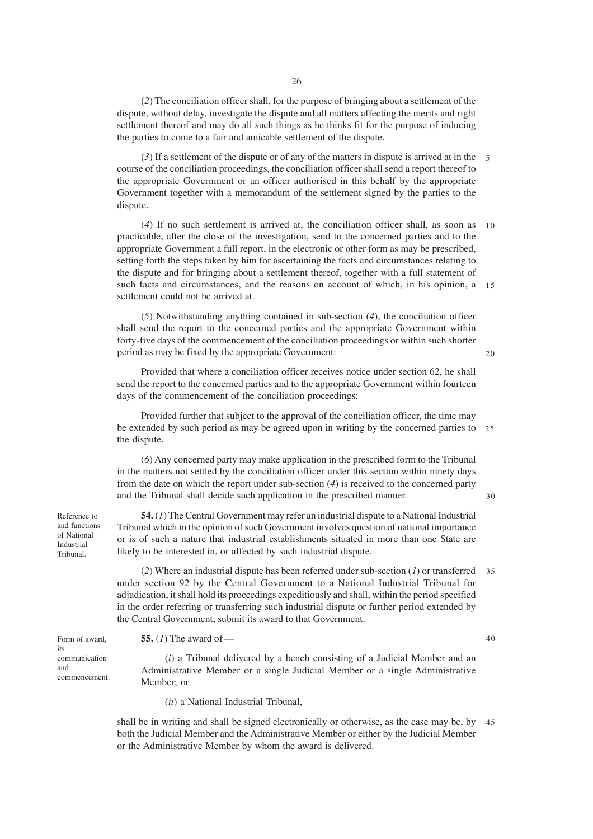(*2*) The conciliation officer shall, for the purpose of bringing about a settlement of the dispute, without delay, investigate the dispute and all matters affecting the merits and right settlement thereof and may do all such things as he thinks fit for the purpose of inducing the parties to come to a fair and amicable settlement of the dispute.

(*3*) If a settlement of the dispute or of any of the matters in dispute is arrived at in the 5 course of the conciliation proceedings, the conciliation officer shall send a report thereof to the appropriate Government or an officer authorised in this behalf by the appropriate Government together with a memorandum of the settlement signed by the parties to the dispute.

(*4*) If no such settlement is arrived at, the conciliation officer shall, as soon as 10 practicable, after the close of the investigation, send to the concerned parties and to the appropriate Government a full report, in the electronic or other form as may be prescribed, setting forth the steps taken by him for ascertaining the facts and circumstances relating to the dispute and for bringing about a settlement thereof, together with a full statement of such facts and circumstances, and the reasons on account of which, in his opinion, a 15 settlement could not be arrived at.

(*5*) Notwithstanding anything contained in sub-section (*4*), the conciliation officer shall send the report to the concerned parties and the appropriate Government within forty-five days of the commencement of the conciliation proceedings or within such shorter period as may be fixed by the appropriate Government:

Provided that where a conciliation officer receives notice under section 62, he shall send the report to the concerned parties and to the appropriate Government within fourteen days of the commencement of the conciliation proceedings:

Provided further that subject to the approval of the conciliation officer, the time may be extended by such period as may be agreed upon in writing by the concerned parties to 25 the dispute.

(*6*) Any concerned party may make application in the prescribed form to the Tribunal in the matters not settled by the conciliation officer under this section within ninety days from the date on which the report under sub-section (*4*) is received to the concerned party and the Tribunal shall decide such application in the prescribed manner.

 $30$ 

 $20$ 

**54.** (*1*) The Central Government may refer an industrial dispute to a National Industrial Tribunal which in the opinion of such Government involves question of national importance or is of such a nature that industrial establishments situated in more than one State are likely to be interested in, or affected by such industrial dispute.

(*2*) Where an industrial dispute has been referred under sub-section (*1*) or transferred 35 under section 92 by the Central Government to a National Industrial Tribunal for adjudication, it shall hold its proceedings expeditiously and shall, within the period specified in the order referring or transferring such industrial dispute or further period extended by the Central Government, submit its award to that Government.

**55.** (*1*) The award of—

40

(*i*) a Tribunal delivered by a bench consisting of a Judicial Member and an Administrative Member or a single Judicial Member or a single Administrative Member; or

(*ii*) a National Industrial Tribunal,

shall be in writing and shall be signed electronically or otherwise, as the case may be, by 45both the Judicial Member and the Administrative Member or either by the Judicial Member or the Administrative Member by whom the award is delivered.

Reference to and functions of National Industrial Tribunal.

Form of award,

communication

commencement.

its

and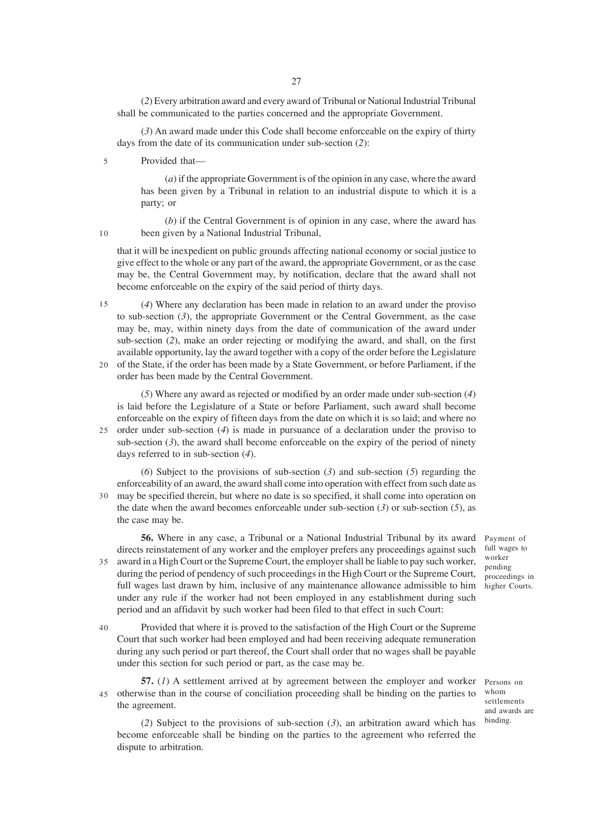(*2*) Every arbitration award and every award of Tribunal or National Industrial Tribunal shall be communicated to the parties concerned and the appropriate Government.

(*3*) An award made under this Code shall become enforceable on the expiry of thirty days from the date of its communication under sub-section (*2*):

Provided that— 5

> (*a*) if the appropriate Government is of the opinion in any case, where the award has been given by a Tribunal in relation to an industrial dispute to which it is a party; or

(*b*) if the Central Government is of opinion in any case, where the award has been given by a National Industrial Tribunal,

that it will be inexpedient on public grounds affecting national economy or social justice to give effect to the whole or any part of the award, the appropriate Government, or as the case may be, the Central Government may, by notification, declare that the award shall not become enforceable on the expiry of the said period of thirty days.

(*4*) Where any declaration has been made in relation to an award under the proviso to sub-section (*3*), the appropriate Government or the Central Government, as the case may be, may, within ninety days from the date of communication of the award under sub-section (*2*), make an order rejecting or modifying the award, and shall, on the first available opportunity, lay the award together with a copy of the order before the Legislature  $15$ 

20 of the State, if the order has been made by a State Government, or before Parliament, if the order has been made by the Central Government.

(*5*) Where any award as rejected or modified by an order made under sub-section (*4*) is laid before the Legislature of a State or before Parliament, such award shall become enforceable on the expiry of fifteen days from the date on which it is so laid; and where no order under sub-section (*4*) is made in pursuance of a declaration under the proviso to 25 sub-section (*3*), the award shall become enforceable on the expiry of the period of ninety days referred to in sub-section (*4*).

(*6*) Subject to the provisions of sub-section (*3*) and sub-section (*5*) regarding the enforceability of an award, the award shall come into operation with effect from such date as may be specified therein, but where no date is so specified, it shall come into operation on 30 the date when the award becomes enforceable under sub-section (*3*) or sub-section (*5*), as the case may be.

**56.** Where in any case, a Tribunal or a National Industrial Tribunal by its award directs reinstatement of any worker and the employer prefers any proceedings against such award in a High Court or the Supreme Court, the employer shall be liable to pay such worker, during the period of pendency of such proceedings in the High Court or the Supreme Court, full wages last drawn by him, inclusive of any maintenance allowance admissible to him under any rule if the worker had not been employed in any establishment during such period and an affidavit by such worker had been filed to that effect in such Court: 35

Provided that where it is proved to the satisfaction of the High Court or the Supreme Court that such worker had been employed and had been receiving adequate remuneration during any such period or part thereof, the Court shall order that no wages shall be payable under this section for such period or part, as the case may be. 40

**57.** (*1*) A settlement arrived at by agreement between the employer and worker otherwise than in the course of conciliation proceeding shall be binding on the parties to the agreement. 45

Persons on whom settlements and awards are binding.

(*2*) Subject to the provisions of sub-section (*3*), an arbitration award which has become enforceable shall be binding on the parties to the agreement who referred the dispute to arbitration.

Payment of full wages to worker pending proceedings in higher Courts.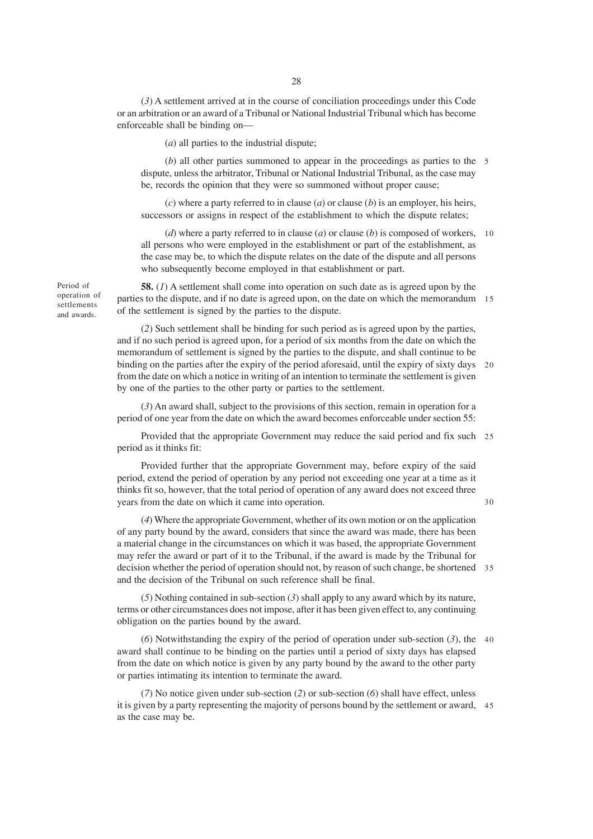(*3*) A settlement arrived at in the course of conciliation proceedings under this Code or an arbitration or an award of a Tribunal or National Industrial Tribunal which has become enforceable shall be binding on—

(*a*) all parties to the industrial dispute;

(*b*) all other parties summoned to appear in the proceedings as parties to the 5 dispute, unless the arbitrator, Tribunal or National Industrial Tribunal, as the case may be, records the opinion that they were so summoned without proper cause;

(*c*) where a party referred to in clause (*a*) or clause (*b*) is an employer, his heirs, successors or assigns in respect of the establishment to which the dispute relates;

(*d*) where a party referred to in clause (*a*) or clause (*b*) is composed of workers, 10 all persons who were employed in the establishment or part of the establishment, as the case may be, to which the dispute relates on the date of the dispute and all persons who subsequently become employed in that establishment or part.

**58.** (*1*) A settlement shall come into operation on such date as is agreed upon by the parties to the dispute, and if no date is agreed upon, on the date on which the memorandum 15 of the settlement is signed by the parties to the dispute.

(*2*) Such settlement shall be binding for such period as is agreed upon by the parties, and if no such period is agreed upon, for a period of six months from the date on which the memorandum of settlement is signed by the parties to the dispute, and shall continue to be binding on the parties after the expiry of the period aforesaid, until the expiry of sixty days 20 from the date on which a notice in writing of an intention to terminate the settlement is given by one of the parties to the other party or parties to the settlement.

(*3*) An award shall, subject to the provisions of this section, remain in operation for a period of one year from the date on which the award becomes enforceable under section 55:

Provided that the appropriate Government may reduce the said period and fix such 25 period as it thinks fit:

Provided further that the appropriate Government may, before expiry of the said period, extend the period of operation by any period not exceeding one year at a time as it thinks fit so, however, that the total period of operation of any award does not exceed three years from the date on which it came into operation.

30

(*4*) Where the appropriate Government, whether of its own motion or on the application of any party bound by the award, considers that since the award was made, there has been a material change in the circumstances on which it was based, the appropriate Government may refer the award or part of it to the Tribunal, if the award is made by the Tribunal for decision whether the period of operation should not, by reason of such change, be shortened 35 and the decision of the Tribunal on such reference shall be final.

(*5*) Nothing contained in sub-section (*3*) shall apply to any award which by its nature, terms or other circumstances does not impose, after it has been given effect to, any continuing obligation on the parties bound by the award.

(*6*) Notwithstanding the expiry of the period of operation under sub-section (*3*), the 40 award shall continue to be binding on the parties until a period of sixty days has elapsed from the date on which notice is given by any party bound by the award to the other party or parties intimating its intention to terminate the award.

(*7*) No notice given under sub-section (*2*) or sub-section (*6*) shall have effect, unless it is given by a party representing the majority of persons bound by the settlement or award, 45as the case may be.

Period of operation of settlements and awards.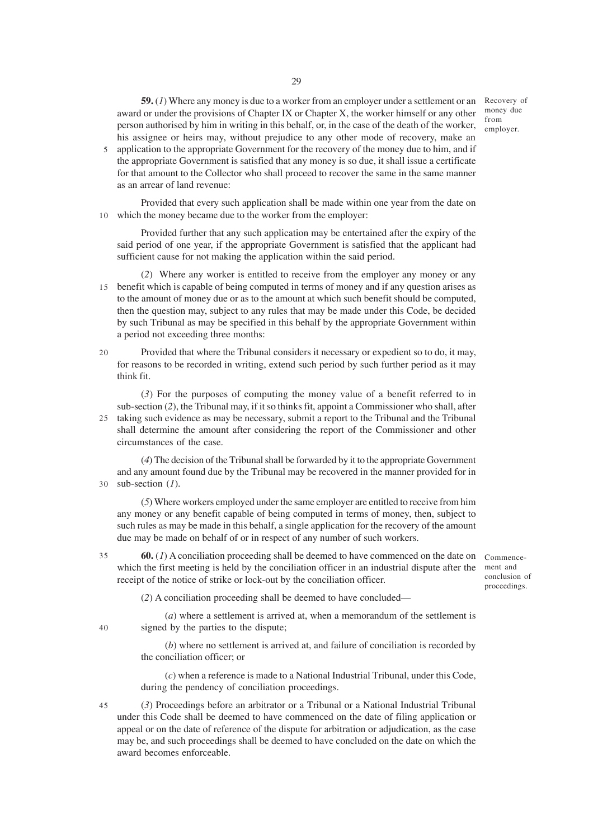**59.** (*1*) Where any money is due to a worker from an employer under a settlement or an award or under the provisions of Chapter IX or Chapter X, the worker himself or any other person authorised by him in writing in this behalf, or, in the case of the death of the worker, his assignee or heirs may, without prejudice to any other mode of recovery, make an

application to the appropriate Government for the recovery of the money due to him, and if the appropriate Government is satisfied that any money is so due, it shall issue a certificate for that amount to the Collector who shall proceed to recover the same in the same manner as an arrear of land revenue: 5

Provided that every such application shall be made within one year from the date on which the money became due to the worker from the employer: 10

Provided further that any such application may be entertained after the expiry of the said period of one year, if the appropriate Government is satisfied that the applicant had sufficient cause for not making the application within the said period.

(*2*) Where any worker is entitled to receive from the employer any money or any 15 benefit which is capable of being computed in terms of money and if any question arises as to the amount of money due or as to the amount at which such benefit should be computed, then the question may, subject to any rules that may be made under this Code, be decided by such Tribunal as may be specified in this behalf by the appropriate Government within a period not exceeding three months:

Provided that where the Tribunal considers it necessary or expedient so to do, it may, for reasons to be recorded in writing, extend such period by such further period as it may think fit.  $20$ 

(*3*) For the purposes of computing the money value of a benefit referred to in sub-section (*2*), the Tribunal may, if it so thinks fit, appoint a Commissioner who shall, after 25 taking such evidence as may be necessary, submit a report to the Tribunal and the Tribunal shall determine the amount after considering the report of the Commissioner and other circumstances of the case.

(*4*) The decision of the Tribunal shall be forwarded by it to the appropriate Government and any amount found due by the Tribunal may be recovered in the manner provided for in sub-section (*1*). 30

(*5*) Where workers employed under the same employer are entitled to receive from him any money or any benefit capable of being computed in terms of money, then, subject to such rules as may be made in this behalf, a single application for the recovery of the amount due may be made on behalf of or in respect of any number of such workers.

**60.** (*1*) A conciliation proceeding shall be deemed to have commenced on the date on which the first meeting is held by the conciliation officer in an industrial dispute after the receipt of the notice of strike or lock-out by the conciliation officer. 35

Commencement and conclusion of proceedings.

(*2*) A conciliation proceeding shall be deemed to have concluded—

(*a*) where a settlement is arrived at, when a memorandum of the settlement is signed by the parties to the dispute;

(*b*) where no settlement is arrived at, and failure of conciliation is recorded by the conciliation officer; or

(*c*) when a reference is made to a National Industrial Tribunal, under this Code, during the pendency of conciliation proceedings.

(*3*) Proceedings before an arbitrator or a Tribunal or a National Industrial Tribunal under this Code shall be deemed to have commenced on the date of filing application or appeal or on the date of reference of the dispute for arbitration or adjudication, as the case may be, and such proceedings shall be deemed to have concluded on the date on which the award becomes enforceable.

Recovery of money due from employer.

40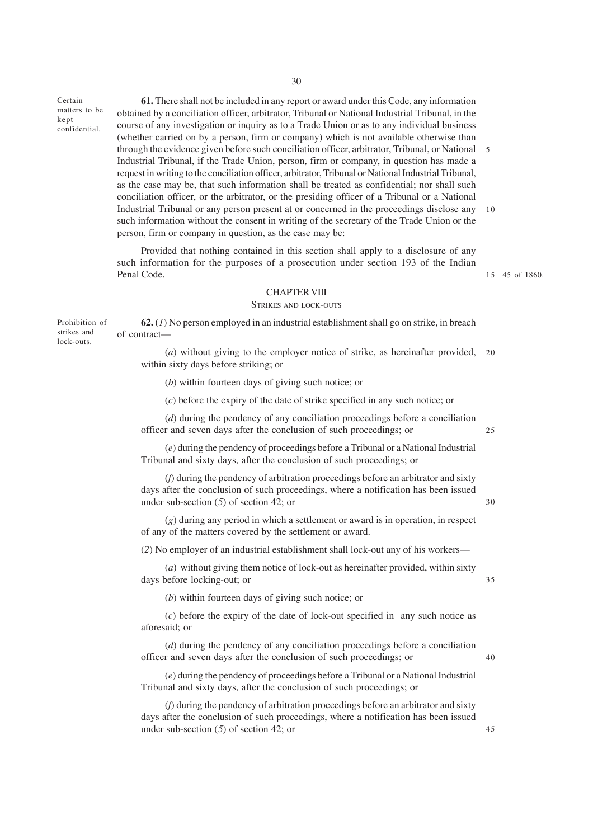Certain matters to be confidential.

kept

**61.** There shall not be included in any report or award under this Code, any information obtained by a conciliation officer, arbitrator, Tribunal or National Industrial Tribunal, in the course of any investigation or inquiry as to a Trade Union or as to any individual business (whether carried on by a person, firm or company) which is not available otherwise than through the evidence given before such conciliation officer, arbitrator, Tribunal, or National 5 Industrial Tribunal, if the Trade Union, person, firm or company, in question has made a request in writing to the conciliation officer, arbitrator, Tribunal or National Industrial Tribunal, as the case may be, that such information shall be treated as confidential; nor shall such conciliation officer, or the arbitrator, or the presiding officer of a Tribunal or a National Industrial Tribunal or any person present at or concerned in the proceedings disclose any such information without the consent in writing of the secretary of the Trade Union or the person, firm or company in question, as the case may be: 10

Provided that nothing contained in this section shall apply to a disclosure of any such information for the purposes of a prosecution under section 193 of the Indian Penal Code.

45 of 1860. 15

#### CHAPTER VIII

#### STRIKES AND LOCK-OUTS

**62.** (*1*) No person employed in an industrial establishment shall go on strike, in breach of contract— Prohibition of strikes and lock-outs.

> (*a*) without giving to the employer notice of strike, as hereinafter provided, 20 within sixty days before striking; or

(*b*) within fourteen days of giving such notice; or

(*c*) before the expiry of the date of strike specified in any such notice; or

(*d*) during the pendency of any conciliation proceedings before a conciliation officer and seven days after the conclusion of such proceedings; or

(*e*) during the pendency of proceedings before a Tribunal or a National Industrial Tribunal and sixty days, after the conclusion of such proceedings; or

(*f*) during the pendency of arbitration proceedings before an arbitrator and sixty days after the conclusion of such proceedings, where a notification has been issued under sub-section (*5*) of section 42; or

(*g*) during any period in which a settlement or award is in operation, in respect of any of the matters covered by the settlement or award.

(*2*) No employer of an industrial establishment shall lock-out any of his workers—

(*a*) without giving them notice of lock-out as hereinafter provided, within sixty days before locking-out; or

(*b*) within fourteen days of giving such notice; or

(*c*) before the expiry of the date of lock-out specified in any such notice as aforesaid; or

(*d*) during the pendency of any conciliation proceedings before a conciliation officer and seven days after the conclusion of such proceedings; or

(*e*) during the pendency of proceedings before a Tribunal or a National Industrial Tribunal and sixty days, after the conclusion of such proceedings; or

(*f*) during the pendency of arbitration proceedings before an arbitrator and sixty days after the conclusion of such proceedings, where a notification has been issued under sub-section (*5*) of section 42; or

25

30

35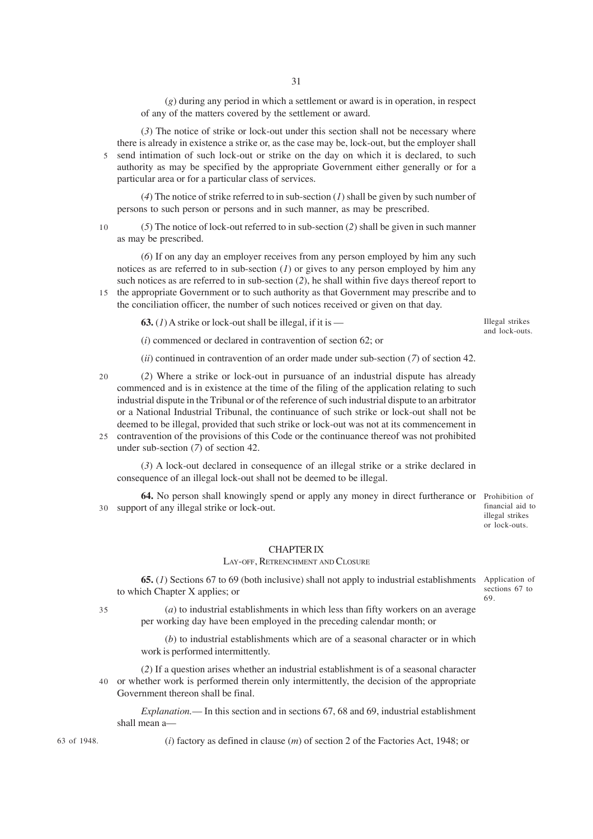(*g*) during any period in which a settlement or award is in operation, in respect of any of the matters covered by the settlement or award.

(*3*) The notice of strike or lock-out under this section shall not be necessary where there is already in existence a strike or, as the case may be, lock-out, but the employer shall 5 send intimation of such lock-out or strike on the day on which it is declared, to such authority as may be specified by the appropriate Government either generally or for a particular area or for a particular class of services.

(*4*) The notice of strike referred to in sub-section (*1*) shall be given by such number of persons to such person or persons and in such manner, as may be prescribed.

(*5*) The notice of lock-out referred to in sub-section (*2*) shall be given in such manner as may be prescribed. 10

(*6*) If on any day an employer receives from any person employed by him any such notices as are referred to in sub-section (*1*) or gives to any person employed by him any such notices as are referred to in sub-section (*2*), he shall within five days thereof report to

15 the appropriate Government or to such authority as that Government may prescribe and to the conciliation officer, the number of such notices received or given on that day.

**63.**  $(I)$  A strike or lock-out shall be illegal, if it is —

Illegal strikes and lock-outs.

(*i*) commenced or declared in contravention of section 62; or

(*ii*) continued in contravention of an order made under sub-section (*7*) of section 42.

- (*2*) Where a strike or lock-out in pursuance of an industrial dispute has already commenced and is in existence at the time of the filing of the application relating to such industrial dispute in the Tribunal or of the reference of such industrial dispute to an arbitrator or a National Industrial Tribunal, the continuance of such strike or lock-out shall not be deemed to be illegal, provided that such strike or lock-out was not at its commencement in contravention of the provisions of this Code or the continuance thereof was not prohibited 25  $20$
- under sub-section (*7*) of section 42.

(*3*) A lock-out declared in consequence of an illegal strike or a strike declared in consequence of an illegal lock-out shall not be deemed to be illegal.

**64.** No person shall knowingly spend or apply any money in direct furtherance or Prohibition of support of any illegal strike or lock-out. 30

financial aid to illegal strikes or lock-outs.

#### CHAPTER IX

#### LAY-OFF, RETRENCHMENT AND CLOSURE

**65.** (*1*) Sections 67 to 69 (both inclusive) shall not apply to industrial establishments Application of to which Chapter X applies; or

sections 67 to 69.

(*a*) to industrial establishments in which less than fifty workers on an average per working day have been employed in the preceding calendar month; or

(*b*) to industrial establishments which are of a seasonal character or in which work is performed intermittently.

(*2*) If a question arises whether an industrial establishment is of a seasonal character 40 or whether work is performed therein only intermittently, the decision of the appropriate Government thereon shall be final.

*Explanation.*— In this section and in sections 67, 68 and 69, industrial establishment shall mean a—

(*i*) factory as defined in clause (*m*) of section 2 of the Factories Act, 1948; or

63 of 1948.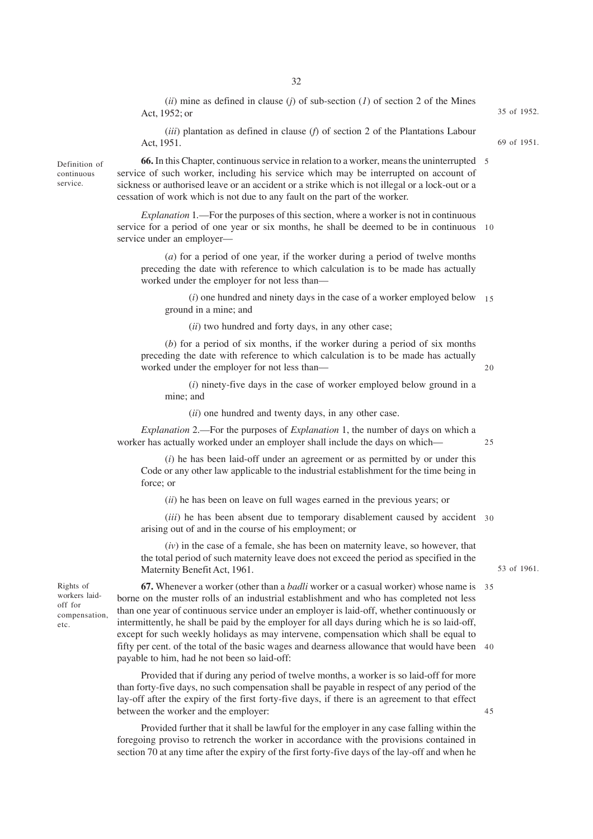(*ii*) mine as defined in clause (*j*) of sub-section (*1*) of section 2 of the Mines Act, 1952; or

(*iii*) plantation as defined in clause (*f*) of section 2 of the Plantations Labour Act, 1951.

**66.** In this Chapter, continuous service in relation to a worker, means the uninterrupted 5 service of such worker, including his service which may be interrupted on account of sickness or authorised leave or an accident or a strike which is not illegal or a lock-out or a cessation of work which is not due to any fault on the part of the worker.

*Explanation* 1*.*—For the purposes of this section, where a worker is not in continuous service for a period of one year or six months, he shall be deemed to be in continuous 10 service under an employer—

(*a*) for a period of one year, if the worker during a period of twelve months preceding the date with reference to which calculation is to be made has actually worked under the employer for not less than—

(*i*) one hundred and ninety days in the case of a worker employed below 15 ground in a mine; and

(*ii*) two hundred and forty days, in any other case;

(*b*) for a period of six months, if the worker during a period of six months preceding the date with reference to which calculation is to be made has actually worked under the employer for not less than—

(*i*) ninety-five days in the case of worker employed below ground in a mine; and

(*ii*) one hundred and twenty days, in any other case.

*Explanation* 2.—For the purposes of *Explanation* 1, the number of days on which a worker has actually worked under an employer shall include the days on which—

25

 $20$ 

(*i*) he has been laid-off under an agreement or as permitted by or under this Code or any other law applicable to the industrial establishment for the time being in force; or

(*ii*) he has been on leave on full wages earned in the previous years; or

(*iii*) he has been absent due to temporary disablement caused by accident 30 arising out of and in the course of his employment; or

(*iv*) in the case of a female, she has been on maternity leave, so however, that the total period of such maternity leave does not exceed the period as specified in the Maternity Benefit Act, 1961.

Rights of workers laidoff for compensation, etc.

Definition of continuous service.

> **67.** Whenever a worker (other than a *badli* worker or a casual worker) whose name is 35 borne on the muster rolls of an industrial establishment and who has completed not less than one year of continuous service under an employer is laid-off, whether continuously or intermittently, he shall be paid by the employer for all days during which he is so laid-off, except for such weekly holidays as may intervene, compensation which shall be equal to fifty per cent. of the total of the basic wages and dearness allowance that would have been 40 payable to him, had he not been so laid-off:

Provided that if during any period of twelve months, a worker is so laid-off for more than forty-five days, no such compensation shall be payable in respect of any period of the lay-off after the expiry of the first forty-five days, if there is an agreement to that effect between the worker and the employer:

Provided further that it shall be lawful for the employer in any case falling within the foregoing proviso to retrench the worker in accordance with the provisions contained in section 70 at any time after the expiry of the first forty-five days of the lay-off and when he

35 of 1952.

69 of 1951.

53 of 1961.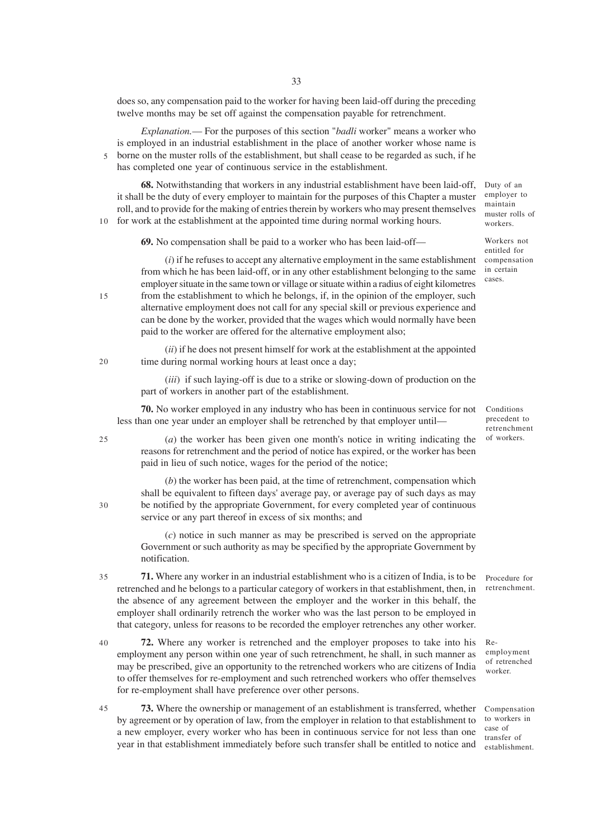does so, any compensation paid to the worker for having been laid-off during the preceding twelve months may be set off against the compensation payable for retrenchment.

*Explanation.*— For the purposes of this section "*badli* worker" means a worker who is employed in an industrial establishment in the place of another worker whose name is borne on the muster rolls of the establishment, but shall cease to be regarded as such, if he has completed one year of continuous service in the establishment. 5

**68.** Notwithstanding that workers in any industrial establishment have been laid-off, it shall be the duty of every employer to maintain for the purposes of this Chapter a muster roll, and to provide for the making of entries therein by workers who may present themselves for work at the establishment at the appointed time during normal working hours. 10

**69.** No compensation shall be paid to a worker who has been laid-off—

paid to the worker are offered for the alternative employment also;

(*i*) if he refuses to accept any alternative employment in the same establishment from which he has been laid-off, or in any other establishment belonging to the same employer situate in the same town or village or situate within a radius of eight kilometres from the establishment to which he belongs, if, in the opinion of the employer, such alternative employment does not call for any special skill or previous experience and can be done by the worker, provided that the wages which would normally have been

(*ii*) if he does not present himself for work at the establishment at the appointed time during normal working hours at least once a day;

(*iii*) if such laying-off is due to a strike or slowing-down of production on the part of workers in another part of the establishment.

**70.** No worker employed in any industry who has been in continuous service for not less than one year under an employer shall be retrenched by that employer until—

25

30

15

 $20$ 

(*a*) the worker has been given one month's notice in writing indicating the reasons for retrenchment and the period of notice has expired, or the worker has been paid in lieu of such notice, wages for the period of the notice;

(*b*) the worker has been paid, at the time of retrenchment, compensation which shall be equivalent to fifteen days' average pay, or average pay of such days as may be notified by the appropriate Government, for every completed year of continuous service or any part thereof in excess of six months; and

(*c*) notice in such manner as may be prescribed is served on the appropriate Government or such authority as may be specified by the appropriate Government by notification.

**71.** Where any worker in an industrial establishment who is a citizen of India, is to be retrenched and he belongs to a particular category of workers in that establishment, then, in the absence of any agreement between the employer and the worker in this behalf, the employer shall ordinarily retrench the worker who was the last person to be employed in that category, unless for reasons to be recorded the employer retrenches any other worker. 35

**72.** Where any worker is retrenched and the employer proposes to take into his employment any person within one year of such retrenchment, he shall, in such manner as may be prescribed, give an opportunity to the retrenched workers who are citizens of India to offer themselves for re-employment and such retrenched workers who offer themselves for re-employment shall have preference over other persons. 40

**73.** Where the ownership or management of an establishment is transferred, whether by agreement or by operation of law, from the employer in relation to that establishment to a new employer, every worker who has been in continuous service for not less than one year in that establishment immediately before such transfer shall be entitled to notice and 45

Duty of an employer to maintain muster rolls of workers.

Workers not entitled for compensation in certain cases.

Conditions precedent to retrenchment of workers.

Reemployment of retrenched

worker.

Procedure for retrenchment.

Compensation to workers in case of transfer of establishment.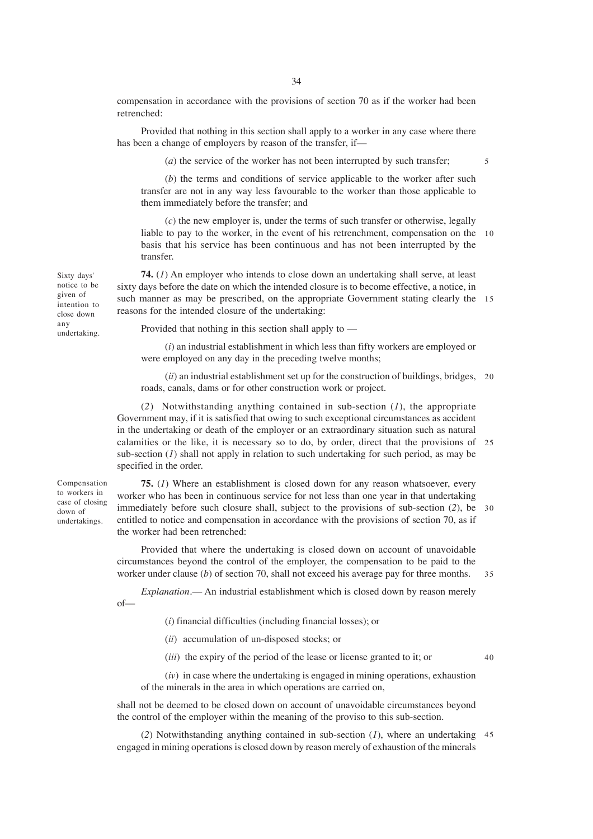34

compensation in accordance with the provisions of section 70 as if the worker had been retrenched:

Provided that nothing in this section shall apply to a worker in any case where there has been a change of employers by reason of the transfer, if-

(*a*) the service of the worker has not been interrupted by such transfer;

5

(*b*) the terms and conditions of service applicable to the worker after such transfer are not in any way less favourable to the worker than those applicable to them immediately before the transfer; and

(*c*) the new employer is, under the terms of such transfer or otherwise, legally liable to pay to the worker, in the event of his retrenchment, compensation on the 10 basis that his service has been continuous and has not been interrupted by the transfer.

**74.** (*1*) An employer who intends to close down an undertaking shall serve, at least sixty days before the date on which the intended closure is to become effective, a notice, in such manner as may be prescribed, on the appropriate Government stating clearly the 15 reasons for the intended closure of the undertaking:

Provided that nothing in this section shall apply to —

(*i*) an industrial establishment in which less than fifty workers are employed or were employed on any day in the preceding twelve months;

(*ii*) an industrial establishment set up for the construction of buildings, bridges, 20 roads, canals, dams or for other construction work or project.

(*2*) Notwithstanding anything contained in sub-section (*1*), the appropriate Government may, if it is satisfied that owing to such exceptional circumstances as accident in the undertaking or death of the employer or an extraordinary situation such as natural calamities or the like, it is necessary so to do, by order, direct that the provisions of 25 sub-section  $(I)$  shall not apply in relation to such undertaking for such period, as may be specified in the order.

**75.** (*1*) Where an establishment is closed down for any reason whatsoever, every worker who has been in continuous service for not less than one year in that undertaking immediately before such closure shall, subject to the provisions of sub-section (*2*), be 30 entitled to notice and compensation in accordance with the provisions of section 70, as if the worker had been retrenched:

Provided that where the undertaking is closed down on account of unavoidable circumstances beyond the control of the employer, the compensation to be paid to the worker under clause (*b*) of section 70, shall not exceed his average pay for three months. 35

*Explanation*.— An industrial establishment which is closed down by reason merely of—

(*i*) financial difficulties (including financial losses); or

(*ii*) accumulation of un-disposed stocks; or

(*iii*) the expiry of the period of the lease or license granted to it; or

40

(*iv*) in case where the undertaking is engaged in mining operations, exhaustion of the minerals in the area in which operations are carried on,

shall not be deemed to be closed down on account of unavoidable circumstances beyond the control of the employer within the meaning of the proviso to this sub-section.

(*2*) Notwithstanding anything contained in sub-section (*1*), where an undertaking 45engaged in mining operations is closed down by reason merely of exhaustion of the minerals

Sixty days' notice to be given of intention to close down any undertaking.

Compensation to workers in case of closing down of undertakings.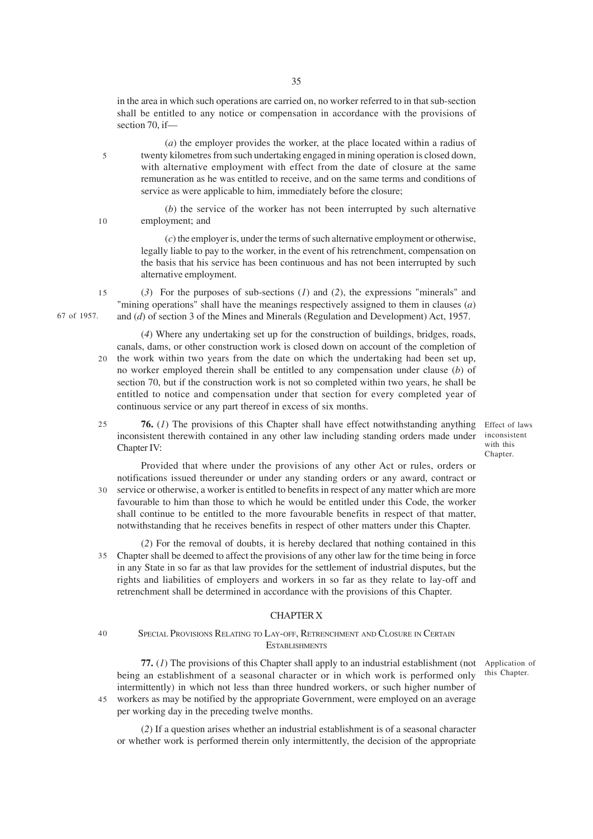in the area in which such operations are carried on, no worker referred to in that sub-section shall be entitled to any notice or compensation in accordance with the provisions of section 70, if—

(*a*) the employer provides the worker, at the place located within a radius of twenty kilometres from such undertaking engaged in mining operation is closed down, with alternative employment with effect from the date of closure at the same remuneration as he was entitled to receive, and on the same terms and conditions of service as were applicable to him, immediately before the closure; 5

10

(*b*) the service of the worker has not been interrupted by such alternative employment; and

(*c*) the employer is, under the terms of such alternative employment or otherwise, legally liable to pay to the worker, in the event of his retrenchment, compensation on the basis that his service has been continuous and has not been interrupted by such alternative employment.

(*3*) For the purposes of sub-sections (*1*) and (*2*), the expressions "minerals" and "mining operations" shall have the meanings respectively assigned to them in clauses (*a*) and (*d*) of section 3 of the Mines and Minerals (Regulation and Development) Act, 1957. 15

- (*4*) Where any undertaking set up for the construction of buildings, bridges, roads, canals, dams, or other construction work is closed down on account of the completion of the work within two years from the date on which the undertaking had been set up, no worker employed therein shall be entitled to any compensation under clause (*b*) of section 70, but if the construction work is not so completed within two years, he shall be entitled to notice and compensation under that section for every completed year of continuous service or any part thereof in excess of six months. 20
- **76.** (*1*) The provisions of this Chapter shall have effect notwithstanding anything inconsistent therewith contained in any other law including standing orders made under Chapter IV: 25

Effect of laws inconsistent with this Chapter.

this Chapter.

Provided that where under the provisions of any other Act or rules, orders or notifications issued thereunder or under any standing orders or any award, contract or service or otherwise, a worker is entitled to benefits in respect of any matter which are more 30 favourable to him than those to which he would be entitled under this Code, the worker shall continue to be entitled to the more favourable benefits in respect of that matter, notwithstanding that he receives benefits in respect of other matters under this Chapter.

(*2*) For the removal of doubts, it is hereby declared that nothing contained in this Chapter shall be deemed to affect the provisions of any other law for the time being in force 35 in any State in so far as that law provides for the settlement of industrial disputes, but the rights and liabilities of employers and workers in so far as they relate to lay-off and retrenchment shall be determined in accordance with the provisions of this Chapter.

# CHAPTER X

#### SPECIAL PROVISIONS RELATING TO LAY-OFF, RETRENCHMENT AND CLOSURE IN CERTAIN **ESTABLISHMENTS** 40

**77.** (*1*) The provisions of this Chapter shall apply to an industrial establishment (not Application of being an establishment of a seasonal character or in which work is performed only intermittently) in which not less than three hundred workers, or such higher number of workers as may be notified by the appropriate Government, were employed on an average 45per working day in the preceding twelve months.

(*2*) If a question arises whether an industrial establishment is of a seasonal character or whether work is performed therein only intermittently, the decision of the appropriate

67 of 1957.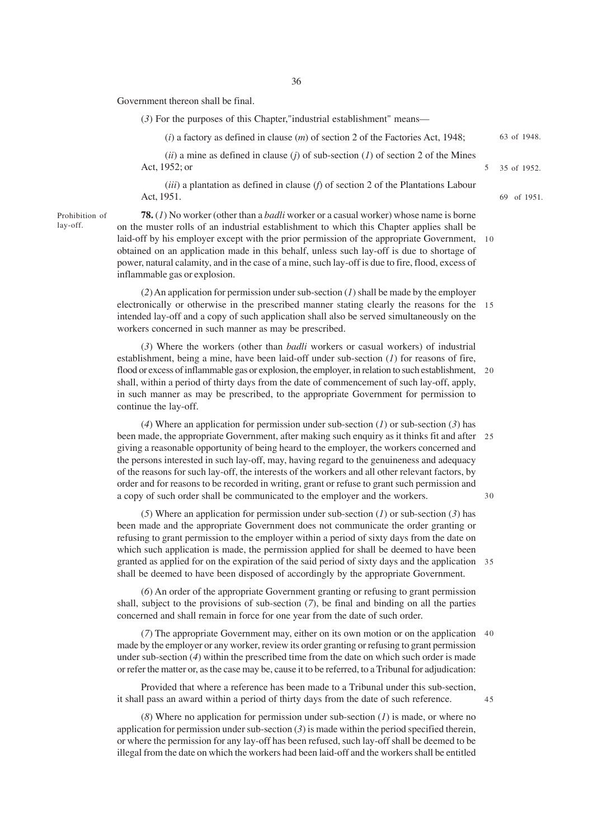Government thereon shall be final.

(*3*) For the purposes of this Chapter,"industrial establishment" means—

(*i*) a factory as defined in clause (*m*) of section 2 of the Factories Act, 1948; 63 of 1948.

 $(iii)$  a mine as defined in clause  $(j)$  of sub-section  $(l)$  of section 2 of the Mines Act, 1952; or

(*iii*) a plantation as defined in clause (*f*) of section 2 of the Plantations Labour Act, 1951.

Prohibition of lay-off.

**78.** (*1*) No worker (other than a *badli* worker or a casual worker) whose name is borne on the muster rolls of an industrial establishment to which this Chapter applies shall be laid-off by his employer except with the prior permission of the appropriate Government, 10 obtained on an application made in this behalf, unless such lay-off is due to shortage of power, natural calamity, and in the case of a mine, such lay-off is due to fire, flood, excess of inflammable gas or explosion.

(*2*) An application for permission under sub-section (*1*) shall be made by the employer electronically or otherwise in the prescribed manner stating clearly the reasons for the 15 intended lay-off and a copy of such application shall also be served simultaneously on the workers concerned in such manner as may be prescribed.

(*3*) Where the workers (other than *badli* workers or casual workers) of industrial establishment, being a mine, have been laid-off under sub-section (*1*) for reasons of fire, flood or excess of inflammable gas or explosion, the employer, in relation to such establishment, 20 shall, within a period of thirty days from the date of commencement of such lay-off, apply, in such manner as may be prescribed, to the appropriate Government for permission to continue the lay-off.

(*4*) Where an application for permission under sub-section (*1*) or sub-section (*3*) has been made, the appropriate Government, after making such enquiry as it thinks fit and after 25 giving a reasonable opportunity of being heard to the employer, the workers concerned and the persons interested in such lay-off, may, having regard to the genuineness and adequacy of the reasons for such lay-off, the interests of the workers and all other relevant factors, by order and for reasons to be recorded in writing, grant or refuse to grant such permission and a copy of such order shall be communicated to the employer and the workers. 30

(*5*) Where an application for permission under sub-section (*1*) or sub-section (*3*) has been made and the appropriate Government does not communicate the order granting or refusing to grant permission to the employer within a period of sixty days from the date on which such application is made, the permission applied for shall be deemed to have been granted as applied for on the expiration of the said period of sixty days and the application 35 shall be deemed to have been disposed of accordingly by the appropriate Government.

(*6*) An order of the appropriate Government granting or refusing to grant permission shall, subject to the provisions of sub-section (*7*), be final and binding on all the parties concerned and shall remain in force for one year from the date of such order.

(*7*) The appropriate Government may, either on its own motion or on the application 40 made by the employer or any worker, review its order granting or refusing to grant permission under sub-section (*4*) within the prescribed time from the date on which such order is made or refer the matter or, as the case may be, cause it to be referred, to a Tribunal for adjudication:

Provided that where a reference has been made to a Tribunal under this sub-section, it shall pass an award within a period of thirty days from the date of such reference.

(*8*) Where no application for permission under sub-section (*1*) is made, or where no application for permission under sub-section  $(3)$  is made within the period specified therein, or where the permission for any lay-off has been refused, such lay-off shall be deemed to be illegal from the date on which the workers had been laid-off and the workers shall be entitled

45

35 of 1952.

5

69 of 1951.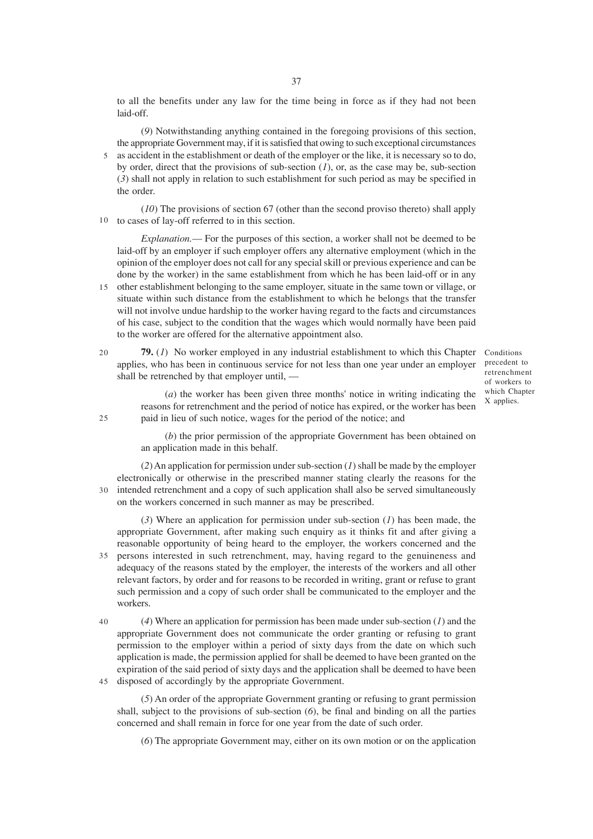to all the benefits under any law for the time being in force as if they had not been laid-off.

(*9*) Notwithstanding anything contained in the foregoing provisions of this section, the appropriate Government may, if it is satisfied that owing to such exceptional circumstances as accident in the establishment or death of the employer or the like, it is necessary so to do, by order, direct that the provisions of sub-section (*1*), or, as the case may be, sub-section (*3*) shall not apply in relation to such establishment for such period as may be specified in the order. 5

(*10*) The provisions of section 67 (other than the second proviso thereto) shall apply to cases of lay-off referred to in this section. 10

*Explanation.*— For the purposes of this section, a worker shall not be deemed to be laid-off by an employer if such employer offers any alternative employment (which in the opinion of the employer does not call for any special skill or previous experience and can be done by the worker) in the same establishment from which he has been laid-off or in any 15 other establishment belonging to the same employer, situate in the same town or village, or

- situate within such distance from the establishment to which he belongs that the transfer will not involve undue hardship to the worker having regard to the facts and circumstances of his case, subject to the condition that the wages which would normally have been paid to the worker are offered for the alternative appointment also.
- **79.** (1) No worker employed in any industrial establishment to which this Chapter Conditions applies, who has been in continuous service for not less than one year under an employer shall be retrenched by that employer until, —  $20$

precedent to retrenchment of workers to which Chapter X applies.

(*a*) the worker has been given three months' notice in writing indicating the reasons for retrenchment and the period of notice has expired, or the worker has been paid in lieu of such notice, wages for the period of the notice; and

(*b*) the prior permission of the appropriate Government has been obtained on an application made in this behalf.

(*2*) An application for permission under sub-section (*1*) shall be made by the employer electronically or otherwise in the prescribed manner stating clearly the reasons for the intended retrenchment and a copy of such application shall also be served simultaneously on the workers concerned in such manner as may be prescribed. 30

(*3*) Where an application for permission under sub-section (*1*) has been made, the appropriate Government, after making such enquiry as it thinks fit and after giving a reasonable opportunity of being heard to the employer, the workers concerned and the persons interested in such retrenchment, may, having regard to the genuineness and 35 adequacy of the reasons stated by the employer, the interests of the workers and all other relevant factors, by order and for reasons to be recorded in writing, grant or refuse to grant such permission and a copy of such order shall be communicated to the employer and the workers.

(*4*) Where an application for permission has been made under sub-section (*1*) and the appropriate Government does not communicate the order granting or refusing to grant permission to the employer within a period of sixty days from the date on which such application is made, the permission applied for shall be deemed to have been granted on the expiration of the said period of sixty days and the application shall be deemed to have been disposed of accordingly by the appropriate Government. 40 45

(*5*) An order of the appropriate Government granting or refusing to grant permission shall, subject to the provisions of sub-section (*6*), be final and binding on all the parties concerned and shall remain in force for one year from the date of such order.

(*6*) The appropriate Government may, either on its own motion or on the application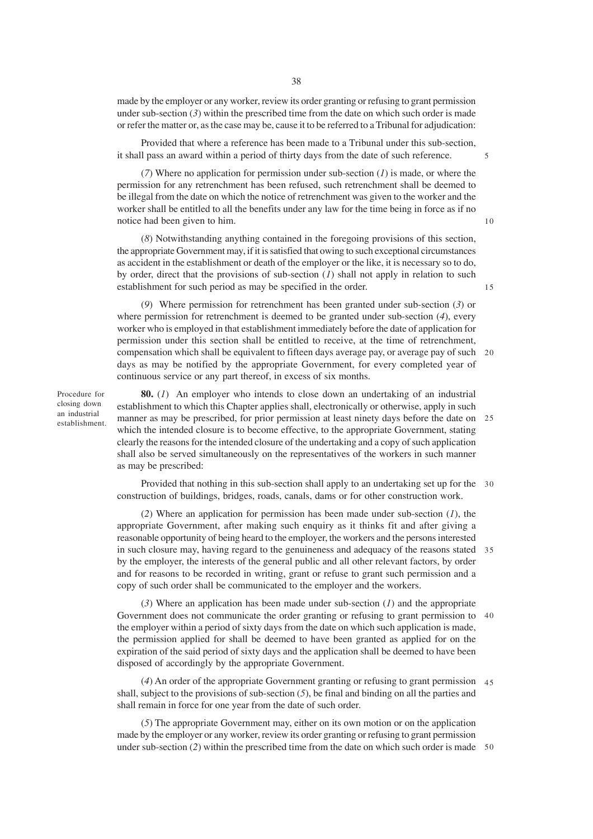made by the employer or any worker, review its order granting or refusing to grant permission under sub-section (*3*) within the prescribed time from the date on which such order is made or refer the matter or, as the case may be, cause it to be referred to a Tribunal for adjudication:

Provided that where a reference has been made to a Tribunal under this sub-section, it shall pass an award within a period of thirty days from the date of such reference.

(*7*) Where no application for permission under sub-section (*1*) is made, or where the permission for any retrenchment has been refused, such retrenchment shall be deemed to be illegal from the date on which the notice of retrenchment was given to the worker and the worker shall be entitled to all the benefits under any law for the time being in force as if no notice had been given to him.

(*8*) Notwithstanding anything contained in the foregoing provisions of this section, the appropriate Government may, if it is satisfied that owing to such exceptional circumstances as accident in the establishment or death of the employer or the like, it is necessary so to do, by order, direct that the provisions of sub-section (*1*) shall not apply in relation to such establishment for such period as may be specified in the order.

(*9*) Where permission for retrenchment has been granted under sub-section (*3*) or where permission for retrenchment is deemed to be granted under sub-section (*4*), every worker who is employed in that establishment immediately before the date of application for permission under this section shall be entitled to receive, at the time of retrenchment, compensation which shall be equivalent to fifteen days average pay, or average pay of such 20 days as may be notified by the appropriate Government, for every completed year of continuous service or any part thereof, in excess of six months.

Procedure for closing down an industrial establishment.

**80.** (*1*) An employer who intends to close down an undertaking of an industrial establishment to which this Chapter applies shall, electronically or otherwise, apply in such manner as may be prescribed, for prior permission at least ninety days before the date on 25 which the intended closure is to become effective, to the appropriate Government, stating clearly the reasons for the intended closure of the undertaking and a copy of such application shall also be served simultaneously on the representatives of the workers in such manner as may be prescribed:

Provided that nothing in this sub-section shall apply to an undertaking set up for the 30 construction of buildings, bridges, roads, canals, dams or for other construction work.

(*2*) Where an application for permission has been made under sub-section (*1*), the appropriate Government, after making such enquiry as it thinks fit and after giving a reasonable opportunity of being heard to the employer, the workers and the persons interested in such closure may, having regard to the genuineness and adequacy of the reasons stated 35 by the employer, the interests of the general public and all other relevant factors, by order and for reasons to be recorded in writing, grant or refuse to grant such permission and a copy of such order shall be communicated to the employer and the workers.

(*3*) Where an application has been made under sub-section (*1*) and the appropriate Government does not communicate the order granting or refusing to grant permission to 40 the employer within a period of sixty days from the date on which such application is made, the permission applied for shall be deemed to have been granted as applied for on the expiration of the said period of sixty days and the application shall be deemed to have been disposed of accordingly by the appropriate Government.

(*4*) An order of the appropriate Government granting or refusing to grant permission 45 shall, subject to the provisions of sub-section (*5*), be final and binding on all the parties and shall remain in force for one year from the date of such order.

(*5*) The appropriate Government may, either on its own motion or on the application made by the employer or any worker, review its order granting or refusing to grant permission under sub-section (*2*) within the prescribed time from the date on which such order is made 50

5

15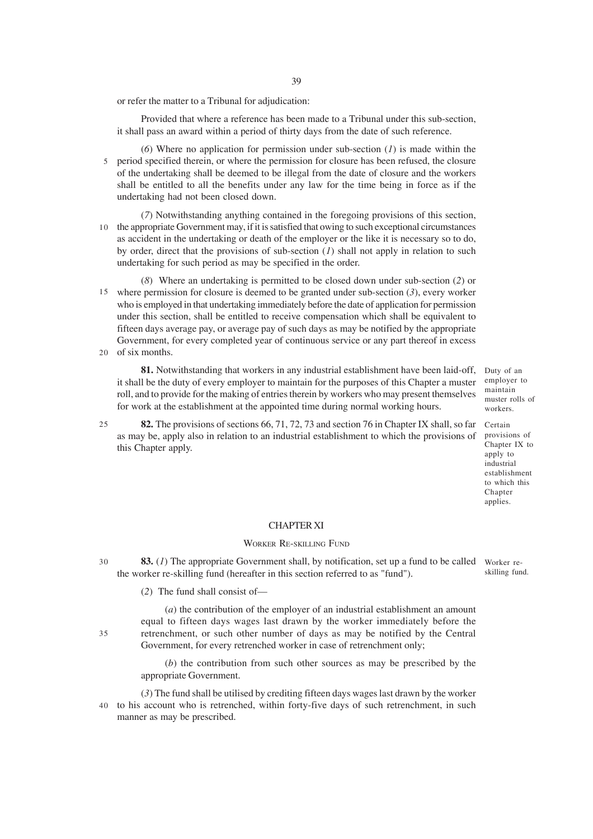or refer the matter to a Tribunal for adjudication:

Provided that where a reference has been made to a Tribunal under this sub-section, it shall pass an award within a period of thirty days from the date of such reference.

(*6*) Where no application for permission under sub-section (*1*) is made within the 5 period specified therein, or where the permission for closure has been refused, the closure of the undertaking shall be deemed to be illegal from the date of closure and the workers shall be entitled to all the benefits under any law for the time being in force as if the undertaking had not been closed down.

(*7*) Notwithstanding anything contained in the foregoing provisions of this section, 10 the appropriate Government may, if it is satisfied that owing to such exceptional circumstances as accident in the undertaking or death of the employer or the like it is necessary so to do, by order, direct that the provisions of sub-section (*1*) shall not apply in relation to such undertaking for such period as may be specified in the order.

(*8*) Where an undertaking is permitted to be closed down under sub-section (*2*) or where permission for closure is deemed to be granted under sub-section (*3*), every worker 15 who is employed in that undertaking immediately before the date of application for permission under this section, shall be entitled to receive compensation which shall be equivalent to fifteen days average pay, or average pay of such days as may be notified by the appropriate Government, for every completed year of continuous service or any part thereof in excess

20 of six months.

**81.** Notwithstanding that workers in any industrial establishment have been laid-off, it shall be the duty of every employer to maintain for the purposes of this Chapter a muster roll, and to provide for the making of entries therein by workers who may present themselves for work at the establishment at the appointed time during normal working hours.

**82.** The provisions of sections 66, 71, 72, 73 and section 76 in Chapter IX shall, so far as may be, apply also in relation to an industrial establishment to which the provisions of this Chapter apply. 25

employer to maintain muster rolls of workers. Certain

Duty of an

provisions of Chapter IX to apply to industrial establishment to which this Chapter applies.

#### CHAPTER XI

## WORKER RE-SKILLING FUND

**83.** (1) The appropriate Government shall, by notification, set up a fund to be called worker rethe worker re-skilling fund (hereafter in this section referred to as "fund"). skilling fund. 30

(*2*) The fund shall consist of—

(*a*) the contribution of the employer of an industrial establishment an amount equal to fifteen days wages last drawn by the worker immediately before the retrenchment, or such other number of days as may be notified by the Central Government, for every retrenched worker in case of retrenchment only;

(*b*) the contribution from such other sources as may be prescribed by the appropriate Government.

(*3*) The fund shall be utilised by crediting fifteen days wages last drawn by the worker to his account who is retrenched, within forty-five days of such retrenchment, in such manner as may be prescribed. 40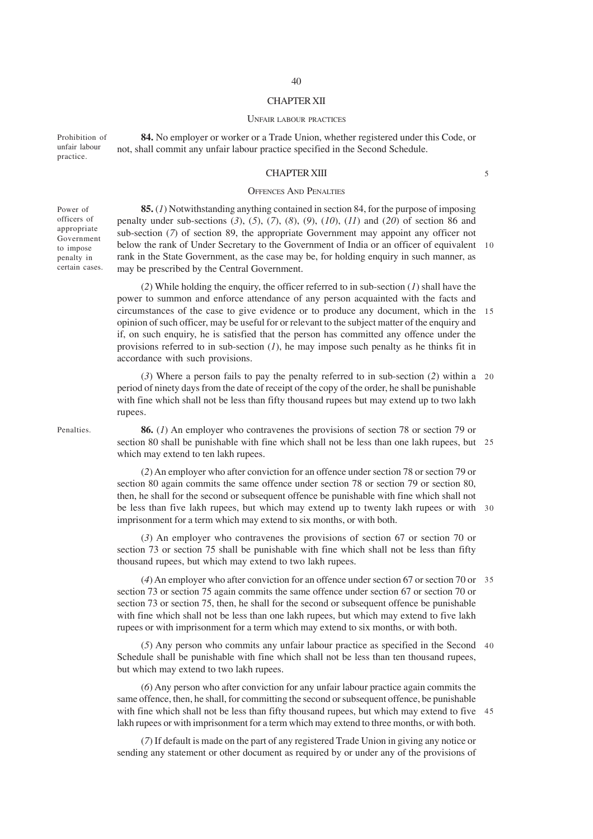## CHAPTER XII

#### UNFAIR LABOUR PRACTICES

**84.** No employer or worker or a Trade Union, whether registered under this Code, or not, shall commit any unfair labour practice specified in the Second Schedule. Prohibition of unfair labour practice.

### CHAPTER XIII

5

# OFFENCES AND PENALTIES

Power of officers of appropriate Government to impose penalty in certain cases.

**85.** (*1*) Notwithstanding anything contained in section 84, for the purpose of imposing penalty under sub-sections (*3*), (*5*), (*7*), (*8*), (*9*), (*10*), (*11*) and (*20*) of section 86 and sub-section (*7*) of section 89, the appropriate Government may appoint any officer not below the rank of Under Secretary to the Government of India or an officer of equivalent 10 rank in the State Government, as the case may be, for holding enquiry in such manner, as may be prescribed by the Central Government.

(*2*) While holding the enquiry, the officer referred to in sub-section (*1*) shall have the power to summon and enforce attendance of any person acquainted with the facts and circumstances of the case to give evidence or to produce any document, which in the opinion of such officer, may be useful for or relevant to the subject matter of the enquiry and if, on such enquiry, he is satisfied that the person has committed any offence under the provisions referred to in sub-section (*1*), he may impose such penalty as he thinks fit in accordance with such provisions. 15

(*3*) Where a person fails to pay the penalty referred to in sub-section (*2*) within a 20 period of ninety days from the date of receipt of the copy of the order, he shall be punishable with fine which shall not be less than fifty thousand rupees but may extend up to two lakh rupees.

**86.** (*1*) An employer who contravenes the provisions of section 78 or section 79 or section 80 shall be punishable with fine which shall not be less than one lakh rupees, but 25 which may extend to ten lakh rupees.

(*2*) An employer who after conviction for an offence under section 78 or section 79 or section 80 again commits the same offence under section 78 or section 79 or section 80, then, he shall for the second or subsequent offence be punishable with fine which shall not be less than five lakh rupees, but which may extend up to twenty lakh rupees or with 30 imprisonment for a term which may extend to six months, or with both.

(*3*) An employer who contravenes the provisions of section 67 or section 70 or section 73 or section 75 shall be punishable with fine which shall not be less than fifty thousand rupees, but which may extend to two lakh rupees.

(*4*) An employer who after conviction for an offence under section 67 or section 70 or 35 section 73 or section 75 again commits the same offence under section 67 or section 70 or section 73 or section 75, then, he shall for the second or subsequent offence be punishable with fine which shall not be less than one lakh rupees, but which may extend to five lakh rupees or with imprisonment for a term which may extend to six months, or with both.

(*5*) Any person who commits any unfair labour practice as specified in the Second 40 Schedule shall be punishable with fine which shall not be less than ten thousand rupees, but which may extend to two lakh rupees.

(*6*) Any person who after conviction for any unfair labour practice again commits the same offence, then, he shall, for committing the second or subsequent offence, be punishable with fine which shall not be less than fifty thousand rupees, but which may extend to five 45 lakh rupees or with imprisonment for a term which may extend to three months, or with both.

(*7*) If default is made on the part of any registered Trade Union in giving any notice or sending any statement or other document as required by or under any of the provisions of

Penalties.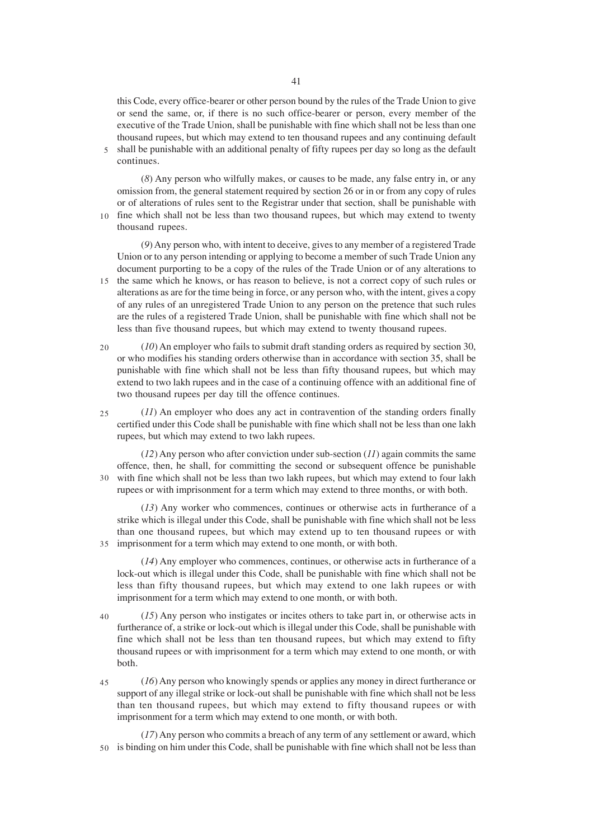this Code, every office-bearer or other person bound by the rules of the Trade Union to give or send the same, or, if there is no such office-bearer or person, every member of the executive of the Trade Union, shall be punishable with fine which shall not be less than one thousand rupees, but which may extend to ten thousand rupees and any continuing default 5 shall be punishable with an additional penalty of fifty rupees per day so long as the default continues.

(*8*) Any person who wilfully makes, or causes to be made, any false entry in, or any omission from, the general statement required by section 26 or in or from any copy of rules or of alterations of rules sent to the Registrar under that section, shall be punishable with fine which shall not be less than two thousand rupees, but which may extend to twenty

thousand rupees.

 $1<sub>0</sub>$ 

(*9*) Any person who, with intent to deceive, gives to any member of a registered Trade Union or to any person intending or applying to become a member of such Trade Union any document purporting to be a copy of the rules of the Trade Union or of any alterations to 15 the same which he knows, or has reason to believe, is not a correct copy of such rules or alterations as are for the time being in force, or any person who, with the intent, gives a copy of any rules of an unregistered Trade Union to any person on the pretence that such rules are the rules of a registered Trade Union, shall be punishable with fine which shall not be less than five thousand rupees, but which may extend to twenty thousand rupees.

- (*10*) An employer who fails to submit draft standing orders as required by section 30, or who modifies his standing orders otherwise than in accordance with section 35, shall be punishable with fine which shall not be less than fifty thousand rupees, but which may extend to two lakh rupees and in the case of a continuing offence with an additional fine of two thousand rupees per day till the offence continues. 20
- (*11*) An employer who does any act in contravention of the standing orders finally certified under this Code shall be punishable with fine which shall not be less than one lakh rupees, but which may extend to two lakh rupees.  $25$

 $(12)$  Any person who after conviction under sub-section  $(11)$  again commits the same offence, then, he shall, for committing the second or subsequent offence be punishable with fine which shall not be less than two lakh rupees, but which may extend to four lakh 30 rupees or with imprisonment for a term which may extend to three months, or with both.

(*13*) Any worker who commences, continues or otherwise acts in furtherance of a strike which is illegal under this Code, shall be punishable with fine which shall not be less than one thousand rupees, but which may extend up to ten thousand rupees or with imprisonment for a term which may extend to one month, or with both. 35

(*14*) Any employer who commences, continues, or otherwise acts in furtherance of a lock-out which is illegal under this Code, shall be punishable with fine which shall not be less than fifty thousand rupees, but which may extend to one lakh rupees or with imprisonment for a term which may extend to one month, or with both.

(*15*) Any person who instigates or incites others to take part in, or otherwise acts in furtherance of, a strike or lock-out which is illegal under this Code, shall be punishable with fine which shall not be less than ten thousand rupees, but which may extend to fifty thousand rupees or with imprisonment for a term which may extend to one month, or with both. 40

(*16*) Any person who knowingly spends or applies any money in direct furtherance or support of any illegal strike or lock-out shall be punishable with fine which shall not be less than ten thousand rupees, but which may extend to fifty thousand rupees or with imprisonment for a term which may extend to one month, or with both. 45

(*17*) Any person who commits a breach of any term of any settlement or award, which is binding on him under this Code, shall be punishable with fine which shall not be less than 50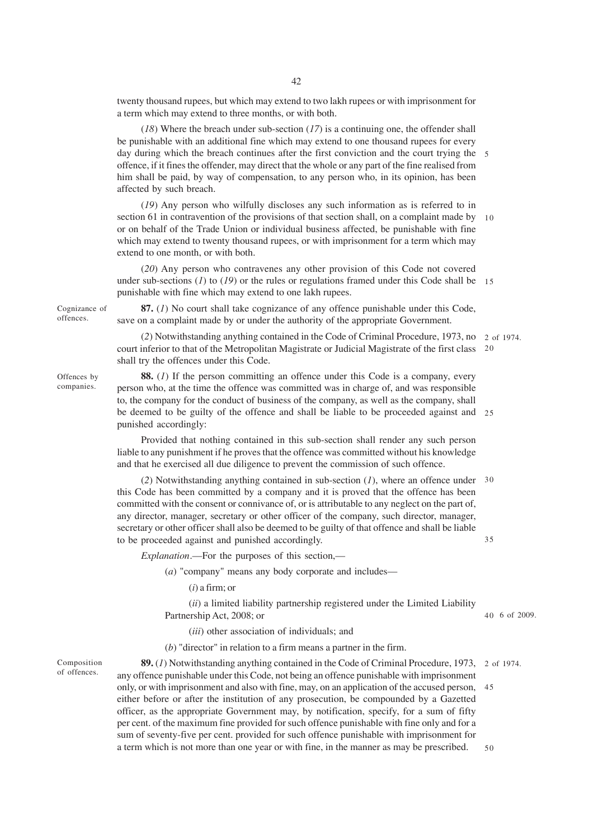twenty thousand rupees, but which may extend to two lakh rupees or with imprisonment for a term which may extend to three months, or with both.

(*18*) Where the breach under sub-section (*17*) is a continuing one, the offender shall be punishable with an additional fine which may extend to one thousand rupees for every day during which the breach continues after the first conviction and the court trying the 5 offence, if it fines the offender, may direct that the whole or any part of the fine realised from him shall be paid, by way of compensation, to any person who, in its opinion, has been affected by such breach.

(*19*) Any person who wilfully discloses any such information as is referred to in section 61 in contravention of the provisions of that section shall, on a complaint made by 10 or on behalf of the Trade Union or individual business affected, be punishable with fine which may extend to twenty thousand rupees, or with imprisonment for a term which may extend to one month, or with both.

(*20*) Any person who contravenes any other provision of this Code not covered under sub-sections (*1*) to (*19*) or the rules or regulations framed under this Code shall be 15 punishable with fine which may extend to one lakh rupees.

**87.** (*1*) No court shall take cognizance of any offence punishable under this Code, save on a complaint made by or under the authority of the appropriate Government.

(*2*) Notwithstanding anything contained in the Code of Criminal Procedure, 1973, no 2 of 1974. court inferior to that of the Metropolitan Magistrate or Judicial Magistrate of the first class 20 shall try the offences under this Code.

**88.** (*1*) If the person committing an offence under this Code is a company, every person who, at the time the offence was committed was in charge of, and was responsible to, the company for the conduct of business of the company, as well as the company, shall be deemed to be guilty of the offence and shall be liable to be proceeded against and 25 punished accordingly:

Provided that nothing contained in this sub-section shall render any such person liable to any punishment if he proves that the offence was committed without his knowledge and that he exercised all due diligence to prevent the commission of such offence.

(*2*) Notwithstanding anything contained in sub-section (*1*), where an offence under 30 this Code has been committed by a company and it is proved that the offence has been committed with the consent or connivance of, or is attributable to any neglect on the part of, any director, manager, secretary or other officer of the company, such director, manager, secretary or other officer shall also be deemed to be guilty of that offence and shall be liable to be proceeded against and punished accordingly. 35

*Explanation*.—For the purposes of this section,—

(*a*) "company" means any body corporate and includes—

(*i*) a firm; or

(*ii*) a limited liability partnership registered under the Limited Liability Partnership Act, 2008; or

(*iii*) other association of individuals; and

(*b*) "director" in relation to a firm means a partner in the firm.

Composition of offences.

**89.** (1) Notwithstanding anything contained in the Code of Criminal Procedure, 1973, 2 of 1974. any offence punishable under this Code, not being an offence punishable with imprisonment only, or with imprisonment and also with fine, may, on an application of the accused person, 45 either before or after the institution of any prosecution, be compounded by a Gazetted officer, as the appropriate Government may, by notification, specify, for a sum of fifty per cent. of the maximum fine provided for such offence punishable with fine only and for a sum of seventy-five per cent. provided for such offence punishable with imprisonment for a term which is not more than one year or with fine, in the manner as may be prescribed.

Offences by companies.

Cognizance of offences.

6 of 2009. 40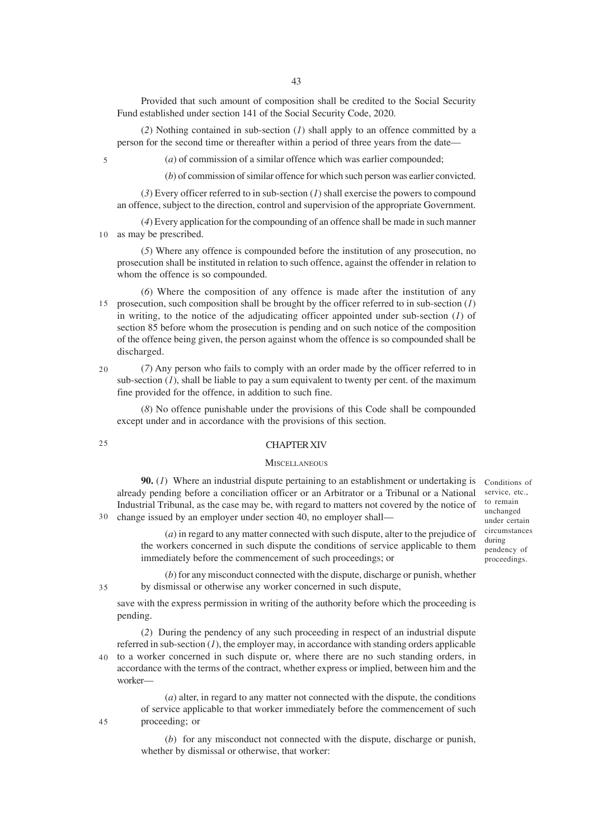Provided that such amount of composition shall be credited to the Social Security Fund established under section 141 of the Social Security Code, 2020.

(*2*) Nothing contained in sub-section (*1*) shall apply to an offence committed by a person for the second time or thereafter within a period of three years from the date—

5

(*a*) of commission of a similar offence which was earlier compounded;

(*b*) of commission of similar offence for which such person was earlier convicted.

(*3*) Every officer referred to in sub-section (*1*) shall exercise the powers to compound an offence, subject to the direction, control and supervision of the appropriate Government.

(*4*) Every application for the compounding of an offence shall be made in such manner as may be prescribed. 10

(*5*) Where any offence is compounded before the institution of any prosecution, no prosecution shall be instituted in relation to such offence, against the offender in relation to whom the offence is so compounded.

(*6*) Where the composition of any offence is made after the institution of any prosecution, such composition shall be brought by the officer referred to in sub-section (*1*) in writing, to the notice of the adjudicating officer appointed under sub-section (*1*) of section 85 before whom the prosecution is pending and on such notice of the composition of the offence being given, the person against whom the offence is so compounded shall be discharged. 15

 $20$ 

(*7*) Any person who fails to comply with an order made by the officer referred to in sub-section  $(I)$ , shall be liable to pay a sum equivalent to twenty per cent. of the maximum fine provided for the offence, in addition to such fine.

(*8*) No offence punishable under the provisions of this Code shall be compounded except under and in accordance with the provisions of this section.

25

#### CHAPTER XIV

#### **MISCELLANEOUS**

**90.** (*1*) Where an industrial dispute pertaining to an establishment or undertaking is already pending before a conciliation officer or an Arbitrator or a Tribunal or a National Industrial Tribunal, as the case may be, with regard to matters not covered by the notice of change issued by an employer under section 40, no employer shall—

(*a*) in regard to any matter connected with such dispute, alter to the prejudice of the workers concerned in such dispute the conditions of service applicable to them immediately before the commencement of such proceedings; or

Conditions of service, etc., to remain unchanged under certain circumstances during pendency of proceedings.

35

30

(*b*) for any misconduct connected with the dispute, discharge or punish, whether by dismissal or otherwise any worker concerned in such dispute,

save with the express permission in writing of the authority before which the proceeding is pending.

(*2*) During the pendency of any such proceeding in respect of an industrial dispute referred in sub-section (*1*), the employer may, in accordance with standing orders applicable

to a worker concerned in such dispute or, where there are no such standing orders, in accordance with the terms of the contract, whether express or implied, between him and the worker— 40

> (*a*) alter, in regard to any matter not connected with the dispute, the conditions of service applicable to that worker immediately before the commencement of such proceeding; or

> (*b*) for any misconduct not connected with the dispute, discharge or punish, whether by dismissal or otherwise, that worker: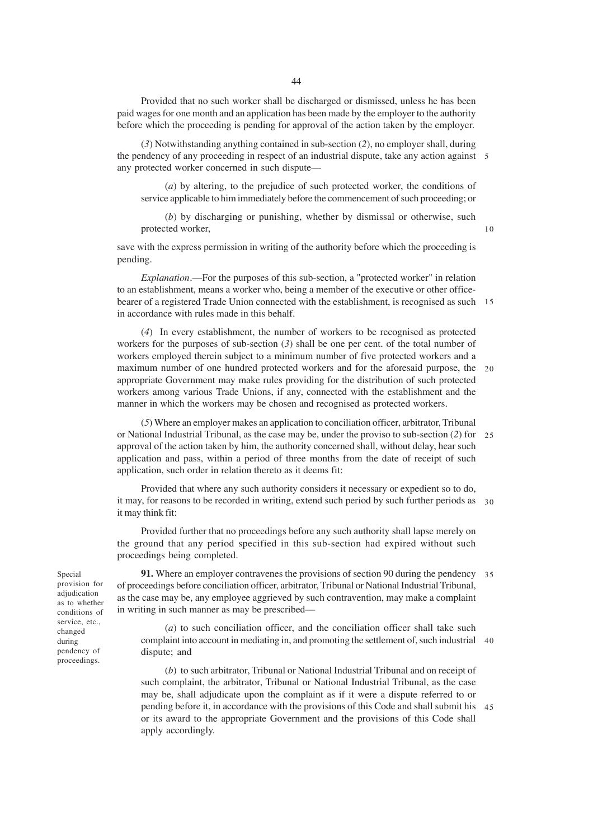Provided that no such worker shall be discharged or dismissed, unless he has been paid wages for one month and an application has been made by the employer to the authority before which the proceeding is pending for approval of the action taken by the employer.

(*3*) Notwithstanding anything contained in sub-section (*2*), no employer shall, during the pendency of any proceeding in respect of an industrial dispute, take any action against 5 any protected worker concerned in such dispute—

(*a*) by altering, to the prejudice of such protected worker, the conditions of service applicable to him immediately before the commencement of such proceeding; or

(*b*) by discharging or punishing, whether by dismissal or otherwise, such protected worker,

10

save with the express permission in writing of the authority before which the proceeding is pending.

*Explanation*.—For the purposes of this sub-section, a "protected worker" in relation to an establishment, means a worker who, being a member of the executive or other officebearer of a registered Trade Union connected with the establishment, is recognised as such 15 in accordance with rules made in this behalf.

(*4*) In every establishment, the number of workers to be recognised as protected workers for the purposes of sub-section  $(3)$  shall be one per cent. of the total number of workers employed therein subject to a minimum number of five protected workers and a maximum number of one hundred protected workers and for the aforesaid purpose, the 20 appropriate Government may make rules providing for the distribution of such protected workers among various Trade Unions, if any, connected with the establishment and the manner in which the workers may be chosen and recognised as protected workers.

(*5*) Where an employer makes an application to conciliation officer, arbitrator, Tribunal or National Industrial Tribunal, as the case may be, under the proviso to sub-section (*2*) for 25 approval of the action taken by him, the authority concerned shall, without delay, hear such application and pass, within a period of three months from the date of receipt of such application, such order in relation thereto as it deems fit:

Provided that where any such authority considers it necessary or expedient so to do, it may, for reasons to be recorded in writing, extend such period by such further periods as 30 it may think fit:

Provided further that no proceedings before any such authority shall lapse merely on the ground that any period specified in this sub-section had expired without such proceedings being completed.

**91.** Where an employer contravenes the provisions of section 90 during the pendency 35 of proceedings before conciliation officer, arbitrator, Tribunal or National Industrial Tribunal, as the case may be, any employee aggrieved by such contravention, may make a complaint in writing in such manner as may be prescribed—

(*a*) to such conciliation officer, and the conciliation officer shall take such complaint into account in mediating in, and promoting the settlement of, such industrial 40 dispute; and

(*b*) to such arbitrator, Tribunal or National Industrial Tribunal and on receipt of such complaint, the arbitrator, Tribunal or National Industrial Tribunal, as the case may be, shall adjudicate upon the complaint as if it were a dispute referred to or pending before it, in accordance with the provisions of this Code and shall submit his 45or its award to the appropriate Government and the provisions of this Code shall apply accordingly.

Special provision for adjudication as to whether conditions of service, etc., changed during pendency of proceedings.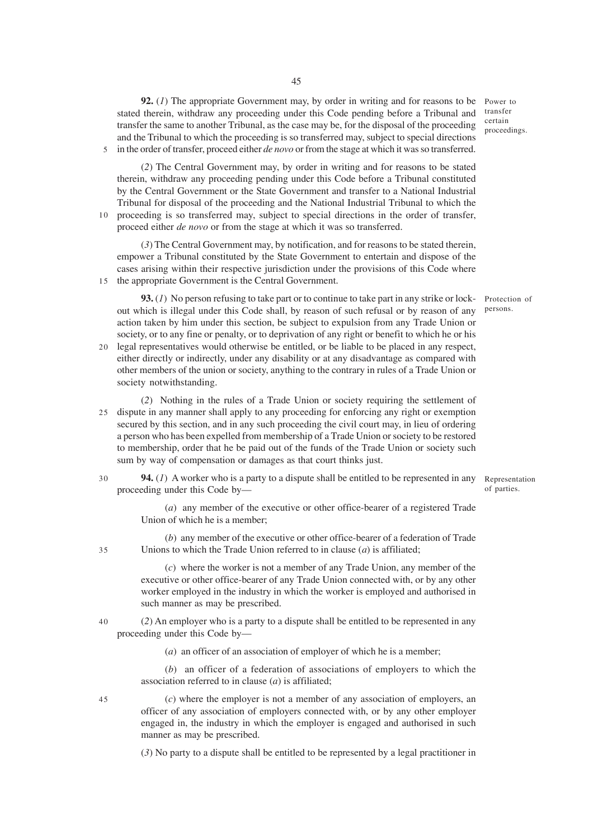45

**92.** (1) The appropriate Government may, by order in writing and for reasons to be Power to stated therein, withdraw any proceeding under this Code pending before a Tribunal and transfer the same to another Tribunal, as the case may be, for the disposal of the proceeding and the Tribunal to which the proceeding is so transferred may, subject to special directions 5 in the order of transfer, proceed either *de novo* or from the stage at which it was so transferred.

(*2*) The Central Government may, by order in writing and for reasons to be stated therein, withdraw any proceeding pending under this Code before a Tribunal constituted by the Central Government or the State Government and transfer to a National Industrial Tribunal for disposal of the proceeding and the National Industrial Tribunal to which the 10 proceeding is so transferred may, subject to special directions in the order of transfer, proceed either *de novo* or from the stage at which it was so transferred.

(*3*) The Central Government may, by notification, and for reasons to be stated therein, empower a Tribunal constituted by the State Government to entertain and dispose of the cases arising within their respective jurisdiction under the provisions of this Code where the appropriate Government is the Central Government. 15

**93.** (*1*) No person refusing to take part or to continue to take part in any strike or lockout which is illegal under this Code shall, by reason of such refusal or by reason of any action taken by him under this section, be subject to expulsion from any Trade Union or society, or to any fine or penalty, or to deprivation of any right or benefit to which he or his

- 20 legal representatives would otherwise be entitled, or be liable to be placed in any respect, either directly or indirectly, under any disability or at any disadvantage as compared with other members of the union or society, anything to the contrary in rules of a Trade Union or society notwithstanding.
- (*2*) Nothing in the rules of a Trade Union or society requiring the settlement of dispute in any manner shall apply to any proceeding for enforcing any right or exemption 25 secured by this section, and in any such proceeding the civil court may, in lieu of ordering a person who has been expelled from membership of a Trade Union or society to be restored to membership, order that he be paid out of the funds of the Trade Union or society such sum by way of compensation or damages as that court thinks just.

**94.** (*1*) A worker who is a party to a dispute shall be entitled to be represented in any proceeding under this Code by— 30

Representation of parties.

(*a*) any member of the executive or other office-bearer of a registered Trade Union of which he is a member;

(*b*) any member of the executive or other office-bearer of a federation of Trade Unions to which the Trade Union referred to in clause (*a*) is affiliated;

(*c*) where the worker is not a member of any Trade Union, any member of the executive or other office-bearer of any Trade Union connected with, or by any other worker employed in the industry in which the worker is employed and authorised in such manner as may be prescribed.

(*2*) An employer who is a party to a dispute shall be entitled to be represented in any proceeding under this Code by— 40

(*a*) an officer of an association of employer of which he is a member;

(*b*) an officer of a federation of associations of employers to which the association referred to in clause (*a*) is affiliated;

(*c*) where the employer is not a member of any association of employers, an officer of any association of employers connected with, or by any other employer engaged in, the industry in which the employer is engaged and authorised in such manner as may be prescribed.

(*3*) No party to a dispute shall be entitled to be represented by a legal practitioner in

transfer certain proceedings.

Protection of persons.

45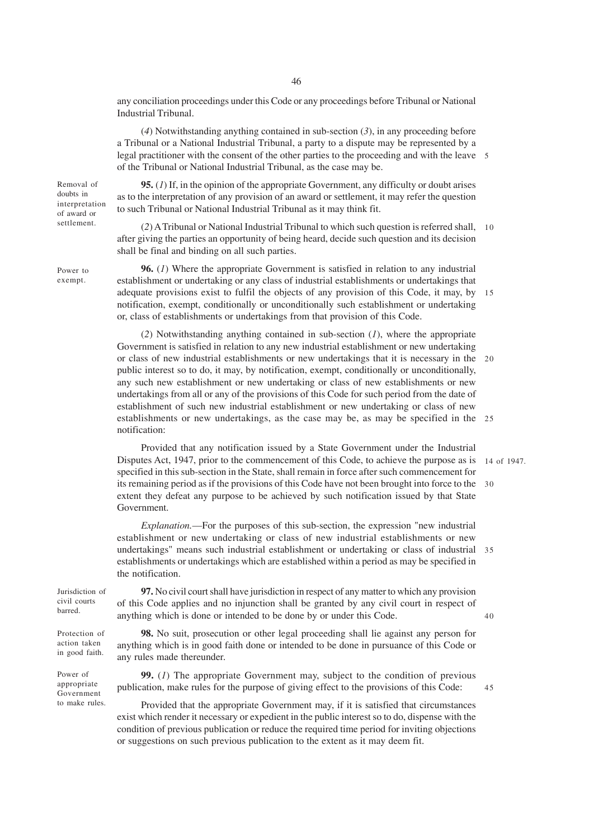any conciliation proceedings under this Code or any proceedings before Tribunal or National Industrial Tribunal.

(*4*) Notwithstanding anything contained in sub-section (*3*), in any proceeding before a Tribunal or a National Industrial Tribunal, a party to a dispute may be represented by a legal practitioner with the consent of the other parties to the proceeding and with the leave 5 of the Tribunal or National Industrial Tribunal, as the case may be.

Removal of doubts in interpretation of award or settlement.

Power to exempt.

**95.** (*1*) If, in the opinion of the appropriate Government, any difficulty or doubt arises as to the interpretation of any provision of an award or settlement, it may refer the question to such Tribunal or National Industrial Tribunal as it may think fit.

(*2*) A Tribunal or National Industrial Tribunal to which such question is referred shall, 10 after giving the parties an opportunity of being heard, decide such question and its decision shall be final and binding on all such parties.

**96.** (*1*) Where the appropriate Government is satisfied in relation to any industrial establishment or undertaking or any class of industrial establishments or undertakings that adequate provisions exist to fulfil the objects of any provision of this Code, it may, by 15 notification, exempt, conditionally or unconditionally such establishment or undertaking or, class of establishments or undertakings from that provision of this Code.

(*2*) Notwithstanding anything contained in sub-section (*1*), where the appropriate Government is satisfied in relation to any new industrial establishment or new undertaking or class of new industrial establishments or new undertakings that it is necessary in the 20 public interest so to do, it may, by notification, exempt, conditionally or unconditionally, any such new establishment or new undertaking or class of new establishments or new undertakings from all or any of the provisions of this Code for such period from the date of establishment of such new industrial establishment or new undertaking or class of new establishments or new undertakings, as the case may be, as may be specified in the 25 notification:

Provided that any notification issued by a State Government under the Industrial Disputes Act, 1947, prior to the commencement of this Code, to achieve the purpose as is 14 of 1947. specified in this sub-section in the State, shall remain in force after such commencement for its remaining period as if the provisions of this Code have not been brought into force to the 30 extent they defeat any purpose to be achieved by such notification issued by that State Government.

*Explanation.*—For the purposes of this sub-section, the expression "new industrial establishment or new undertaking or class of new industrial establishments or new undertakings" means such industrial establishment or undertaking or class of industrial 35 establishments or undertakings which are established within a period as may be specified in the notification.

Jurisdiction of civil courts barred.

Protection of action taken in good faith.

Power of appropriate Government to make rules.

**97.** No civil court shall have jurisdiction in respect of any matter to which any provision of this Code applies and no injunction shall be granted by any civil court in respect of anything which is done or intended to be done by or under this Code.

**98.** No suit, prosecution or other legal proceeding shall lie against any person for anything which is in good faith done or intended to be done in pursuance of this Code or any rules made thereunder.

**99.** (*1*) The appropriate Government may, subject to the condition of previous publication, make rules for the purpose of giving effect to the provisions of this Code:

Provided that the appropriate Government may, if it is satisfied that circumstances exist which render it necessary or expedient in the public interest so to do, dispense with the condition of previous publication or reduce the required time period for inviting objections or suggestions on such previous publication to the extent as it may deem fit.

40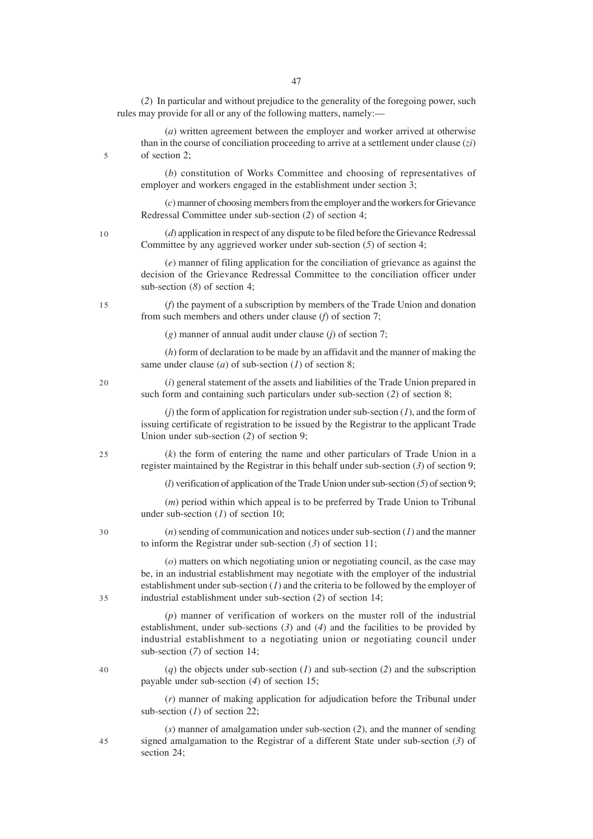(*2*) In particular and without prejudice to the generality of the foregoing power, such rules may provide for all or any of the following matters, namely:—

(*a*) written agreement between the employer and worker arrived at otherwise than in the course of conciliation proceeding to arrive at a settlement under clause (*zi*) of section 2;

(*b*) constitution of Works Committee and choosing of representatives of employer and workers engaged in the establishment under section 3;

(*c*) manner of choosing members from the employer and the workers for Grievance Redressal Committee under sub-section (*2*) of section 4;

(*d*) application in respect of any dispute to be filed before the Grievance Redressal Committee by any aggrieved worker under sub-section (*5*) of section 4;

(*e*) manner of filing application for the conciliation of grievance as against the decision of the Grievance Redressal Committee to the conciliation officer under sub-section (*8*) of section 4;

(*f*) the payment of a subscription by members of the Trade Union and donation from such members and others under clause (*f*) of section 7;

(*g*) manner of annual audit under clause (*j*) of section 7;

(*h*) form of declaration to be made by an affidavit and the manner of making the same under clause (*a*) of sub-section (*1*) of section 8;

(*i*) general statement of the assets and liabilities of the Trade Union prepared in such form and containing such particulars under sub-section (*2*) of section 8;

(*j*) the form of application for registration under sub-section (*1*), and the form of issuing certificate of registration to be issued by the Registrar to the applicant Trade Union under sub-section (*2*) of section 9;

(*k*) the form of entering the name and other particulars of Trade Union in a register maintained by the Registrar in this behalf under sub-section (*3*) of section 9;

(*l*) verification of application of the Trade Union under sub-section (*5*) of section 9;

(*m*) period within which appeal is to be preferred by Trade Union to Tribunal under sub-section (*1*) of section 10;

(*n*) sending of communication and notices under sub-section (*1*) and the manner to inform the Registrar under sub-section (*3*) of section 11;

(*o*) matters on which negotiating union or negotiating council, as the case may be, in an industrial establishment may negotiate with the employer of the industrial establishment under sub-section (*1*) and the criteria to be followed by the employer of industrial establishment under sub-section (*2*) of section 14;

(*p*) manner of verification of workers on the muster roll of the industrial establishment, under sub-sections (*3*) and (*4*) and the facilities to be provided by industrial establishment to a negotiating union or negotiating council under sub-section (*7*) of section 14;

(*q*) the objects under sub-section (*1*) and sub-section (*2*) and the subscription payable under sub-section (*4*) of section 15;

(*r*) manner of making application for adjudication before the Tribunal under sub-section (*1*) of section 22;

(*s*) manner of amalgamation under sub-section (*2*), and the manner of sending signed amalgamation to the Registrar of a different State under sub-section (*3*) of section 24;

47

20

5

10

15

- 
- $25$

30

- 35
- 40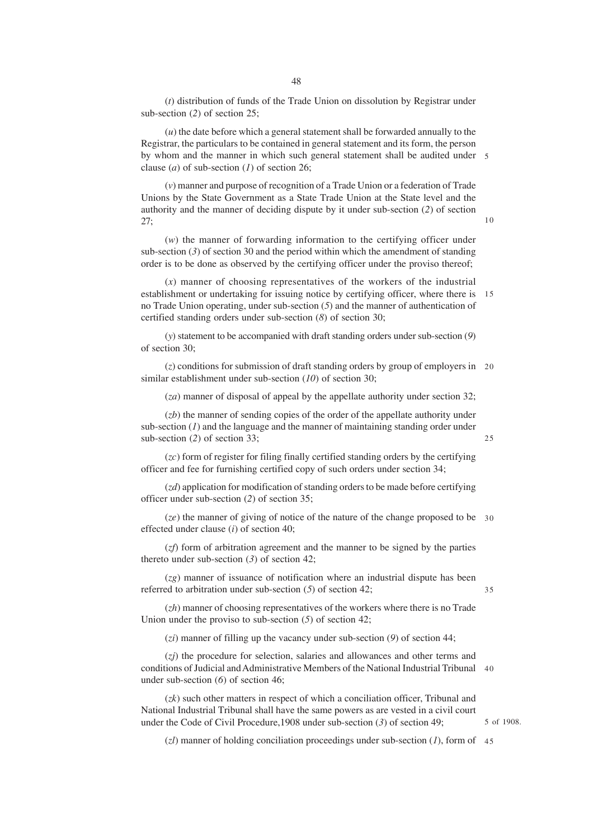(*t*) distribution of funds of the Trade Union on dissolution by Registrar under sub-section (*2*) of section 25;

(*u*) the date before which a general statement shall be forwarded annually to the Registrar, the particulars to be contained in general statement and its form, the person by whom and the manner in which such general statement shall be audited under 5 clause (*a*) of sub-section (*1*) of section 26;

(*v*) manner and purpose of recognition of a Trade Union or a federation of Trade Unions by the State Government as a State Trade Union at the State level and the authority and the manner of deciding dispute by it under sub-section (*2*) of section 27;

(*w*) the manner of forwarding information to the certifying officer under sub-section (*3*) of section 30 and the period within which the amendment of standing order is to be done as observed by the certifying officer under the proviso thereof;

(*x*) manner of choosing representatives of the workers of the industrial establishment or undertaking for issuing notice by certifying officer, where there is 15 no Trade Union operating, under sub-section (*5*) and the manner of authentication of certified standing orders under sub-section (*8*) of section 30;

(*y*) statement to be accompanied with draft standing orders under sub-section (*9*) of section 30;

(*z*) conditions for submission of draft standing orders by group of employers in 20 similar establishment under sub-section (*10*) of section 30;

(*za*) manner of disposal of appeal by the appellate authority under section 32;

(*zb*) the manner of sending copies of the order of the appellate authority under sub-section  $(I)$  and the language and the manner of maintaining standing order under sub-section (*2*) of section 33;

(*zc*) form of register for filing finally certified standing orders by the certifying officer and fee for furnishing certified copy of such orders under section 34;

(*zd*) application for modification of standing orders to be made before certifying officer under sub-section (*2*) of section 35;

(*ze*) the manner of giving of notice of the nature of the change proposed to be 30 effected under clause (*i*) of section 40;

(*zf*) form of arbitration agreement and the manner to be signed by the parties thereto under sub-section (*3*) of section 42;

(*zg*) manner of issuance of notification where an industrial dispute has been referred to arbitration under sub-section (*5*) of section 42;

35

(*zh*) manner of choosing representatives of the workers where there is no Trade Union under the proviso to sub-section (*5*) of section 42;

(*zi*) manner of filling up the vacancy under sub-section (*9*) of section 44;

(*zj*) the procedure for selection, salaries and allowances and other terms and conditions of Judicial and Administrative Members of the National Industrial Tribunal 40 under sub-section (*6*) of section 46;

(*zk*) such other matters in respect of which a conciliation officer, Tribunal and National Industrial Tribunal shall have the same powers as are vested in a civil court under the Code of Civil Procedure,1908 under sub-section (*3*) of section 49;

5 of 1908.

(*zl*) manner of holding conciliation proceedings under sub-section (*1*), form of 45

10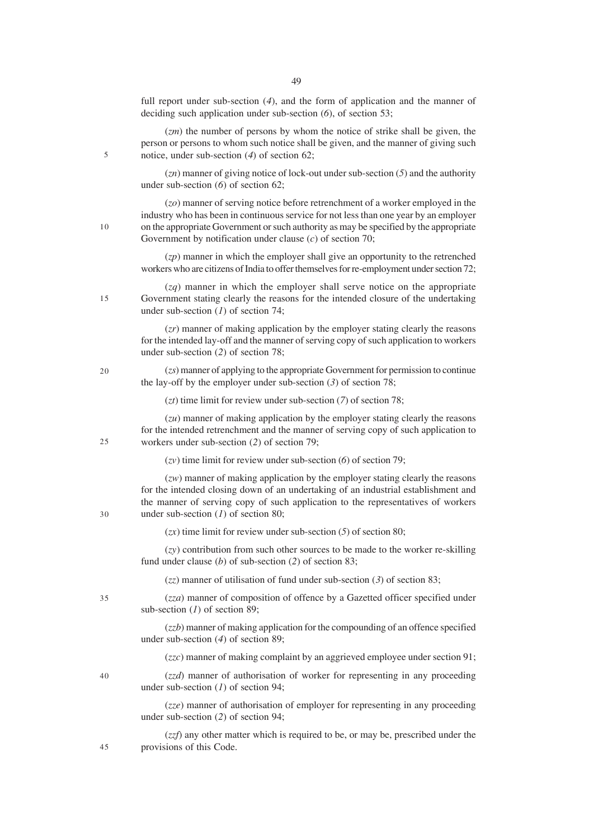full report under sub-section (*4*), and the form of application and the manner of deciding such application under sub-section (*6*), of section 53;

(*zm*) the number of persons by whom the notice of strike shall be given, the person or persons to whom such notice shall be given, and the manner of giving such notice, under sub-section (*4*) of section 62;

(*zn*) manner of giving notice of lock-out under sub-section (*5*) and the authority under sub-section (*6*) of section 62;

(*zo*) manner of serving notice before retrenchment of a worker employed in the industry who has been in continuous service for not less than one year by an employer on the appropriate Government or such authority as may be specified by the appropriate Government by notification under clause (*c*) of section 70;

(*zp*) manner in which the employer shall give an opportunity to the retrenched workers who are citizens of India to offer themselves for re-employment under section 72;

(*zq*) manner in which the employer shall serve notice on the appropriate Government stating clearly the reasons for the intended closure of the undertaking under sub-section (*1*) of section 74;

(*zr*) manner of making application by the employer stating clearly the reasons for the intended lay-off and the manner of serving copy of such application to workers under sub-section (*2*) of section 78;

(*zs*) manner of applying to the appropriate Government for permission to continue the lay-off by the employer under sub-section (*3*) of section 78;

(*zt*) time limit for review under sub-section (*7*) of section 78;

(*zu*) manner of making application by the employer stating clearly the reasons for the intended retrenchment and the manner of serving copy of such application to workers under sub-section (*2*) of section 79;

(*zv*) time limit for review under sub-section (*6*) of section 79;

(*zw*) manner of making application by the employer stating clearly the reasons for the intended closing down of an undertaking of an industrial establishment and the manner of serving copy of such application to the representatives of workers under sub-section (*1*) of section 80;

(*zx*) time limit for review under sub-section (*5*) of section 80;

(*zy*) contribution from such other sources to be made to the worker re-skilling fund under clause (*b*) of sub-section (*2*) of section 83;

(*zz*) manner of utilisation of fund under sub-section (*3*) of section 83;

35

(*zza*) manner of composition of offence by a Gazetted officer specified under sub-section (*1*) of section 89;

(*zzb*) manner of making application for the compounding of an offence specified under sub-section (*4*) of section 89;

(*zzc*) manner of making complaint by an aggrieved employee under section 91;

 $40$ 

45

(*zzd*) manner of authorisation of worker for representing in any proceeding under sub-section (*1*) of section 94;

(*zze*) manner of authorisation of employer for representing in any proceeding under sub-section (*2*) of section 94;

(*zzf*) any other matter which is required to be, or may be, prescribed under the provisions of this Code.

 $20$ 

5

10

15

25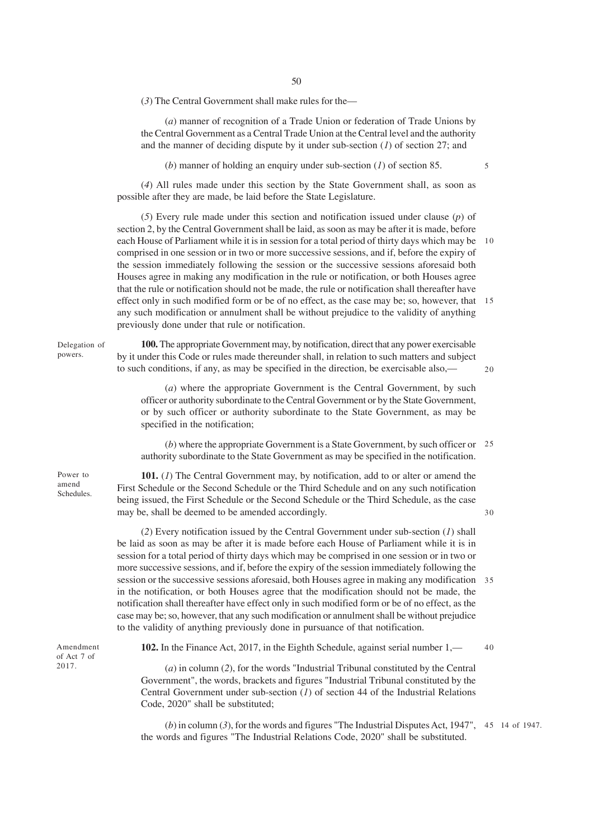(*3*) The Central Government shall make rules for the—

(*a*) manner of recognition of a Trade Union or federation of Trade Unions by the Central Government as a Central Trade Union at the Central level and the authority and the manner of deciding dispute by it under sub-section (*1*) of section 27; and

(*b*) manner of holding an enquiry under sub-section (*1*) of section 85.

(*4*) All rules made under this section by the State Government shall, as soon as possible after they are made, be laid before the State Legislature.

(*5*) Every rule made under this section and notification issued under clause (*p*) of section 2, by the Central Government shall be laid, as soon as may be after it is made, before each House of Parliament while it is in session for a total period of thirty days which may be comprised in one session or in two or more successive sessions, and if, before the expiry of the session immediately following the session or the successive sessions aforesaid both Houses agree in making any modification in the rule or notification, or both Houses agree that the rule or notification should not be made, the rule or notification shall thereafter have effect only in such modified form or be of no effect, as the case may be; so, however, that 15 any such modification or annulment shall be without prejudice to the validity of anything previously done under that rule or notification. 10

**100.** The appropriate Government may, by notification, direct that any power exercisable by it under this Code or rules made thereunder shall, in relation to such matters and subject to such conditions, if any, as may be specified in the direction, be exercisable also,—

 $20$ 

30

(*a*) where the appropriate Government is the Central Government, by such officer or authority subordinate to the Central Government or by the State Government, or by such officer or authority subordinate to the State Government, as may be specified in the notification;

(*b*) where the appropriate Government is a State Government, by such officer or 25 authority subordinate to the State Government as may be specified in the notification.

**101.** (*1*) The Central Government may, by notification, add to or alter or amend the First Schedule or the Second Schedule or the Third Schedule and on any such notification being issued, the First Schedule or the Second Schedule or the Third Schedule, as the case may be, shall be deemed to be amended accordingly.

(*2*) Every notification issued by the Central Government under sub-section (*1*) shall be laid as soon as may be after it is made before each House of Parliament while it is in session for a total period of thirty days which may be comprised in one session or in two or more successive sessions, and if, before the expiry of the session immediately following the session or the successive sessions aforesaid, both Houses agree in making any modification 35 in the notification, or both Houses agree that the modification should not be made, the notification shall thereafter have effect only in such modified form or be of no effect, as the case may be; so, however, that any such modification or annulment shall be without prejudice to the validity of anything previously done in pursuance of that notification.

Amendment of Act 7 of 2017.

**102.** In the Finance Act, 2017, in the Eighth Schedule, against serial number 1,— 40

(*a*) in column (*2*), for the words "Industrial Tribunal constituted by the Central Government", the words, brackets and figures "Industrial Tribunal constituted by the Central Government under sub-section (*1*) of section 44 of the Industrial Relations Code, 2020" shall be substituted;

 $(b)$  in column  $(3)$ , for the words and figures "The Industrial Disputes Act, 1947", 45 14 of 1947. the words and figures "The Industrial Relations Code, 2020" shall be substituted.

5

Power to amend

Delegation of powers.

Schedules.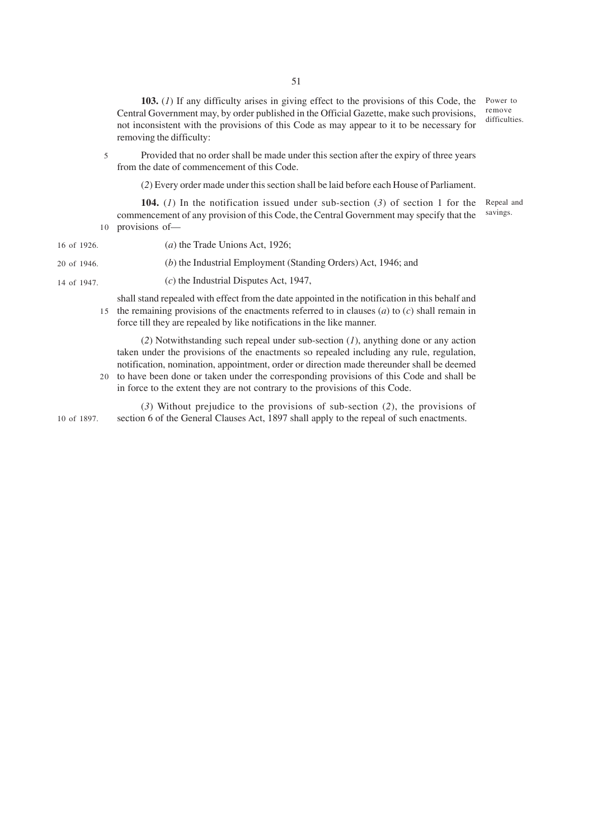**103.** (*1*) If any difficulty arises in giving effect to the provisions of this Code, the Central Government may, by order published in the Official Gazette, make such provisions, not inconsistent with the provisions of this Code as may appear to it to be necessary for removing the difficulty:

Power to remove difficulties.

Provided that no order shall be made under this section after the expiry of three years from the date of commencement of this Code. 5

(*2*) Every order made under this section shall be laid before each House of Parliament.

**104.** (*1*) In the notification issued under sub-section (*3*) of section 1 for the commencement of any provision of this Code, the Central Government may specify that the provisions of— 10 Repeal and savings.

| 16 of 1926. | ( <i>a</i> ) the Trade Unions Act, 1926;                       |
|-------------|----------------------------------------------------------------|
| 20 of 1946. | (b) the Industrial Employment (Standing Orders) Act, 1946; and |
| 14 of 1947. | $(c)$ the Industrial Disputes Act, 1947,                       |

shall stand repealed with effect from the date appointed in the notification in this behalf and 15 the remaining provisions of the enactments referred to in clauses  $(a)$  to  $(c)$  shall remain in force till they are repealed by like notifications in the like manner.

(*2*) Notwithstanding such repeal under sub-section (*1*), anything done or any action taken under the provisions of the enactments so repealed including any rule, regulation, notification, nomination, appointment, order or direction made thereunder shall be deemed

20 to have been done or taken under the corresponding provisions of this Code and shall be in force to the extent they are not contrary to the provisions of this Code.

(*3*) Without prejudice to the provisions of sub-section (*2*), the provisions of section 6 of the General Clauses Act, 1897 shall apply to the repeal of such enactments. 10 of 1897.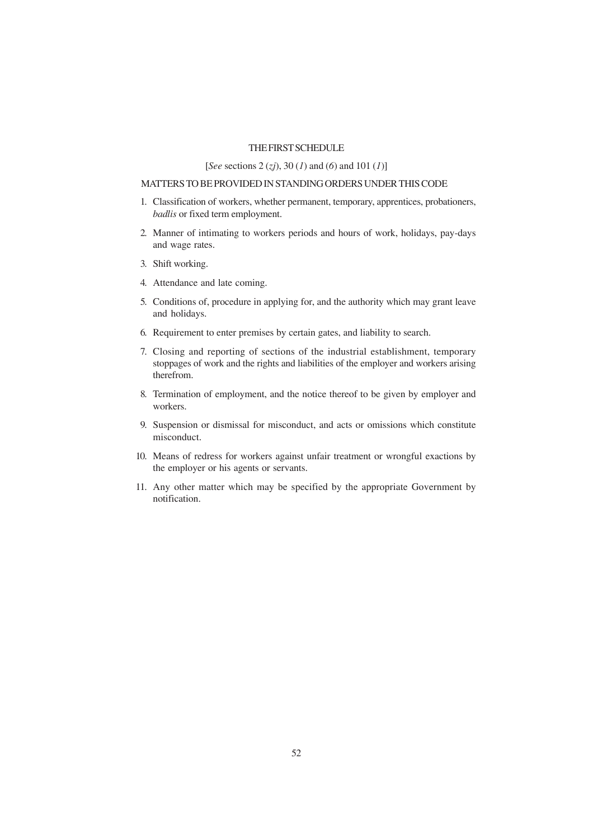## THE FIRST SCHEDULE

# [*See* sections 2 (*zj*), 30 (*1*) and (*6*) and 101 (*1*)]

# MATTERS TO BE PROVIDED IN STANDING ORDERS UNDER THIS CODE

- 1. Classification of workers, whether permanent, temporary, apprentices, probationers, *badlis* or fixed term employment.
- 2. Manner of intimating to workers periods and hours of work, holidays, pay-days and wage rates.
- 3. Shift working.
- 4. Attendance and late coming.
- 5. Conditions of, procedure in applying for, and the authority which may grant leave and holidays.
- 6. Requirement to enter premises by certain gates, and liability to search.
- 7. Closing and reporting of sections of the industrial establishment, temporary stoppages of work and the rights and liabilities of the employer and workers arising therefrom.
- 8. Termination of employment, and the notice thereof to be given by employer and workers.
- 9. Suspension or dismissal for misconduct, and acts or omissions which constitute misconduct.
- 10. Means of redress for workers against unfair treatment or wrongful exactions by the employer or his agents or servants.
- 11. Any other matter which may be specified by the appropriate Government by notification.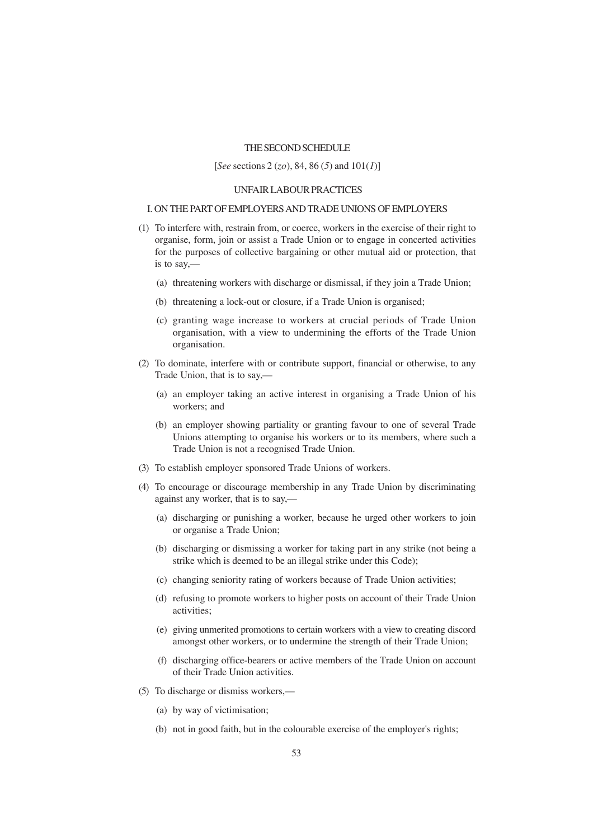## THE SECOND SCHEDULE

### [*See* sections 2 (*zo*), 84, 86 (*5*) and 101(*1*)]

#### UNFAIR LABOUR PRACTICES

#### I. ON THE PART OF EMPLOYERS AND TRADE UNIONS OF EMPLOYERS

- (1) To interfere with, restrain from, or coerce, workers in the exercise of their right to organise, form, join or assist a Trade Union or to engage in concerted activities for the purposes of collective bargaining or other mutual aid or protection, that is to say,—
	- (a) threatening workers with discharge or dismissal, if they join a Trade Union;
	- (b) threatening a lock-out or closure, if a Trade Union is organised;
	- (c) granting wage increase to workers at crucial periods of Trade Union organisation, with a view to undermining the efforts of the Trade Union organisation.
- (2) To dominate, interfere with or contribute support, financial or otherwise, to any Trade Union, that is to say,—
	- (a) an employer taking an active interest in organising a Trade Union of his workers; and
	- (b) an employer showing partiality or granting favour to one of several Trade Unions attempting to organise his workers or to its members, where such a Trade Union is not a recognised Trade Union.
- (3) To establish employer sponsored Trade Unions of workers.
- (4) To encourage or discourage membership in any Trade Union by discriminating against any worker, that is to say,—
	- (a) discharging or punishing a worker, because he urged other workers to join or organise a Trade Union;
	- (b) discharging or dismissing a worker for taking part in any strike (not being a strike which is deemed to be an illegal strike under this Code);
	- (c) changing seniority rating of workers because of Trade Union activities;
	- (d) refusing to promote workers to higher posts on account of their Trade Union activities;
	- (e) giving unmerited promotions to certain workers with a view to creating discord amongst other workers, or to undermine the strength of their Trade Union;
	- (f) discharging office-bearers or active members of the Trade Union on account of their Trade Union activities.
- (5) To discharge or dismiss workers,—
	- (a) by way of victimisation;
	- (b) not in good faith, but in the colourable exercise of the employer's rights;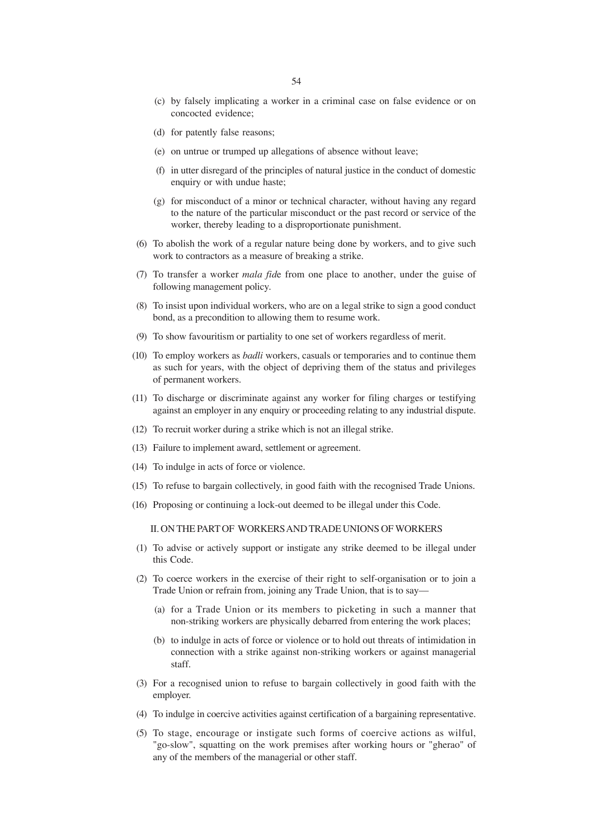- (c) by falsely implicating a worker in a criminal case on false evidence or on concocted evidence;
- (d) for patently false reasons;
- (e) on untrue or trumped up allegations of absence without leave;
- (f) in utter disregard of the principles of natural justice in the conduct of domestic enquiry or with undue haste;
- (g) for misconduct of a minor or technical character, without having any regard to the nature of the particular misconduct or the past record or service of the worker, thereby leading to a disproportionate punishment.
- (6) To abolish the work of a regular nature being done by workers, and to give such work to contractors as a measure of breaking a strike.
- (7) To transfer a worker *mala fid*e from one place to another, under the guise of following management policy.
- (8) To insist upon individual workers, who are on a legal strike to sign a good conduct bond, as a precondition to allowing them to resume work.
- (9) To show favouritism or partiality to one set of workers regardless of merit.
- (10) To employ workers as *badli* workers, casuals or temporaries and to continue them as such for years, with the object of depriving them of the status and privileges of permanent workers.
- (11) To discharge or discriminate against any worker for filing charges or testifying against an employer in any enquiry or proceeding relating to any industrial dispute.
- (12) To recruit worker during a strike which is not an illegal strike.
- (13) Failure to implement award, settlement or agreement.
- (14) To indulge in acts of force or violence.
- (15) To refuse to bargain collectively, in good faith with the recognised Trade Unions.
- (16) Proposing or continuing a lock-out deemed to be illegal under this Code.

II. ON THE PART OF WORKERS AND TRADE UNIONS OF WORKERS

- (1) To advise or actively support or instigate any strike deemed to be illegal under this Code.
- (2) To coerce workers in the exercise of their right to self-organisation or to join a Trade Union or refrain from, joining any Trade Union, that is to say—
	- (a) for a Trade Union or its members to picketing in such a manner that non-striking workers are physically debarred from entering the work places;
	- (b) to indulge in acts of force or violence or to hold out threats of intimidation in connection with a strike against non-striking workers or against managerial staff.
- (3) For a recognised union to refuse to bargain collectively in good faith with the employer.
- (4) To indulge in coercive activities against certification of a bargaining representative.
- (5) To stage, encourage or instigate such forms of coercive actions as wilful, "go-slow", squatting on the work premises after working hours or "gherao" of any of the members of the managerial or other staff.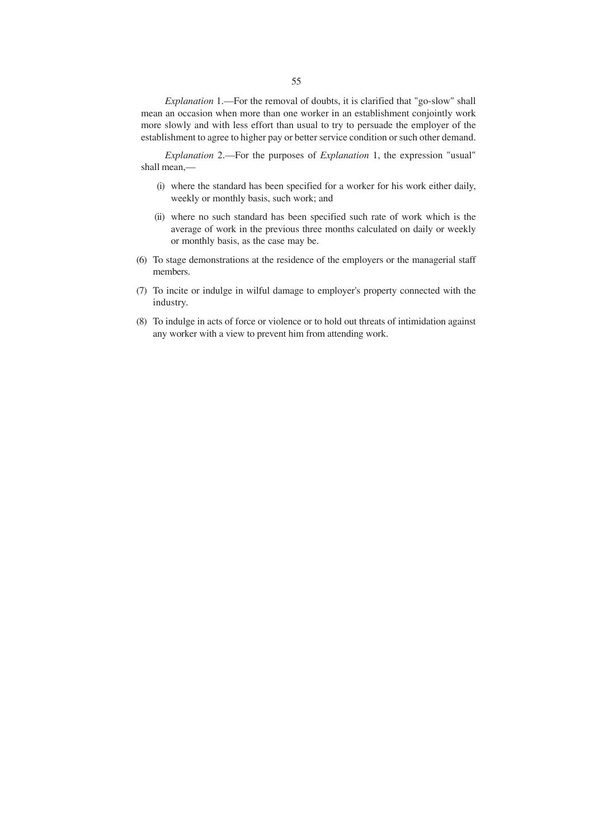*Explanation* 1.—For the removal of doubts, it is clarified that "go-slow" shall mean an occasion when more than one worker in an establishment conjointly work more slowly and with less effort than usual to try to persuade the employer of the establishment to agree to higher pay or better service condition or such other demand.

*Explanation* 2.—For the purposes of *Explanation* 1, the expression "usual" shall mean,—

- (i) where the standard has been specified for a worker for his work either daily, weekly or monthly basis, such work; and
- (ii) where no such standard has been specified such rate of work which is the average of work in the previous three months calculated on daily or weekly or monthly basis, as the case may be.
- (6) To stage demonstrations at the residence of the employers or the managerial staff members.
- (7) To incite or indulge in wilful damage to employer's property connected with the industry.
- (8) To indulge in acts of force or violence or to hold out threats of intimidation against any worker with a view to prevent him from attending work.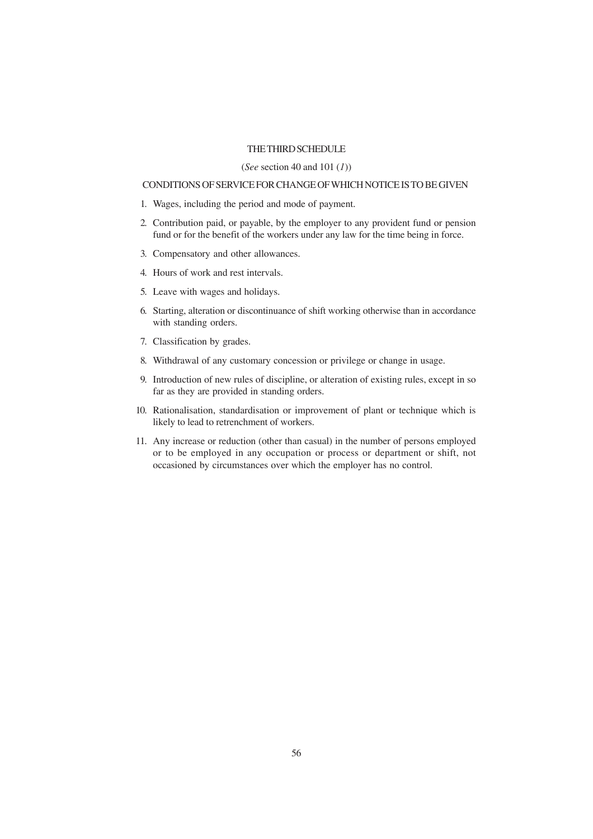# THE THIRD SCHEDULE

#### (*See* section 40 and 101 (*1*))

# CONDITIONS OF SERVICE FOR CHANGE OF WHICH NOTICE IS TO BE GIVEN

- 1. Wages, including the period and mode of payment.
- 2. Contribution paid, or payable, by the employer to any provident fund or pension fund or for the benefit of the workers under any law for the time being in force.
- 3. Compensatory and other allowances.
- 4. Hours of work and rest intervals.
- 5. Leave with wages and holidays.
- 6. Starting, alteration or discontinuance of shift working otherwise than in accordance with standing orders.
- 7. Classification by grades.
- 8. Withdrawal of any customary concession or privilege or change in usage.
- 9. Introduction of new rules of discipline, or alteration of existing rules, except in so far as they are provided in standing orders.
- 10. Rationalisation, standardisation or improvement of plant or technique which is likely to lead to retrenchment of workers.
- 11. Any increase or reduction (other than casual) in the number of persons employed or to be employed in any occupation or process or department or shift, not occasioned by circumstances over which the employer has no control.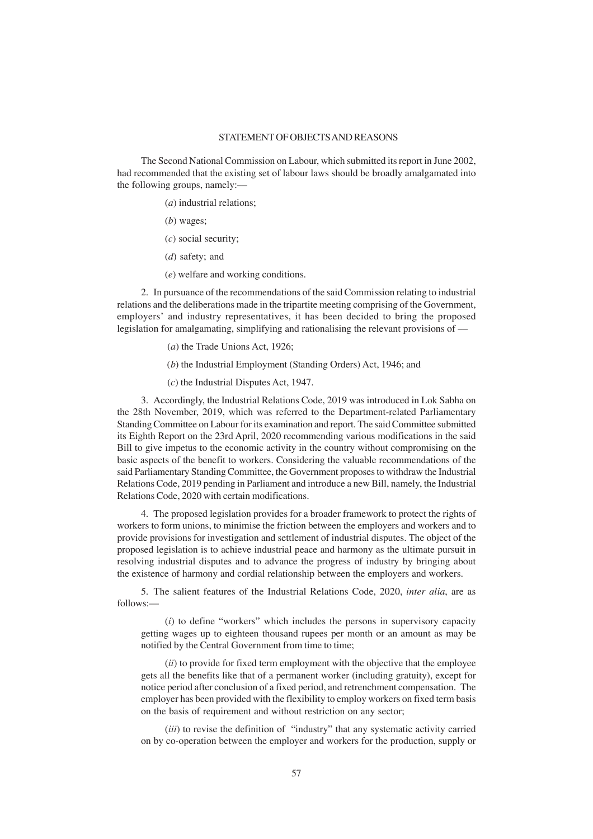# STATEMENT OF OBJECTS AND REASONS

The Second National Commission on Labour, which submitted its report in June 2002, had recommended that the existing set of labour laws should be broadly amalgamated into the following groups, namely:—

(*a*) industrial relations;

- (*b*) wages;
- (*c*) social security;
- (*d*) safety; and
- (*e*) welfare and working conditions.

2. In pursuance of the recommendations of the said Commission relating to industrial relations and the deliberations made in the tripartite meeting comprising of the Government, employers' and industry representatives, it has been decided to bring the proposed legislation for amalgamating, simplifying and rationalising the relevant provisions of —

- (*a*) the Trade Unions Act, 1926;
- (*b*) the Industrial Employment (Standing Orders) Act, 1946; and
- (*c*) the Industrial Disputes Act, 1947.

3. Accordingly, the Industrial Relations Code, 2019 was introduced in Lok Sabha on the 28th November, 2019, which was referred to the Department-related Parliamentary Standing Committee on Labour for its examination and report. The said Committee submitted its Eighth Report on the 23rd April, 2020 recommending various modifications in the said Bill to give impetus to the economic activity in the country without compromising on the basic aspects of the benefit to workers. Considering the valuable recommendations of the said Parliamentary Standing Committee, the Government proposes to withdraw the Industrial Relations Code, 2019 pending in Parliament and introduce a new Bill, namely, the Industrial Relations Code, 2020 with certain modifications.

4. The proposed legislation provides for a broader framework to protect the rights of workers to form unions, to minimise the friction between the employers and workers and to provide provisions for investigation and settlement of industrial disputes. The object of the proposed legislation is to achieve industrial peace and harmony as the ultimate pursuit in resolving industrial disputes and to advance the progress of industry by bringing about the existence of harmony and cordial relationship between the employers and workers.

5. The salient features of the Industrial Relations Code, 2020, *inter alia*, are as follows:—

(*i*) to define "workers" which includes the persons in supervisory capacity getting wages up to eighteen thousand rupees per month or an amount as may be notified by the Central Government from time to time;

(*ii*) to provide for fixed term employment with the objective that the employee gets all the benefits like that of a permanent worker (including gratuity), except for notice period after conclusion of a fixed period, and retrenchment compensation. The employer has been provided with the flexibility to employ workers on fixed term basis on the basis of requirement and without restriction on any sector;

(*iii*) to revise the definition of "industry" that any systematic activity carried on by co-operation between the employer and workers for the production, supply or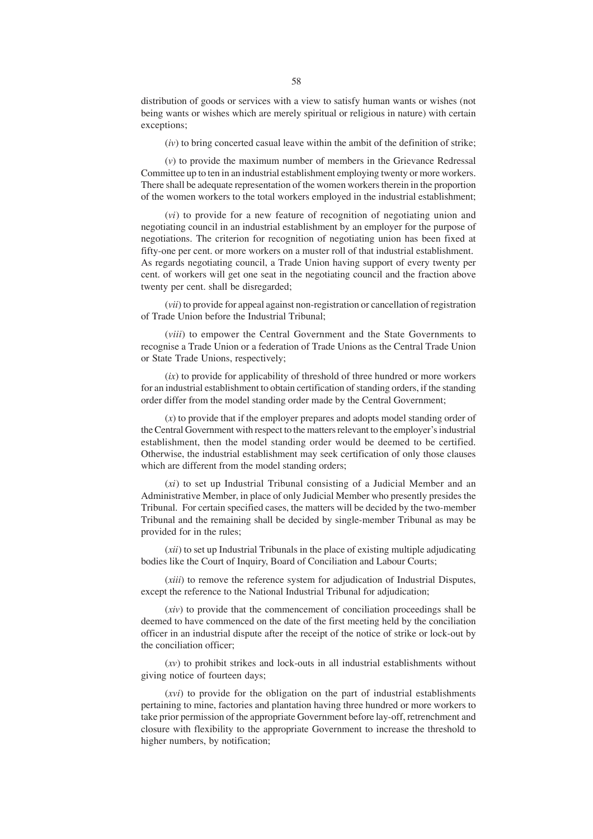distribution of goods or services with a view to satisfy human wants or wishes (not being wants or wishes which are merely spiritual or religious in nature) with certain exceptions;

(*iv*) to bring concerted casual leave within the ambit of the definition of strike;

(*v*) to provide the maximum number of members in the Grievance Redressal Committee up to ten in an industrial establishment employing twenty or more workers. There shall be adequate representation of the women workers therein in the proportion of the women workers to the total workers employed in the industrial establishment;

(*vi*) to provide for a new feature of recognition of negotiating union and negotiating council in an industrial establishment by an employer for the purpose of negotiations. The criterion for recognition of negotiating union has been fixed at fifty-one per cent. or more workers on a muster roll of that industrial establishment. As regards negotiating council, a Trade Union having support of every twenty per cent. of workers will get one seat in the negotiating council and the fraction above twenty per cent. shall be disregarded;

(*vii*) to provide for appeal against non-registration or cancellation of registration of Trade Union before the Industrial Tribunal;

(*viii*) to empower the Central Government and the State Governments to recognise a Trade Union or a federation of Trade Unions as the Central Trade Union or State Trade Unions, respectively;

(*ix*) to provide for applicability of threshold of three hundred or more workers for an industrial establishment to obtain certification of standing orders, if the standing order differ from the model standing order made by the Central Government;

(*x*) to provide that if the employer prepares and adopts model standing order of the Central Government with respect to the matters relevant to the employer's industrial establishment, then the model standing order would be deemed to be certified. Otherwise, the industrial establishment may seek certification of only those clauses which are different from the model standing orders;

(*xi*) to set up Industrial Tribunal consisting of a Judicial Member and an Administrative Member, in place of only Judicial Member who presently presides the Tribunal. For certain specified cases, the matters will be decided by the two-member Tribunal and the remaining shall be decided by single-member Tribunal as may be provided for in the rules;

(*xii*) to set up Industrial Tribunals in the place of existing multiple adjudicating bodies like the Court of Inquiry, Board of Conciliation and Labour Courts;

(*xiii*) to remove the reference system for adjudication of Industrial Disputes, except the reference to the National Industrial Tribunal for adjudication;

(*xiv*) to provide that the commencement of conciliation proceedings shall be deemed to have commenced on the date of the first meeting held by the conciliation officer in an industrial dispute after the receipt of the notice of strike or lock-out by the conciliation officer;

(*xv*) to prohibit strikes and lock-outs in all industrial establishments without giving notice of fourteen days;

(*xvi*) to provide for the obligation on the part of industrial establishments pertaining to mine, factories and plantation having three hundred or more workers to take prior permission of the appropriate Government before lay-off, retrenchment and closure with flexibility to the appropriate Government to increase the threshold to higher numbers, by notification;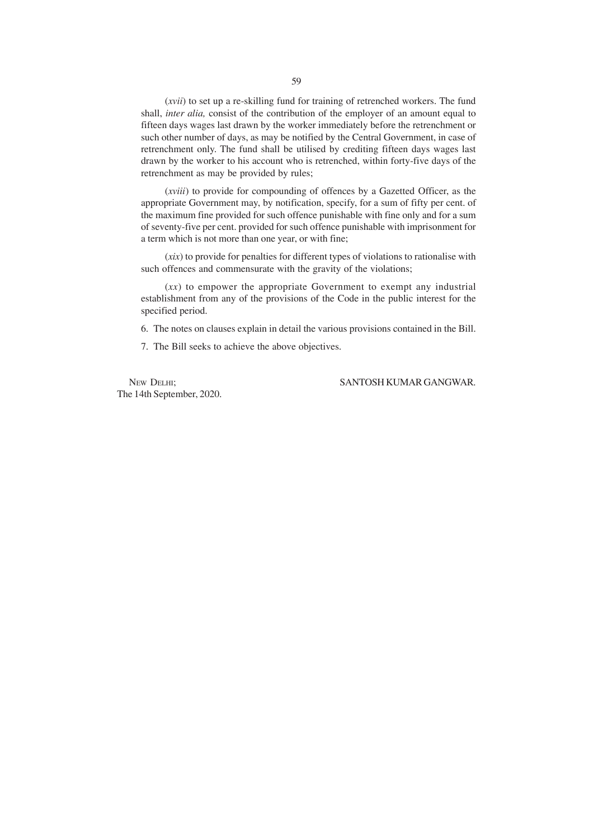(*xvii*) to set up a re-skilling fund for training of retrenched workers. The fund shall, *inter alia,* consist of the contribution of the employer of an amount equal to fifteen days wages last drawn by the worker immediately before the retrenchment or such other number of days, as may be notified by the Central Government, in case of retrenchment only. The fund shall be utilised by crediting fifteen days wages last drawn by the worker to his account who is retrenched, within forty-five days of the retrenchment as may be provided by rules;

(*xviii*) to provide for compounding of offences by a Gazetted Officer, as the appropriate Government may, by notification, specify, for a sum of fifty per cent. of the maximum fine provided for such offence punishable with fine only and for a sum of seventy-five per cent. provided for such offence punishable with imprisonment for a term which is not more than one year, or with fine;

(*xix*) to provide for penalties for different types of violations to rationalise with such offences and commensurate with the gravity of the violations;

(*xx*) to empower the appropriate Government to exempt any industrial establishment from any of the provisions of the Code in the public interest for the specified period.

6. The notes on clauses explain in detail the various provisions contained in the Bill.

7. The Bill seeks to achieve the above objectives.

The 14th September, 2020.

## NEW DELHI; SANTOSH KUMAR GANGWAR.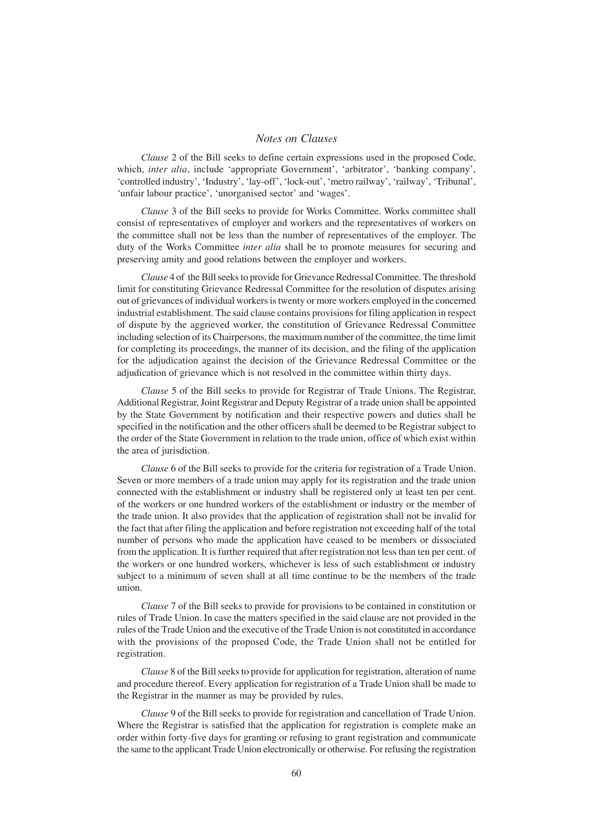# *Notes on Clauses*

*Clause* 2 of the Bill seeks to define certain expressions used in the proposed Code, which, *inter alia*, include 'appropriate Government', 'arbitrator', 'banking company', 'controlled industry', 'Industry', 'lay-off', 'lock-out', 'metro railway', 'railway', 'Tribunal', 'unfair labour practice', 'unorganised sector' and 'wages'.

*Clause* 3 of the Bill seeks to provide for Works Committee. Works committee shall consist of representatives of employer and workers and the representatives of workers on the committee shall not be less than the number of representatives of the employer. The duty of the Works Committee *inter alia* shall be to promote measures for securing and preserving amity and good relations between the employer and workers.

*Clause* 4 of the Bill seeks to provide for Grievance Redressal Committee. The threshold limit for constituting Grievance Redressal Committee for the resolution of disputes arising out of grievances of individual workers is twenty or more workers employed in the concerned industrial establishment. The said clause contains provisions for filing application in respect of dispute by the aggrieved worker, the constitution of Grievance Redressal Committee including selection of its Chairpersons, the maximum number of the committee, the time limit for completing its proceedings, the manner of its decision, and the filing of the application for the adjudication against the decision of the Grievance Redressal Committee or the adjudication of grievance which is not resolved in the committee within thirty days.

*Clause* 5 of the Bill seeks to provide for Registrar of Trade Unions. The Registrar, Additional Registrar, Joint Registrar and Deputy Registrar of a trade union shall be appointed by the State Government by notification and their respective powers and duties shall be specified in the notification and the other officers shall be deemed to be Registrar subject to the order of the State Government in relation to the trade union, office of which exist within the area of jurisdiction.

*Clause* 6 of the Bill seeks to provide for the criteria for registration of a Trade Union. Seven or more members of a trade union may apply for its registration and the trade union connected with the establishment or industry shall be registered only at least ten per cent. of the workers or one hundred workers of the establishment or industry or the member of the trade union. It also provides that the application of registration shall not be invalid for the fact that after filing the application and before registration not exceeding half of the total number of persons who made the application have ceased to be members or dissociated from the application. It is further required that after registration not less than ten per cent. of the workers or one hundred workers, whichever is less of such establishment or industry subject to a minimum of seven shall at all time continue to be the members of the trade union.

*Clause* 7 of the Bill seeks to provide for provisions to be contained in constitution or rules of Trade Union. In case the matters specified in the said clause are not provided in the rules of the Trade Union and the executive of the Trade Union is not constituted in accordance with the provisions of the proposed Code, the Trade Union shall not be entitled for registration.

*Clause* 8 of the Bill seeks to provide for application for registration, alteration of name and procedure thereof. Every application for registration of a Trade Union shall be made to the Registrar in the manner as may be provided by rules.

*Clause* 9 of the Bill seeks to provide for registration and cancellation of Trade Union. Where the Registrar is satisfied that the application for registration is complete make an order within forty-five days for granting or refusing to grant registration and communicate the same to the applicant Trade Union electronically or otherwise. For refusing the registration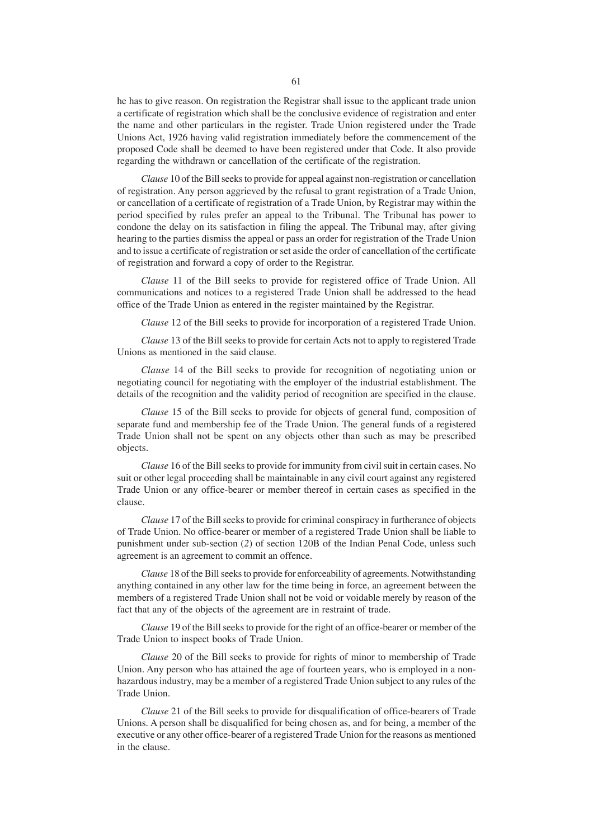he has to give reason. On registration the Registrar shall issue to the applicant trade union a certificate of registration which shall be the conclusive evidence of registration and enter the name and other particulars in the register. Trade Union registered under the Trade Unions Act, 1926 having valid registration immediately before the commencement of the proposed Code shall be deemed to have been registered under that Code. It also provide regarding the withdrawn or cancellation of the certificate of the registration.

*Clause* 10 of the Bill seeks to provide for appeal against non-registration or cancellation of registration. Any person aggrieved by the refusal to grant registration of a Trade Union, or cancellation of a certificate of registration of a Trade Union, by Registrar may within the period specified by rules prefer an appeal to the Tribunal. The Tribunal has power to condone the delay on its satisfaction in filing the appeal. The Tribunal may, after giving hearing to the parties dismiss the appeal or pass an order for registration of the Trade Union and to issue a certificate of registration or set aside the order of cancellation of the certificate of registration and forward a copy of order to the Registrar.

*Clause* 11 of the Bill seeks to provide for registered office of Trade Union. All communications and notices to a registered Trade Union shall be addressed to the head office of the Trade Union as entered in the register maintained by the Registrar.

*Clause* 12 of the Bill seeks to provide for incorporation of a registered Trade Union.

*Clause* 13 of the Bill seeks to provide for certain Acts not to apply to registered Trade Unions as mentioned in the said clause.

*Clause* 14 of the Bill seeks to provide for recognition of negotiating union or negotiating council for negotiating with the employer of the industrial establishment. The details of the recognition and the validity period of recognition are specified in the clause.

*Clause* 15 of the Bill seeks to provide for objects of general fund, composition of separate fund and membership fee of the Trade Union. The general funds of a registered Trade Union shall not be spent on any objects other than such as may be prescribed objects.

*Clause* 16 of the Bill seeks to provide for immunity from civil suit in certain cases. No suit or other legal proceeding shall be maintainable in any civil court against any registered Trade Union or any office-bearer or member thereof in certain cases as specified in the clause.

*Clause* 17 of the Bill seeks to provide for criminal conspiracy in furtherance of objects of Trade Union. No office-bearer or member of a registered Trade Union shall be liable to punishment under sub-section (*2*) of section 120B of the Indian Penal Code, unless such agreement is an agreement to commit an offence.

*Clause* 18 of the Bill seeks to provide for enforceability of agreements. Notwithstanding anything contained in any other law for the time being in force, an agreement between the members of a registered Trade Union shall not be void or voidable merely by reason of the fact that any of the objects of the agreement are in restraint of trade.

*Clause* 19 of the Bill seeks to provide for the right of an office-bearer or member of the Trade Union to inspect books of Trade Union.

*Clause* 20 of the Bill seeks to provide for rights of minor to membership of Trade Union. Any person who has attained the age of fourteen years, who is employed in a nonhazardous industry, may be a member of a registered Trade Union subject to any rules of the Trade Union.

*Clause* 21 of the Bill seeks to provide for disqualification of office-bearers of Trade Unions. A person shall be disqualified for being chosen as, and for being, a member of the executive or any other office-bearer of a registered Trade Union for the reasons as mentioned in the clause.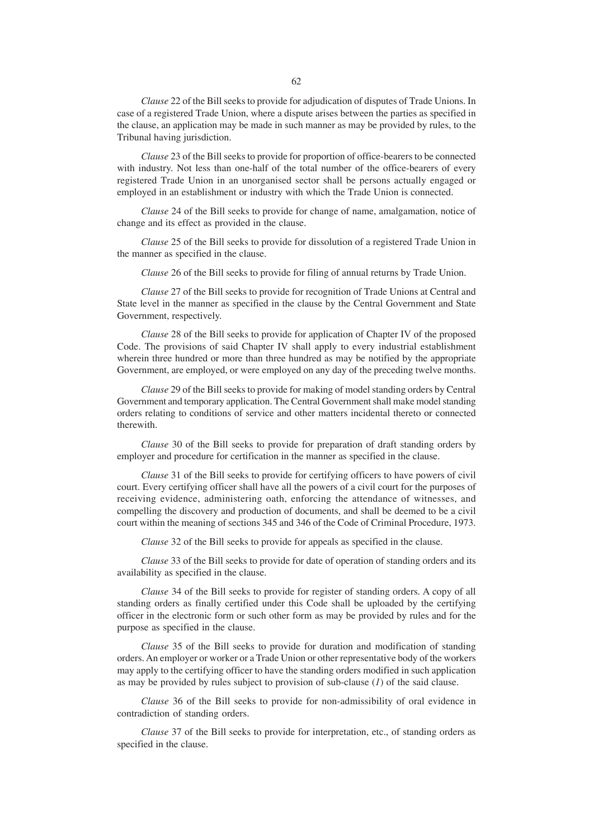*Clause* 22 of the Bill seeks to provide for adjudication of disputes of Trade Unions. In case of a registered Trade Union, where a dispute arises between the parties as specified in the clause, an application may be made in such manner as may be provided by rules, to the Tribunal having jurisdiction.

*Clause* 23 of the Bill seeks to provide for proportion of office-bearers to be connected with industry. Not less than one-half of the total number of the office-bearers of every registered Trade Union in an unorganised sector shall be persons actually engaged or employed in an establishment or industry with which the Trade Union is connected.

*Clause* 24 of the Bill seeks to provide for change of name, amalgamation, notice of change and its effect as provided in the clause.

*Clause* 25 of the Bill seeks to provide for dissolution of a registered Trade Union in the manner as specified in the clause.

*Clause* 26 of the Bill seeks to provide for filing of annual returns by Trade Union.

*Clause* 27 of the Bill seeks to provide for recognition of Trade Unions at Central and State level in the manner as specified in the clause by the Central Government and State Government, respectively.

*Clause* 28 of the Bill seeks to provide for application of Chapter IV of the proposed Code. The provisions of said Chapter IV shall apply to every industrial establishment wherein three hundred or more than three hundred as may be notified by the appropriate Government, are employed, or were employed on any day of the preceding twelve months.

*Clause* 29 of the Bill seeks to provide for making of model standing orders by Central Government and temporary application. The Central Government shall make model standing orders relating to conditions of service and other matters incidental thereto or connected therewith.

*Clause* 30 of the Bill seeks to provide for preparation of draft standing orders by employer and procedure for certification in the manner as specified in the clause.

*Clause* 31 of the Bill seeks to provide for certifying officers to have powers of civil court. Every certifying officer shall have all the powers of a civil court for the purposes of receiving evidence, administering oath, enforcing the attendance of witnesses, and compelling the discovery and production of documents, and shall be deemed to be a civil court within the meaning of sections 345 and 346 of the Code of Criminal Procedure, 1973.

*Clause* 32 of the Bill seeks to provide for appeals as specified in the clause.

*Clause* 33 of the Bill seeks to provide for date of operation of standing orders and its availability as specified in the clause.

*Clause* 34 of the Bill seeks to provide for register of standing orders. A copy of all standing orders as finally certified under this Code shall be uploaded by the certifying officer in the electronic form or such other form as may be provided by rules and for the purpose as specified in the clause.

*Clause* 35 of the Bill seeks to provide for duration and modification of standing orders. An employer or worker or a Trade Union or other representative body of the workers may apply to the certifying officer to have the standing orders modified in such application as may be provided by rules subject to provision of sub-clause (*1*) of the said clause.

*Clause* 36 of the Bill seeks to provide for non-admissibility of oral evidence in contradiction of standing orders.

*Clause* 37 of the Bill seeks to provide for interpretation, etc., of standing orders as specified in the clause.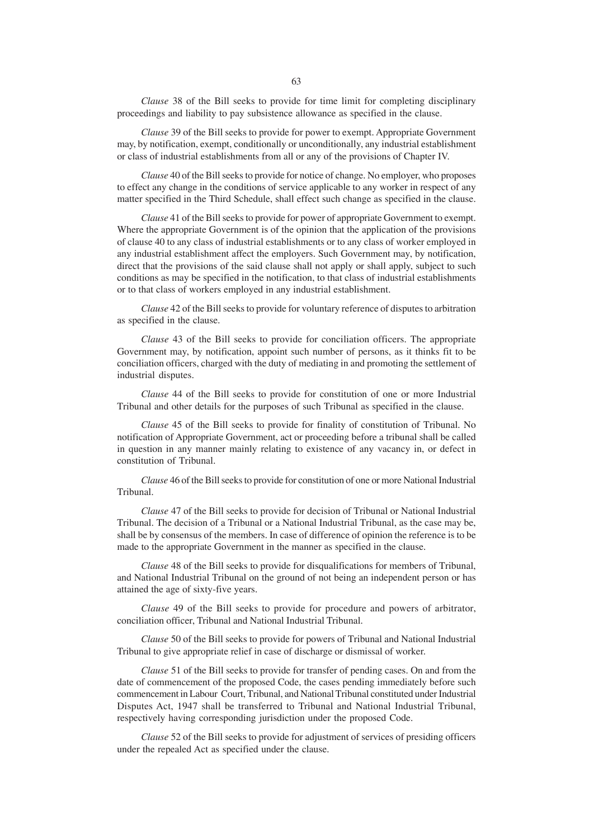*Clause* 38 of the Bill seeks to provide for time limit for completing disciplinary proceedings and liability to pay subsistence allowance as specified in the clause.

*Clause* 39 of the Bill seeks to provide for power to exempt. Appropriate Government may, by notification, exempt, conditionally or unconditionally, any industrial establishment or class of industrial establishments from all or any of the provisions of Chapter IV.

*Clause* 40 of the Bill seeks to provide for notice of change. No employer, who proposes to effect any change in the conditions of service applicable to any worker in respect of any matter specified in the Third Schedule, shall effect such change as specified in the clause.

*Clause* 41 of the Bill seeks to provide for power of appropriate Government to exempt. Where the appropriate Government is of the opinion that the application of the provisions of clause 40 to any class of industrial establishments or to any class of worker employed in any industrial establishment affect the employers. Such Government may, by notification, direct that the provisions of the said clause shall not apply or shall apply, subject to such conditions as may be specified in the notification, to that class of industrial establishments or to that class of workers employed in any industrial establishment.

*Clause* 42 of the Bill seeks to provide for voluntary reference of disputes to arbitration as specified in the clause.

*Clause* 43 of the Bill seeks to provide for conciliation officers. The appropriate Government may, by notification, appoint such number of persons, as it thinks fit to be conciliation officers, charged with the duty of mediating in and promoting the settlement of industrial disputes.

*Clause* 44 of the Bill seeks to provide for constitution of one or more Industrial Tribunal and other details for the purposes of such Tribunal as specified in the clause.

*Clause* 45 of the Bill seeks to provide for finality of constitution of Tribunal. No notification of Appropriate Government, act or proceeding before a tribunal shall be called in question in any manner mainly relating to existence of any vacancy in, or defect in constitution of Tribunal.

*Clause* 46 of the Bill seeks to provide for constitution of one or more National Industrial Tribunal.

*Clause* 47 of the Bill seeks to provide for decision of Tribunal or National Industrial Tribunal. The decision of a Tribunal or a National Industrial Tribunal, as the case may be, shall be by consensus of the members. In case of difference of opinion the reference is to be made to the appropriate Government in the manner as specified in the clause.

*Clause* 48 of the Bill seeks to provide for disqualifications for members of Tribunal, and National Industrial Tribunal on the ground of not being an independent person or has attained the age of sixty-five years.

*Clause* 49 of the Bill seeks to provide for procedure and powers of arbitrator, conciliation officer, Tribunal and National Industrial Tribunal.

*Clause* 50 of the Bill seeks to provide for powers of Tribunal and National Industrial Tribunal to give appropriate relief in case of discharge or dismissal of worker.

*Clause* 51 of the Bill seeks to provide for transfer of pending cases. On and from the date of commencement of the proposed Code, the cases pending immediately before such commencement in Labour Court, Tribunal, and National Tribunal constituted under Industrial Disputes Act, 1947 shall be transferred to Tribunal and National Industrial Tribunal, respectively having corresponding jurisdiction under the proposed Code.

*Clause* 52 of the Bill seeks to provide for adjustment of services of presiding officers under the repealed Act as specified under the clause.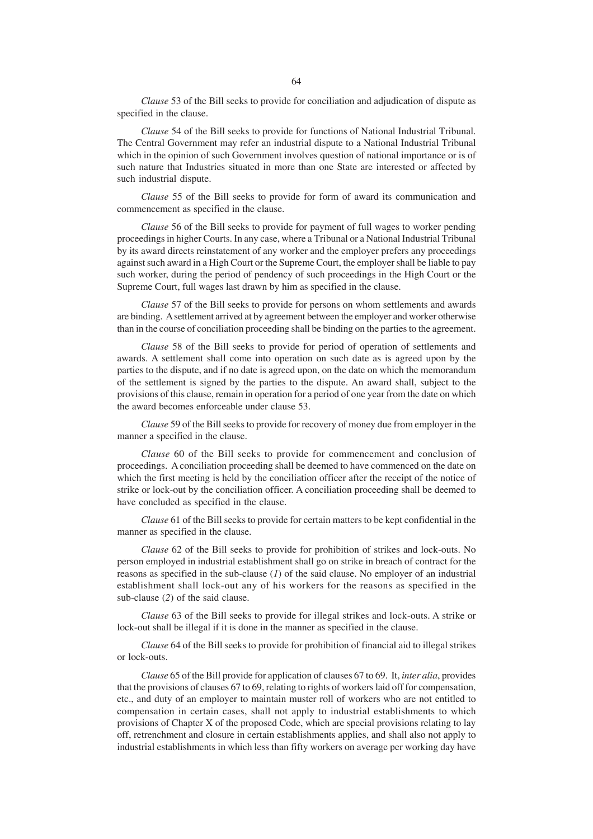*Clause* 53 of the Bill seeks to provide for conciliation and adjudication of dispute as specified in the clause.

*Clause* 54 of the Bill seeks to provide for functions of National Industrial Tribunal. The Central Government may refer an industrial dispute to a National Industrial Tribunal which in the opinion of such Government involves question of national importance or is of such nature that Industries situated in more than one State are interested or affected by such industrial dispute.

*Clause* 55 of the Bill seeks to provide for form of award its communication and commencement as specified in the clause.

*Clause* 56 of the Bill seeks to provide for payment of full wages to worker pending proceedings in higher Courts. In any case, where a Tribunal or a National Industrial Tribunal by its award directs reinstatement of any worker and the employer prefers any proceedings against such award in a High Court or the Supreme Court, the employer shall be liable to pay such worker, during the period of pendency of such proceedings in the High Court or the Supreme Court, full wages last drawn by him as specified in the clause.

*Clause* 57 of the Bill seeks to provide for persons on whom settlements and awards are binding. A settlement arrived at by agreement between the employer and worker otherwise than in the course of conciliation proceeding shall be binding on the parties to the agreement.

*Clause* 58 of the Bill seeks to provide for period of operation of settlements and awards. A settlement shall come into operation on such date as is agreed upon by the parties to the dispute, and if no date is agreed upon, on the date on which the memorandum of the settlement is signed by the parties to the dispute. An award shall, subject to the provisions of this clause, remain in operation for a period of one year from the date on which the award becomes enforceable under clause 53.

*Clause* 59 of the Bill seeks to provide for recovery of money due from employer in the manner a specified in the clause.

*Clause* 60 of the Bill seeks to provide for commencement and conclusion of proceedings. A conciliation proceeding shall be deemed to have commenced on the date on which the first meeting is held by the conciliation officer after the receipt of the notice of strike or lock-out by the conciliation officer. A conciliation proceeding shall be deemed to have concluded as specified in the clause.

*Clause* 61 of the Bill seeks to provide for certain matters to be kept confidential in the manner as specified in the clause.

*Clause* 62 of the Bill seeks to provide for prohibition of strikes and lock-outs. No person employed in industrial establishment shall go on strike in breach of contract for the reasons as specified in the sub-clause (*1*) of the said clause. No employer of an industrial establishment shall lock-out any of his workers for the reasons as specified in the sub-clause (*2*) of the said clause.

*Clause* 63 of the Bill seeks to provide for illegal strikes and lock-outs. A strike or lock-out shall be illegal if it is done in the manner as specified in the clause.

*Clause* 64 of the Bill seeks to provide for prohibition of financial aid to illegal strikes or lock-outs.

*Clause* 65 of the Bill provide for application of clauses 67 to 69. It, *inter alia*, provides that the provisions of clauses 67 to 69, relating to rights of workers laid off for compensation, etc., and duty of an employer to maintain muster roll of workers who are not entitled to compensation in certain cases, shall not apply to industrial establishments to which provisions of Chapter X of the proposed Code, which are special provisions relating to lay off, retrenchment and closure in certain establishments applies, and shall also not apply to industrial establishments in which less than fifty workers on average per working day have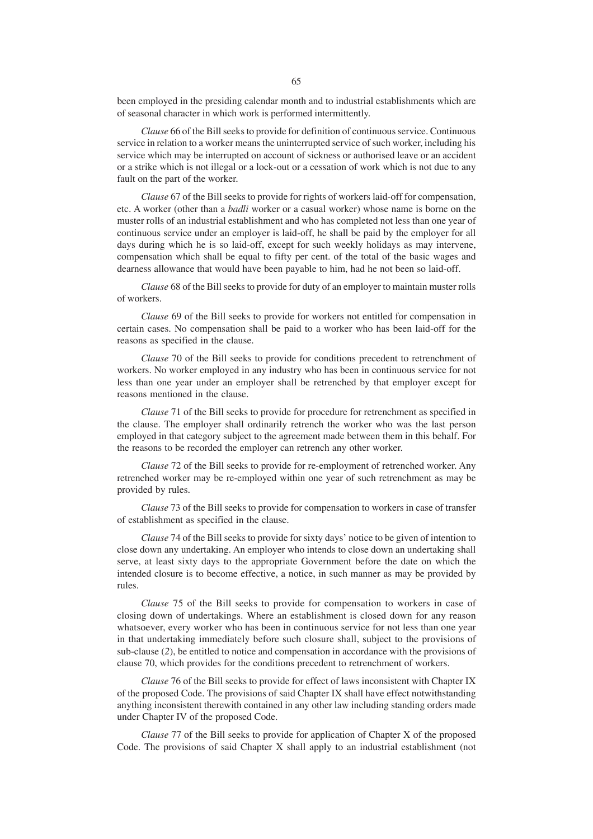been employed in the presiding calendar month and to industrial establishments which are of seasonal character in which work is performed intermittently.

*Clause* 66 of the Bill seeks to provide for definition of continuous service. Continuous service in relation to a worker means the uninterrupted service of such worker, including his service which may be interrupted on account of sickness or authorised leave or an accident or a strike which is not illegal or a lock-out or a cessation of work which is not due to any fault on the part of the worker.

*Clause* 67 of the Bill seeks to provide for rights of workers laid-off for compensation, etc. A worker (other than a *badli* worker or a casual worker) whose name is borne on the muster rolls of an industrial establishment and who has completed not less than one year of continuous service under an employer is laid-off, he shall be paid by the employer for all days during which he is so laid-off, except for such weekly holidays as may intervene, compensation which shall be equal to fifty per cent. of the total of the basic wages and dearness allowance that would have been payable to him, had he not been so laid-off.

*Clause* 68 of the Bill seeks to provide for duty of an employer to maintain muster rolls of workers.

*Clause* 69 of the Bill seeks to provide for workers not entitled for compensation in certain cases. No compensation shall be paid to a worker who has been laid-off for the reasons as specified in the clause.

*Clause* 70 of the Bill seeks to provide for conditions precedent to retrenchment of workers. No worker employed in any industry who has been in continuous service for not less than one year under an employer shall be retrenched by that employer except for reasons mentioned in the clause.

*Clause* 71 of the Bill seeks to provide for procedure for retrenchment as specified in the clause. The employer shall ordinarily retrench the worker who was the last person employed in that category subject to the agreement made between them in this behalf. For the reasons to be recorded the employer can retrench any other worker.

*Clause* 72 of the Bill seeks to provide for re-employment of retrenched worker. Any retrenched worker may be re-employed within one year of such retrenchment as may be provided by rules.

*Clause* 73 of the Bill seeks to provide for compensation to workers in case of transfer of establishment as specified in the clause.

*Clause* 74 of the Bill seeks to provide for sixty days' notice to be given of intention to close down any undertaking. An employer who intends to close down an undertaking shall serve, at least sixty days to the appropriate Government before the date on which the intended closure is to become effective, a notice, in such manner as may be provided by rules.

*Clause* 75 of the Bill seeks to provide for compensation to workers in case of closing down of undertakings. Where an establishment is closed down for any reason whatsoever, every worker who has been in continuous service for not less than one year in that undertaking immediately before such closure shall, subject to the provisions of sub-clause (*2*), be entitled to notice and compensation in accordance with the provisions of clause 70, which provides for the conditions precedent to retrenchment of workers.

*Clause* 76 of the Bill seeks to provide for effect of laws inconsistent with Chapter IX of the proposed Code. The provisions of said Chapter IX shall have effect notwithstanding anything inconsistent therewith contained in any other law including standing orders made under Chapter IV of the proposed Code.

*Clause* 77 of the Bill seeks to provide for application of Chapter X of the proposed Code. The provisions of said Chapter X shall apply to an industrial establishment (not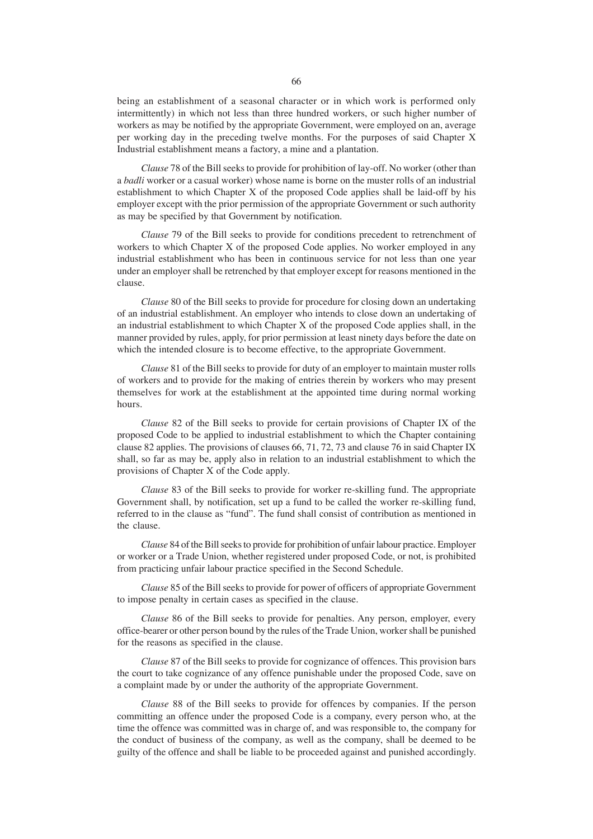being an establishment of a seasonal character or in which work is performed only intermittently) in which not less than three hundred workers, or such higher number of workers as may be notified by the appropriate Government, were employed on an, average per working day in the preceding twelve months. For the purposes of said Chapter X Industrial establishment means a factory, a mine and a plantation.

*Clause* 78 of the Bill seeks to provide for prohibition of lay-off. No worker (other than a *badli* worker or a casual worker) whose name is borne on the muster rolls of an industrial establishment to which Chapter X of the proposed Code applies shall be laid-off by his employer except with the prior permission of the appropriate Government or such authority as may be specified by that Government by notification.

*Clause* 79 of the Bill seeks to provide for conditions precedent to retrenchment of workers to which Chapter X of the proposed Code applies. No worker employed in any industrial establishment who has been in continuous service for not less than one year under an employer shall be retrenched by that employer except for reasons mentioned in the clause.

*Clause* 80 of the Bill seeks to provide for procedure for closing down an undertaking of an industrial establishment. An employer who intends to close down an undertaking of an industrial establishment to which Chapter X of the proposed Code applies shall, in the manner provided by rules, apply, for prior permission at least ninety days before the date on which the intended closure is to become effective, to the appropriate Government.

*Clause* 81 of the Bill seeks to provide for duty of an employer to maintain muster rolls of workers and to provide for the making of entries therein by workers who may present themselves for work at the establishment at the appointed time during normal working hours.

*Clause* 82 of the Bill seeks to provide for certain provisions of Chapter IX of the proposed Code to be applied to industrial establishment to which the Chapter containing clause 82 applies. The provisions of clauses 66, 71, 72, 73 and clause 76 in said Chapter IX shall, so far as may be, apply also in relation to an industrial establishment to which the provisions of Chapter X of the Code apply.

*Clause* 83 of the Bill seeks to provide for worker re-skilling fund. The appropriate Government shall, by notification, set up a fund to be called the worker re-skilling fund, referred to in the clause as "fund". The fund shall consist of contribution as mentioned in the clause.

*Clause* 84 of the Bill seeks to provide for prohibition of unfair labour practice. Employer or worker or a Trade Union, whether registered under proposed Code, or not, is prohibited from practicing unfair labour practice specified in the Second Schedule.

*Clause* 85 of the Bill seeks to provide for power of officers of appropriate Government to impose penalty in certain cases as specified in the clause.

*Clause* 86 of the Bill seeks to provide for penalties. Any person, employer, every office-bearer or other person bound by the rules of the Trade Union, worker shall be punished for the reasons as specified in the clause.

*Clause* 87 of the Bill seeks to provide for cognizance of offences. This provision bars the court to take cognizance of any offence punishable under the proposed Code, save on a complaint made by or under the authority of the appropriate Government.

*Clause* 88 of the Bill seeks to provide for offences by companies. If the person committing an offence under the proposed Code is a company, every person who, at the time the offence was committed was in charge of, and was responsible to, the company for the conduct of business of the company, as well as the company, shall be deemed to be guilty of the offence and shall be liable to be proceeded against and punished accordingly.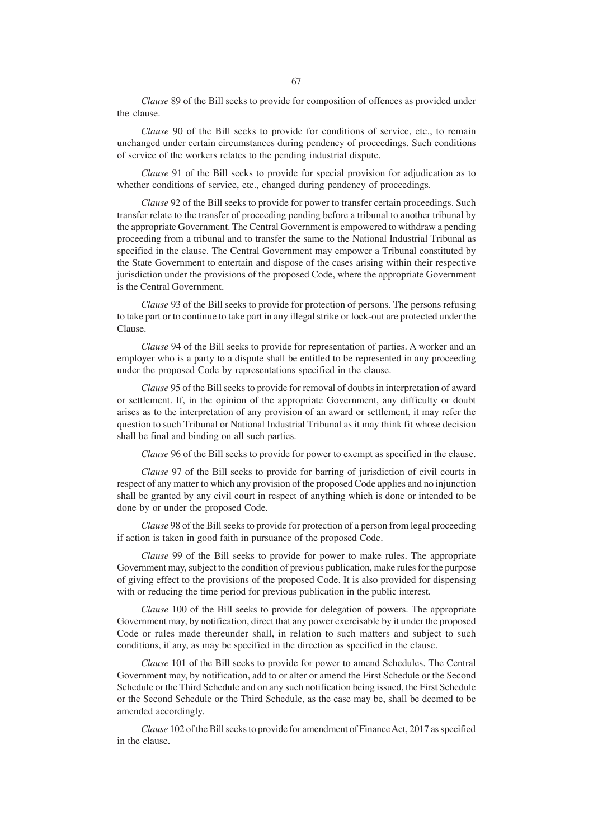*Clause* 89 of the Bill seeks to provide for composition of offences as provided under the clause.

*Clause* 90 of the Bill seeks to provide for conditions of service, etc., to remain unchanged under certain circumstances during pendency of proceedings. Such conditions of service of the workers relates to the pending industrial dispute.

*Clause* 91 of the Bill seeks to provide for special provision for adjudication as to whether conditions of service, etc., changed during pendency of proceedings.

*Clause* 92 of the Bill seeks to provide for power to transfer certain proceedings. Such transfer relate to the transfer of proceeding pending before a tribunal to another tribunal by the appropriate Government. The Central Government is empowered to withdraw a pending proceeding from a tribunal and to transfer the same to the National Industrial Tribunal as specified in the clause. The Central Government may empower a Tribunal constituted by the State Government to entertain and dispose of the cases arising within their respective jurisdiction under the provisions of the proposed Code, where the appropriate Government is the Central Government.

*Clause* 93 of the Bill seeks to provide for protection of persons. The persons refusing to take part or to continue to take part in any illegal strike or lock-out are protected under the Clause.

*Clause* 94 of the Bill seeks to provide for representation of parties. A worker and an employer who is a party to a dispute shall be entitled to be represented in any proceeding under the proposed Code by representations specified in the clause.

*Clause* 95 of the Bill seeks to provide for removal of doubts in interpretation of award or settlement. If, in the opinion of the appropriate Government, any difficulty or doubt arises as to the interpretation of any provision of an award or settlement, it may refer the question to such Tribunal or National Industrial Tribunal as it may think fit whose decision shall be final and binding on all such parties.

*Clause* 96 of the Bill seeks to provide for power to exempt as specified in the clause.

*Clause* 97 of the Bill seeks to provide for barring of jurisdiction of civil courts in respect of any matter to which any provision of the proposed Code applies and no injunction shall be granted by any civil court in respect of anything which is done or intended to be done by or under the proposed Code.

*Clause* 98 of the Bill seeks to provide for protection of a person from legal proceeding if action is taken in good faith in pursuance of the proposed Code.

*Clause* 99 of the Bill seeks to provide for power to make rules. The appropriate Government may, subject to the condition of previous publication, make rules for the purpose of giving effect to the provisions of the proposed Code. It is also provided for dispensing with or reducing the time period for previous publication in the public interest.

*Clause* 100 of the Bill seeks to provide for delegation of powers. The appropriate Government may, by notification, direct that any power exercisable by it under the proposed Code or rules made thereunder shall, in relation to such matters and subject to such conditions, if any, as may be specified in the direction as specified in the clause.

*Clause* 101 of the Bill seeks to provide for power to amend Schedules. The Central Government may, by notification, add to or alter or amend the First Schedule or the Second Schedule or the Third Schedule and on any such notification being issued, the First Schedule or the Second Schedule or the Third Schedule, as the case may be, shall be deemed to be amended accordingly.

*Clause* 102 of the Bill seeks to provide for amendment of Finance Act, 2017 as specified in the clause.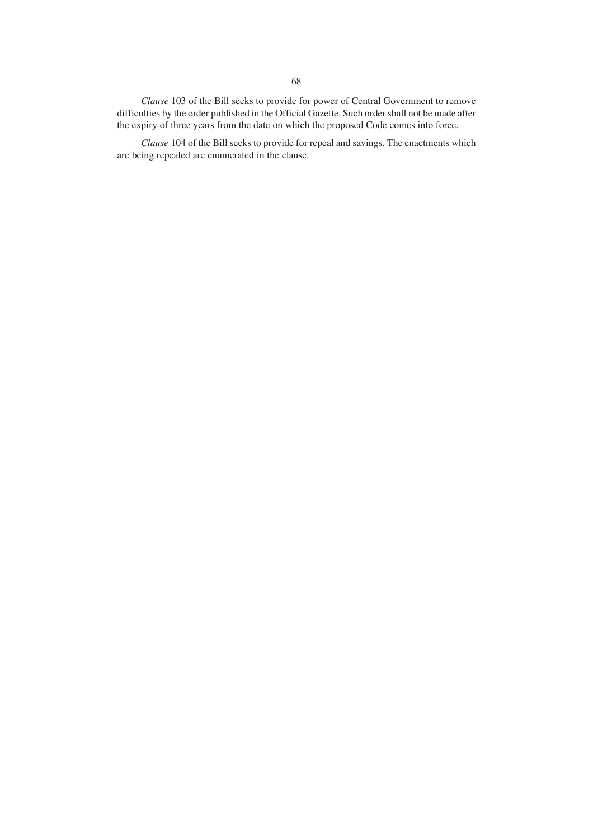*Clause* 103 of the Bill seeks to provide for power of Central Government to remove difficulties by the order published in the Official Gazette. Such order shall not be made after the expiry of three years from the date on which the proposed Code comes into force.

*Clause* 104 of the Bill seeks to provide for repeal and savings. The enactments which are being repealed are enumerated in the clause.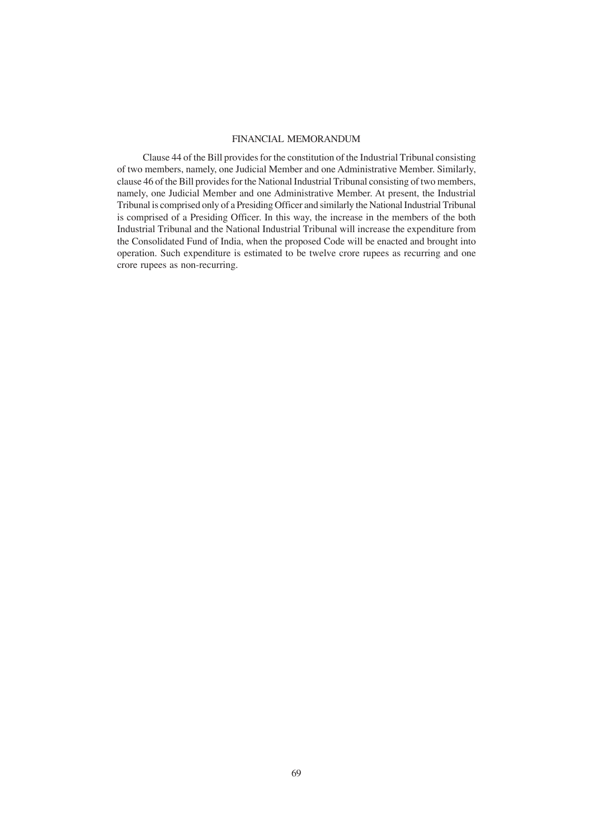## FINANCIAL MEMORANDUM

 Clause 44 of the Bill provides for the constitution of the Industrial Tribunal consisting of two members, namely, one Judicial Member and one Administrative Member. Similarly, clause 46 of the Bill provides for the National Industrial Tribunal consisting of two members, namely, one Judicial Member and one Administrative Member. At present, the Industrial Tribunal is comprised only of a Presiding Officer and similarly the National Industrial Tribunal is comprised of a Presiding Officer. In this way, the increase in the members of the both Industrial Tribunal and the National Industrial Tribunal will increase the expenditure from the Consolidated Fund of India, when the proposed Code will be enacted and brought into operation. Such expenditure is estimated to be twelve crore rupees as recurring and one crore rupees as non-recurring.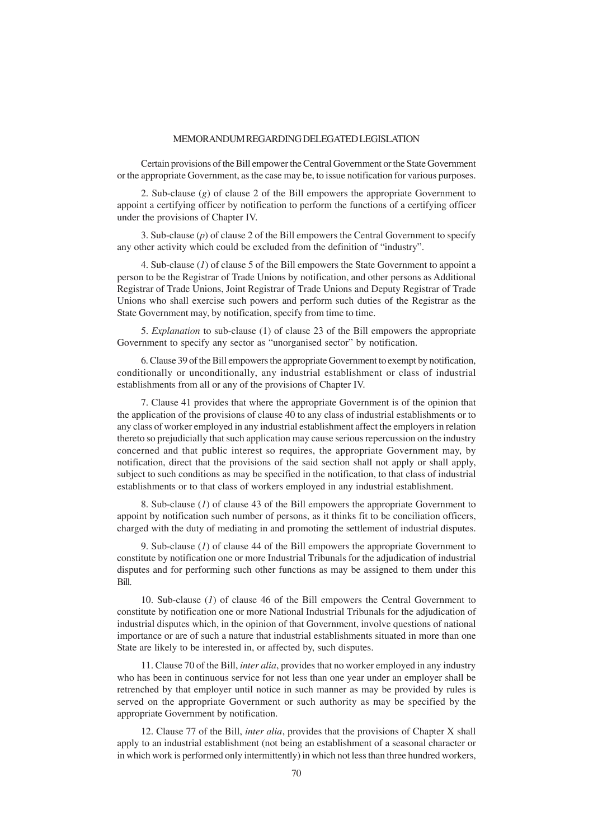#### MEMORANDUM REGARDING DELEGATED LEGISLATION

Certain provisions of the Bill empower the Central Government or the State Government or the appropriate Government, as the case may be, to issue notification for various purposes.

2. Sub-clause (*g*) of clause 2 of the Bill empowers the appropriate Government to appoint a certifying officer by notification to perform the functions of a certifying officer under the provisions of Chapter IV.

3. Sub-clause (*p*) of clause 2 of the Bill empowers the Central Government to specify any other activity which could be excluded from the definition of "industry".

4. Sub-clause (*1*) of clause 5 of the Bill empowers the State Government to appoint a person to be the Registrar of Trade Unions by notification, and other persons as Additional Registrar of Trade Unions, Joint Registrar of Trade Unions and Deputy Registrar of Trade Unions who shall exercise such powers and perform such duties of the Registrar as the State Government may, by notification, specify from time to time.

5. *Explanation* to sub-clause (1) of clause 23 of the Bill empowers the appropriate Government to specify any sector as "unorganised sector" by notification.

6. Clause 39 of the Bill empowers the appropriate Government to exempt by notification, conditionally or unconditionally, any industrial establishment or class of industrial establishments from all or any of the provisions of Chapter IV.

7. Clause 41 provides that where the appropriate Government is of the opinion that the application of the provisions of clause 40 to any class of industrial establishments or to any class of worker employed in any industrial establishment affect the employers in relation thereto so prejudicially that such application may cause serious repercussion on the industry concerned and that public interest so requires, the appropriate Government may, by notification, direct that the provisions of the said section shall not apply or shall apply, subject to such conditions as may be specified in the notification, to that class of industrial establishments or to that class of workers employed in any industrial establishment.

8. Sub-clause (*1*) of clause 43 of the Bill empowers the appropriate Government to appoint by notification such number of persons, as it thinks fit to be conciliation officers, charged with the duty of mediating in and promoting the settlement of industrial disputes.

9. Sub-clause (*1*) of clause 44 of the Bill empowers the appropriate Government to constitute by notification one or more Industrial Tribunals for the adjudication of industrial disputes and for performing such other functions as may be assigned to them under this Bill.

10. Sub-clause (*1*) of clause 46 of the Bill empowers the Central Government to constitute by notification one or more National Industrial Tribunals for the adjudication of industrial disputes which, in the opinion of that Government, involve questions of national importance or are of such a nature that industrial establishments situated in more than one State are likely to be interested in, or affected by, such disputes.

11. Clause 70 of the Bill, *inter alia*, provides that no worker employed in any industry who has been in continuous service for not less than one year under an employer shall be retrenched by that employer until notice in such manner as may be provided by rules is served on the appropriate Government or such authority as may be specified by the appropriate Government by notification.

12. Clause 77 of the Bill, *inter alia*, provides that the provisions of Chapter X shall apply to an industrial establishment (not being an establishment of a seasonal character or in which work is performed only intermittently) in which not less than three hundred workers,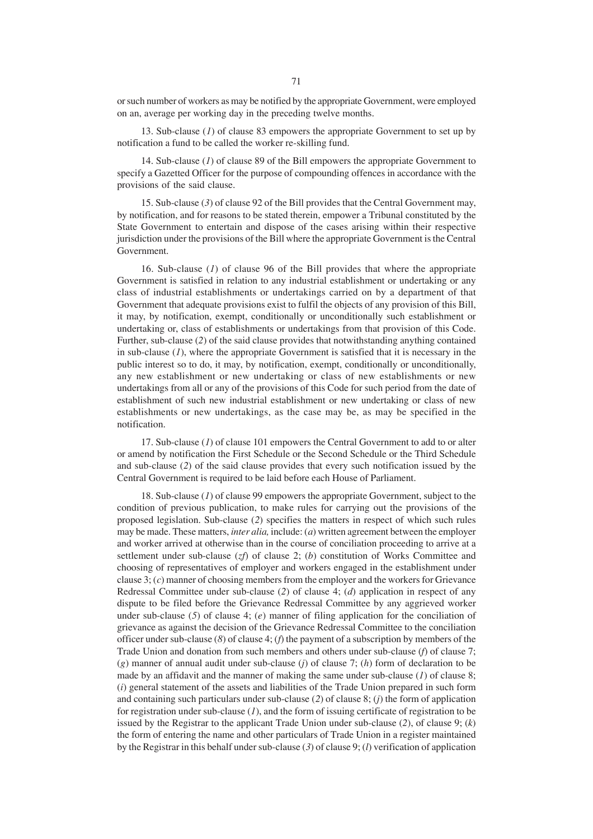or such number of workers as may be notified by the appropriate Government, were employed on an, average per working day in the preceding twelve months.

13. Sub-clause (*1*) of clause 83 empowers the appropriate Government to set up by notification a fund to be called the worker re-skilling fund.

14. Sub-clause (*1*) of clause 89 of the Bill empowers the appropriate Government to specify a Gazetted Officer for the purpose of compounding offences in accordance with the provisions of the said clause.

15. Sub-clause (*3*) of clause 92 of the Bill provides that the Central Government may, by notification, and for reasons to be stated therein, empower a Tribunal constituted by the State Government to entertain and dispose of the cases arising within their respective jurisdiction under the provisions of the Bill where the appropriate Government is the Central Government.

16. Sub-clause (*1*) of clause 96 of the Bill provides that where the appropriate Government is satisfied in relation to any industrial establishment or undertaking or any class of industrial establishments or undertakings carried on by a department of that Government that adequate provisions exist to fulfil the objects of any provision of this Bill, it may, by notification, exempt, conditionally or unconditionally such establishment or undertaking or, class of establishments or undertakings from that provision of this Code. Further, sub-clause (*2*) of the said clause provides that notwithstanding anything contained in sub-clause (*1*), where the appropriate Government is satisfied that it is necessary in the public interest so to do, it may, by notification, exempt, conditionally or unconditionally, any new establishment or new undertaking or class of new establishments or new undertakings from all or any of the provisions of this Code for such period from the date of establishment of such new industrial establishment or new undertaking or class of new establishments or new undertakings, as the case may be, as may be specified in the notification.

17. Sub-clause (*1*) of clause 101 empowers the Central Government to add to or alter or amend by notification the First Schedule or the Second Schedule or the Third Schedule and sub-clause (*2*) of the said clause provides that every such notification issued by the Central Government is required to be laid before each House of Parliament.

18. Sub-clause (*1*) of clause 99 empowers the appropriate Government, subject to the condition of previous publication, to make rules for carrying out the provisions of the proposed legislation. Sub-clause (*2*) specifies the matters in respect of which such rules may be made. These matters, *inter alia,* include: (*a*) written agreement between the employer and worker arrived at otherwise than in the course of conciliation proceeding to arrive at a settlement under sub-clause (*zf*) of clause 2; (*b*) constitution of Works Committee and choosing of representatives of employer and workers engaged in the establishment under clause 3; (*c*) manner of choosing members from the employer and the workers for Grievance Redressal Committee under sub-clause (*2*) of clause 4; (*d*) application in respect of any dispute to be filed before the Grievance Redressal Committee by any aggrieved worker under sub-clause (*5*) of clause 4; (*e*) manner of filing application for the conciliation of grievance as against the decision of the Grievance Redressal Committee to the conciliation officer under sub-clause (*8*) of clause 4; (*f*) the payment of a subscription by members of the Trade Union and donation from such members and others under sub-clause (*f*) of clause 7; (*g*) manner of annual audit under sub-clause (*j*) of clause 7; (*h*) form of declaration to be made by an affidavit and the manner of making the same under sub-clause (*1*) of clause 8; (*i*) general statement of the assets and liabilities of the Trade Union prepared in such form and containing such particulars under sub-clause (*2*) of clause 8; (*j*) the form of application for registration under sub-clause (*1*), and the form of issuing certificate of registration to be issued by the Registrar to the applicant Trade Union under sub-clause (*2*), of clause 9; (*k*) the form of entering the name and other particulars of Trade Union in a register maintained by the Registrar in this behalf under sub-clause (*3*) of clause 9; (*l*) verification of application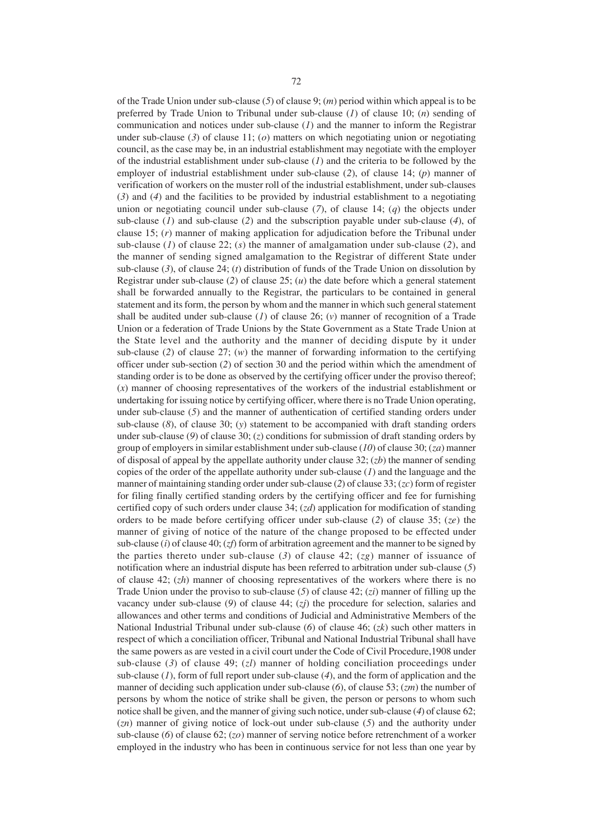of the Trade Union under sub-clause (*5*) of clause 9; (*m*) period within which appeal is to be preferred by Trade Union to Tribunal under sub-clause (*1*) of clause 10; (*n*) sending of communication and notices under sub-clause (*1*) and the manner to inform the Registrar under sub-clause (*3*) of clause 11; (*o*) matters on which negotiating union or negotiating council, as the case may be, in an industrial establishment may negotiate with the employer of the industrial establishment under sub-clause (*1*) and the criteria to be followed by the employer of industrial establishment under sub-clause (*2*), of clause 14; (*p*) manner of verification of workers on the muster roll of the industrial establishment, under sub-clauses (*3*) and (*4*) and the facilities to be provided by industrial establishment to a negotiating union or negotiating council under sub-clause (*7*), of clause 14; (*q*) the objects under sub-clause (*1*) and sub-clause (*2*) and the subscription payable under sub-clause (*4*), of clause 15; (*r*) manner of making application for adjudication before the Tribunal under sub-clause (*1*) of clause 22; (*s*) the manner of amalgamation under sub-clause (*2*), and the manner of sending signed amalgamation to the Registrar of different State under sub-clause (*3*), of clause 24; (*t*) distribution of funds of the Trade Union on dissolution by Registrar under sub-clause (*2*) of clause 25; (*u*) the date before which a general statement shall be forwarded annually to the Registrar, the particulars to be contained in general statement and its form, the person by whom and the manner in which such general statement shall be audited under sub-clause (*1*) of clause 26; (*v*) manner of recognition of a Trade Union or a federation of Trade Unions by the State Government as a State Trade Union at the State level and the authority and the manner of deciding dispute by it under sub-clause (2) of clause  $27$ ; (*w*) the manner of forwarding information to the certifying officer under sub-section (*2*) of section 30 and the period within which the amendment of standing order is to be done as observed by the certifying officer under the proviso thereof; (*x*) manner of choosing representatives of the workers of the industrial establishment or undertaking for issuing notice by certifying officer, where there is no Trade Union operating, under sub-clause (*5*) and the manner of authentication of certified standing orders under sub-clause (*8*), of clause 30; (*y*) statement to be accompanied with draft standing orders under sub-clause (*9*) of clause 30; (*z*) conditions for submission of draft standing orders by group of employers in similar establishment under sub-clause (*10*) of clause 30; (*za*) manner of disposal of appeal by the appellate authority under clause 32; (*zb*) the manner of sending copies of the order of the appellate authority under sub-clause (*1*) and the language and the manner of maintaining standing order under sub-clause (*2*) of clause 33; (*zc*) form of register for filing finally certified standing orders by the certifying officer and fee for furnishing certified copy of such orders under clause 34; (*zd*) application for modification of standing orders to be made before certifying officer under sub-clause (*2*) of clause 35; (*ze*) the manner of giving of notice of the nature of the change proposed to be effected under sub-clause (*i*) of clause 40; (*zf*) form of arbitration agreement and the manner to be signed by the parties thereto under sub-clause (*3*) of clause 42; (*zg*) manner of issuance of notification where an industrial dispute has been referred to arbitration under sub-clause (*5*) of clause 42; (*zh*) manner of choosing representatives of the workers where there is no Trade Union under the proviso to sub-clause (*5*) of clause 42; (*zi*) manner of filling up the vacancy under sub-clause (*9*) of clause 44; (*zj*) the procedure for selection, salaries and allowances and other terms and conditions of Judicial and Administrative Members of the National Industrial Tribunal under sub-clause (*6*) of clause 46; (*zk*) such other matters in respect of which a conciliation officer, Tribunal and National Industrial Tribunal shall have the same powers as are vested in a civil court under the Code of Civil Procedure,1908 under sub-clause (*3*) of clause 49; (*zl*) manner of holding conciliation proceedings under sub-clause (*1*), form of full report under sub-clause (*4*), and the form of application and the manner of deciding such application under sub-clause (*6*), of clause 53; (*zm*) the number of persons by whom the notice of strike shall be given, the person or persons to whom such notice shall be given, and the manner of giving such notice, under sub-clause (*4*) of clause 62; (*zn*) manner of giving notice of lock-out under sub-clause (*5*) and the authority under sub-clause (*6*) of clause 62; (*zo*) manner of serving notice before retrenchment of a worker employed in the industry who has been in continuous service for not less than one year by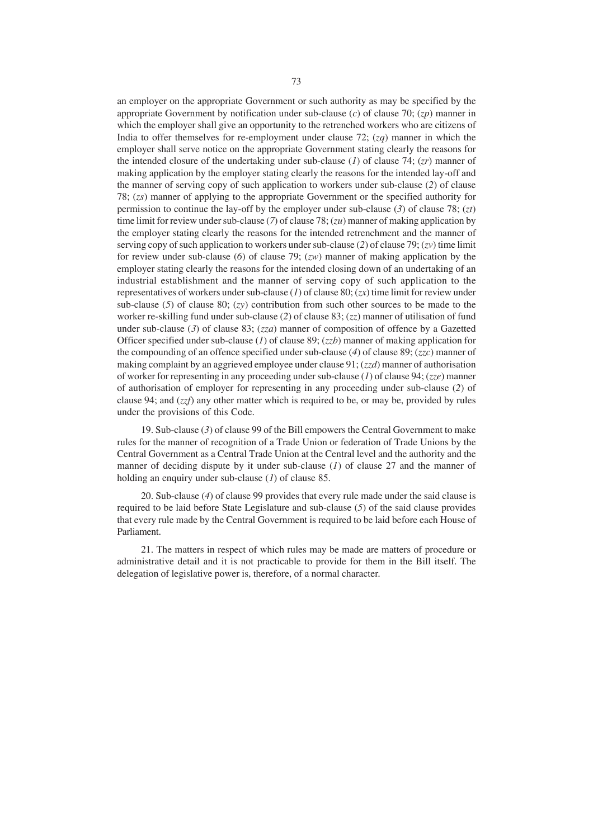an employer on the appropriate Government or such authority as may be specified by the appropriate Government by notification under sub-clause (*c*) of clause 70; (*zp*) manner in which the employer shall give an opportunity to the retrenched workers who are citizens of India to offer themselves for re-employment under clause 72; (*zq*) manner in which the employer shall serve notice on the appropriate Government stating clearly the reasons for the intended closure of the undertaking under sub-clause (*1*) of clause 74; (*zr*) manner of making application by the employer stating clearly the reasons for the intended lay-off and the manner of serving copy of such application to workers under sub-clause (*2*) of clause 78; (*zs*) manner of applying to the appropriate Government or the specified authority for permission to continue the lay-off by the employer under sub-clause (*3*) of clause 78; (*zt*) time limit for review under sub-clause (*7*) of clause 78; (*zu*) manner of making application by the employer stating clearly the reasons for the intended retrenchment and the manner of serving copy of such application to workers under sub-clause (*2*) of clause 79; (*zv*) time limit for review under sub-clause (*6*) of clause 79; (*zw*) manner of making application by the employer stating clearly the reasons for the intended closing down of an undertaking of an industrial establishment and the manner of serving copy of such application to the representatives of workers under sub-clause (*1*) of clause 80; (*zx*) time limit for review under sub-clause (*5*) of clause 80; (*zy*) contribution from such other sources to be made to the worker re-skilling fund under sub-clause (*2*) of clause 83; (*zz*) manner of utilisation of fund under sub-clause (*3*) of clause 83; (*zza*) manner of composition of offence by a Gazetted Officer specified under sub-clause (*1*) of clause 89; (*zzb*) manner of making application for the compounding of an offence specified under sub-clause (*4*) of clause 89; (*zzc*) manner of making complaint by an aggrieved employee under clause 91; (*zzd*) manner of authorisation of worker for representing in any proceeding under sub-clause (*1*) of clause 94; (*zze*) manner of authorisation of employer for representing in any proceeding under sub-clause (*2*) of clause 94; and (*zzf*) any other matter which is required to be, or may be, provided by rules under the provisions of this Code.

19. Sub-clause (*3*) of clause 99 of the Bill empowers the Central Government to make rules for the manner of recognition of a Trade Union or federation of Trade Unions by the Central Government as a Central Trade Union at the Central level and the authority and the manner of deciding dispute by it under sub-clause (*1*) of clause 27 and the manner of holding an enquiry under sub-clause (*1*) of clause 85.

20. Sub-clause (*4*) of clause 99 provides that every rule made under the said clause is required to be laid before State Legislature and sub-clause (*5*) of the said clause provides that every rule made by the Central Government is required to be laid before each House of Parliament.

21. The matters in respect of which rules may be made are matters of procedure or administrative detail and it is not practicable to provide for them in the Bill itself. The delegation of legislative power is, therefore, of a normal character.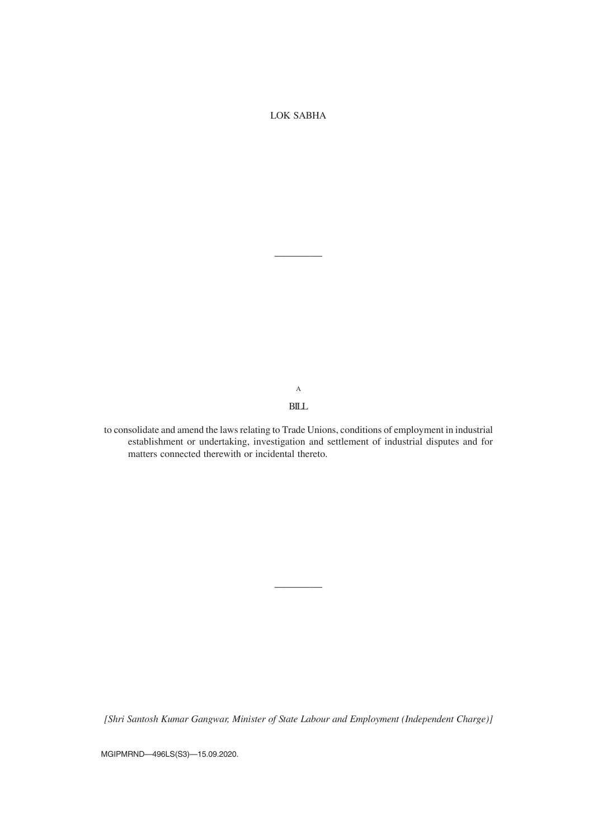LOK SABHA

————

A BILL

to consolidate and amend the laws relating to Trade Unions, conditions of employment in industrial establishment or undertaking, investigation and settlement of industrial disputes and for matters connected therewith or incidental thereto.

*[Shri Santosh Kumar Gangwar, Minister of State Labour and Employment (Independent Charge)]*

————

MGIPMRND—496LS(S3)—15.09.2020.